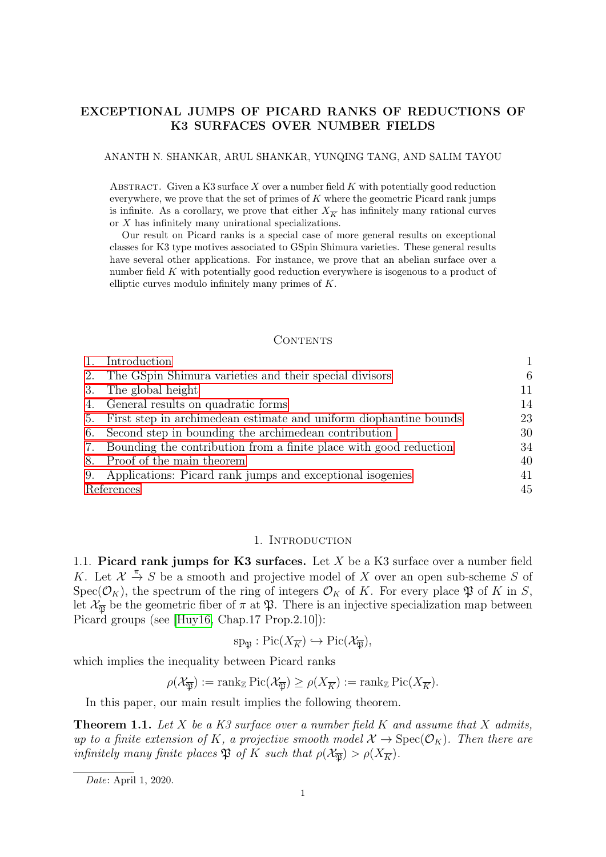# EXCEPTIONAL JUMPS OF PICARD RANKS OF REDUCTIONS OF K3 SURFACES OVER NUMBER FIELDS

### ANANTH N. SHANKAR, ARUL SHANKAR, YUNQING TANG, AND SALIM TAYOU

ABSTRACT. Given a K3 surface  $X$  over a number field  $K$  with potentially good reduction everywhere, we prove that the set of primes of K where the geometric Picard rank jumps is infinite. As a corollary, we prove that either  $X_{\overline{K}}$  has infinitely many rational curves or X has infinitely many unirational specializations.

Our result on Picard ranks is a special case of more general results on exceptional classes for K3 type motives associated to GSpin Shimura varieties. These general results have several other applications. For instance, we prove that an abelian surface over a number field K with potentially good reduction everywhere is isogenous to a product of elliptic curves modulo infinitely many primes of K.

### **CONTENTS**

|            | Introduction                                                      |    |
|------------|-------------------------------------------------------------------|----|
| 2.         | The GSpin Shimura varieties and their special divisors            | 6  |
| 3.         | The global height                                                 | 11 |
| 4.         | General results on quadratic forms                                | 14 |
| 5.         | First step in archimedean estimate and uniform diophantine bounds | 23 |
| 6.         | Second step in bounding the archimedean contribution              | 30 |
| 7.         | Bounding the contribution from a finite place with good reduction | 34 |
| 8.         | Proof of the main theorem                                         | 40 |
| 9.         | Applications: Picard rank jumps and exceptional isogenies         | 41 |
| References |                                                                   | 45 |

### 1. INTRODUCTION

<span id="page-0-0"></span>1.1. Picard rank jumps for K3 surfaces. Let  $X$  be a K3 surface over a number field K. Let  $\mathcal{X} \stackrel{\pi}{\rightarrow} S$  be a smooth and projective model of X over an open sub-scheme S of  $Spec(\mathcal{O}_K)$ , the spectrum of the ring of integers  $\mathcal{O}_K$  of K. For every place  $\mathfrak{P}$  of K in S, let  $\mathcal{X}_{\overline{\mathfrak{X}}}$  be the geometric fiber of  $\pi$  at  $\mathfrak{P}$ . There is an injective specialization map between Picard groups (see [\[Huy16,](#page-46-0) Chap.17 Prop.2.10]):

$$
sp_{\mathfrak{P}}: Pic(X_{\overline{K}}) \hookrightarrow Pic(X_{\overline{\mathfrak{P}}}),
$$

which implies the inequality between Picard ranks

$$
\rho(\mathcal{X}_{\overline{\mathfrak{P}}}) := \mathrm{rank}_{\mathbb{Z}} \mathrm{Pic}(\mathcal{X}_{\overline{\mathfrak{P}}}) \ge \rho(X_{\overline{K}}) := \mathrm{rank}_{\mathbb{Z}} \mathrm{Pic}(X_{\overline{K}}).
$$

In this paper, our main result implies the following theorem.

<span id="page-0-1"></span>**Theorem 1.1.** Let X be a K3 surface over a number field K and assume that X admits, up to a finite extension of K, a projective smooth model  $\mathcal{X} \to \text{Spec}(\mathcal{O}_K)$ . Then there are infinitely many finite places  $\mathfrak{P}$  of K such that  $\rho(\mathcal{X}_{\overline{N}}) > \rho(X_{\overline{K}})$ .

Date: April 1, 2020.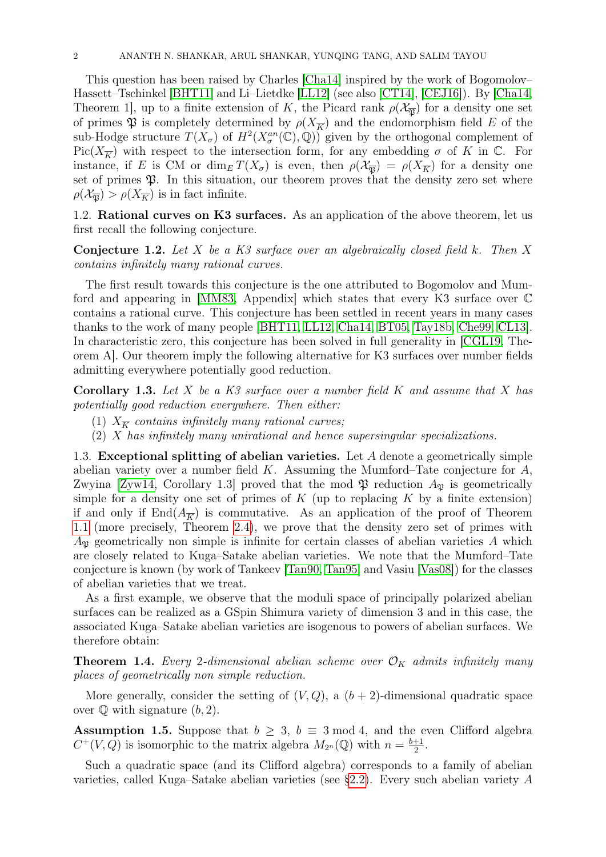This question has been raised by Charles [\[Cha14\]](#page-45-0) inspired by the work of Bogomolov– Hassett–Tschinkel [\[BHT11\]](#page-45-1) and Li–Lietdke [\[LL12\]](#page-46-1) (see also [\[CT14\]](#page-45-2), [\[CEJ16\]](#page-45-3)). By [\[Cha14,](#page-45-0) Theorem 1, up to a finite extension of K, the Picard rank  $\rho(\mathcal{X}_{\overline{n}})$  for a density one set of primes  $\mathfrak P$  is completely determined by  $\rho(X_{\overline{K}})$  and the endomorphism field E of the sub-Hodge structure  $T(X_{\sigma})$  of  $H^2(X_{\sigma}^{an}(\mathbb{C}), \mathbb{Q})$  given by the orthogonal complement of Pic( $X_{\overline{K}}$ ) with respect to the intersection form, for any embedding  $\sigma$  of K in C. For instance, if E is CM or  $\dim_E T(X_\sigma)$  is even, then  $\rho(\mathcal{X}_{\overline{\mathfrak{P}}}) = \rho(X_{\overline{K}})$  for a density one set of primes  $\mathfrak{P}$ . In this situation, our theorem proves that the density zero set where  $\rho(\mathcal{X}_{\overline{\mathfrak{B}}}) > \rho(X_{\overline{K}})$  is in fact infinite.

1.2. Rational curves on K3 surfaces. As an application of the above theorem, let us first recall the following conjecture.

**Conjecture 1.2.** Let X be a K3 surface over an algebraically closed field k. Then X contains infinitely many rational curves.

The first result towards this conjecture is the one attributed to Bogomolov and Mumford and appearing in [\[MM83,](#page-46-2) Appendix] which states that every K3 surface over C contains a rational curve. This conjecture has been settled in recent years in many cases thanks to the work of many people [\[BHT11,](#page-45-1) [LL12,](#page-46-1) [Cha14,](#page-45-0) [BT05,](#page-45-4) [Tay18b,](#page-46-3) [Che99,](#page-45-5) [CL13\]](#page-45-6). In characteristic zero, this conjecture has been solved in full generality in [\[CGL19,](#page-45-7) Theorem A]. Our theorem imply the following alternative for K3 surfaces over number fields admitting everywhere potentially good reduction.

<span id="page-1-0"></span>**Corollary 1.3.** Let X be a K3 surface over a number field K and assume that X has potentially good reduction everywhere. Then either:

- (1)  $X_{\overline{K}}$  contains infinitely many rational curves;
- (2) X has infinitely many unirational and hence supersingular specializations.

1.3. Exceptional splitting of abelian varieties. Let A denote a geometrically simple abelian variety over a number field  $K$ . Assuming the Mumford–Tate conjecture for  $A$ , Zwyina [\[Zyw14,](#page-47-0) Corollary 1.3] proved that the mod  $\mathfrak P$  reduction  $A_{\mathfrak P}$  is geometrically simple for a density one set of primes of  $K$  (up to replacing  $K$  by a finite extension) if and only if  $\text{End}(A_{\overline{K}})$  is commutative. As an application of the proof of Theorem [1.1](#page-0-1) (more precisely, Theorem [2.4\)](#page-10-1), we prove that the density zero set of primes with  $A_{\mathfrak{R}}$  geometrically non simple is infinite for certain classes of abelian varieties A which are closely related to Kuga–Satake abelian varieties. We note that the Mumford–Tate conjecture is known (by work of Tankeev [\[Tan90,](#page-46-4) [Tan95\]](#page-46-5) and Vasiu [\[Vas08\]](#page-46-6)) for the classes of abelian varieties that we treat.

As a first example, we observe that the moduli space of principally polarized abelian surfaces can be realized as a GSpin Shimura variety of dimension 3 and in this case, the associated Kuga–Satake abelian varieties are isogenous to powers of abelian surfaces. We therefore obtain:

<span id="page-1-1"></span>**Theorem 1.4.** Every 2-dimensional abelian scheme over  $\mathcal{O}_K$  admits infinitely many places of geometrically non simple reduction.

More generally, consider the setting of  $(V, Q)$ , a  $(b + 2)$ -dimensional quadratic space over  $\mathbb Q$  with signature  $(b, 2)$ .

<span id="page-1-2"></span>**Assumption 1.5.** Suppose that  $b \geq 3$ ,  $b \equiv 3 \mod 4$ , and the even Clifford algebra  $C^+(V,Q)$  is isomorphic to the matrix algebra  $M_{2^n}(\mathbb{Q})$  with  $n=\frac{b+1}{2}$  $\frac{+1}{2}$ .

Such a quadratic space (and its Clifford algebra) corresponds to a family of abelian varieties, called Kuga–Satake abelian varieties (see [§2.2\)](#page-6-0). Every such abelian variety A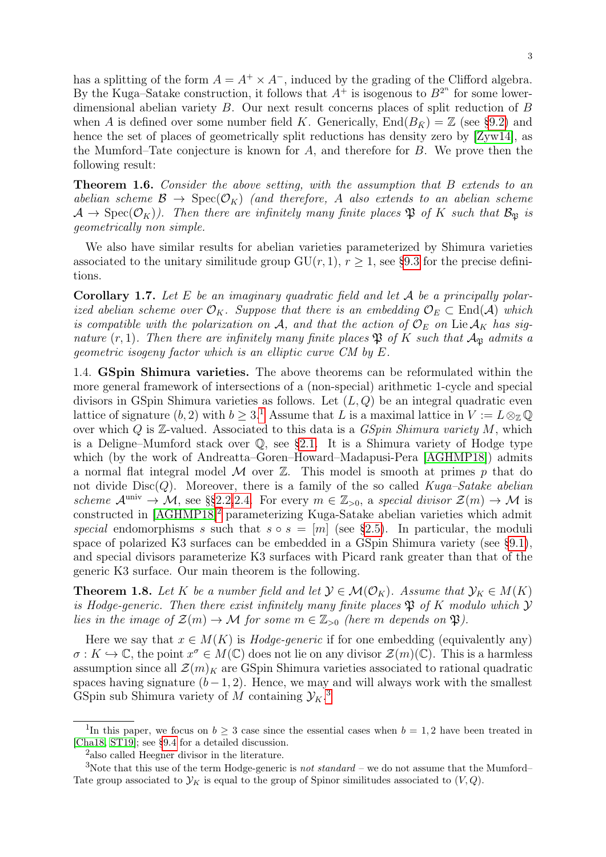has a splitting of the form  $A = A^+ \times A^-$ , induced by the grading of the Clifford algebra. By the Kuga–Satake construction, it follows that  $A^+$  is isogenous to  $B^{2^n}$  for some lowerdimensional abelian variety B. Our next result concerns places of split reduction of B when A is defined over some number field K. Generically,  $\text{End}(B_{\bar{K}}) = \mathbb{Z}$  (see [§9.2\)](#page-41-0) and hence the set of places of geometrically split reductions has density zero by [\[Zyw14\]](#page-47-0), as the Mumford–Tate conjecture is known for  $A$ , and therefore for  $B$ . We prove then the following result:

<span id="page-2-4"></span>Theorem 1.6. Consider the above setting, with the assumption that B extends to an abelian scheme  $\mathcal{B} \to \text{Spec}(\mathcal{O}_K)$  (and therefore, A also extends to an abelian scheme  $\mathcal{A} \to \text{Spec}(\mathcal{O}_K)$ . Then there are infinitely many finite places  $\mathfrak{P}$  of K such that  $\mathcal{B}_{\mathfrak{P}}$  is geometrically non simple.

We also have similar results for abelian varieties parameterized by Shimura varieties associated to the unitary similitude group  $GU(r, 1), r > 1$ , see [§9.3](#page-42-0) for the precise definitions.

<span id="page-2-5"></span>**Corollary 1.7.** Let E be an imaginary quadratic field and let  $A$  be a principally polarized abelian scheme over  $\mathcal{O}_K$ . Suppose that there is an embedding  $\mathcal{O}_E \subset \text{End}(\mathcal{A})$  which is compatible with the polarization on A, and that the action of  $\mathcal{O}_E$  on Lie  $\mathcal{A}_K$  has signature  $(r, 1)$ . Then there are infinitely many finite places  $\mathfrak P$  of K such that  $\mathcal A_{\mathfrak P}$  admits a geometric isogeny factor which is an elliptic curve CM by E.

1.4. GSpin Shimura varieties. The above theorems can be reformulated within the more general framework of intersections of a (non-special) arithmetic 1-cycle and special divisors in GSpin Shimura varieties as follows. Let  $(L, Q)$  be an integral quadratic even lattice of signature (b, 2) with  $b \geq 3$ .<sup>[1](#page-2-0)</sup> Assume that L is a maximal lattice in  $V := L \otimes_{\mathbb{Z}} \mathbb{Q}$ over which  $Q$  is  $\mathbb{Z}$ -valued. Associated to this data is a  $GSpin\ Shimura\ variety\ M,$  which is a Deligne–Mumford stack over  $\mathbb{Q}$ , see [§2.1.](#page-5-1) It is a Shimura variety of Hodge type which (by the work of Andreatta–Goren–Howard–Madapusi-Pera [\[AGHMP18\]](#page-44-1)) admits a normal flat integral model  $M$  over  $\mathbb{Z}$ . This model is smooth at primes p that do not divide  $Disc(Q)$ . Moreover, there is a family of the so called Kuga–Satake abelian scheme  $\mathcal{A}^{\text{univ}} \to \mathcal{M}$ , see §[§2.2](#page-6-0)[,2.4.](#page-8-0) For every  $m \in \mathbb{Z}_{>0}$ , a special divisor  $\mathcal{Z}(m) \to \mathcal{M}$  is constructed in [\[AGHMP18\]](#page-44-1)<sup>[2](#page-2-1)</sup> parameterizing Kuga-Satake abelian varieties which admit special endomorphisms s such that  $s \circ s = [m]$  (see [§2.5\)](#page-9-0). In particular, the moduli space of polarized K3 surfaces can be embedded in a GSpin Shimura variety (see [§9.1\)](#page-41-1), and special divisors parameterize K3 surfaces with Picard rank greater than that of the generic K3 surface. Our main theorem is the following.

<span id="page-2-3"></span>**Theorem 1.8.** Let K be a number field and let  $\mathcal{Y} \in \mathcal{M}(\mathcal{O}_K)$ . Assume that  $\mathcal{Y}_K \in M(K)$ is Hodge-generic. Then there exist infinitely many finite places  $\mathfrak P$  of K modulo which  $\mathcal Y$ lies in the image of  $\mathcal{Z}(m) \to \mathcal{M}$  for some  $m \in \mathbb{Z}_{>0}$  (here m depends on  $\mathfrak{P}$ ).

Here we say that  $x \in M(K)$  is Hodge-generic if for one embedding (equivalently any)  $\sigma: K \hookrightarrow \mathbb{C}$ , the point  $x^{\sigma} \in M(\mathbb{C})$  does not lie on any divisor  $\mathcal{Z}(m)(\mathbb{C})$ . This is a harmless assumption since all  $\mathcal{Z}(m)_K$  are GSpin Shimura varieties associated to rational quadratic spaces having signature  $(b-1, 2)$ . Hence, we may and will always work with the smallest GSpin sub Shimura variety of M containing  $\mathcal{Y}_K$ .<sup>[3](#page-2-2)</sup>

<span id="page-2-0"></span><sup>&</sup>lt;sup>1</sup>In this paper, we focus on  $b \geq 3$  case since the essential cases when  $b = 1, 2$  have been treated in [\[Cha18,](#page-45-8) [ST19\]](#page-46-7); see [§9.4](#page-43-0) for a detailed discussion.

<span id="page-2-2"></span><span id="page-2-1"></span><sup>2</sup> also called Heegner divisor in the literature.

<sup>&</sup>lt;sup>3</sup>Note that this use of the term Hodge-generic is *not standard* – we do not assume that the Mumford– Tate group associated to  $\mathcal{Y}_K$  is equal to the group of Spinor similitudes associated to  $(V, Q)$ .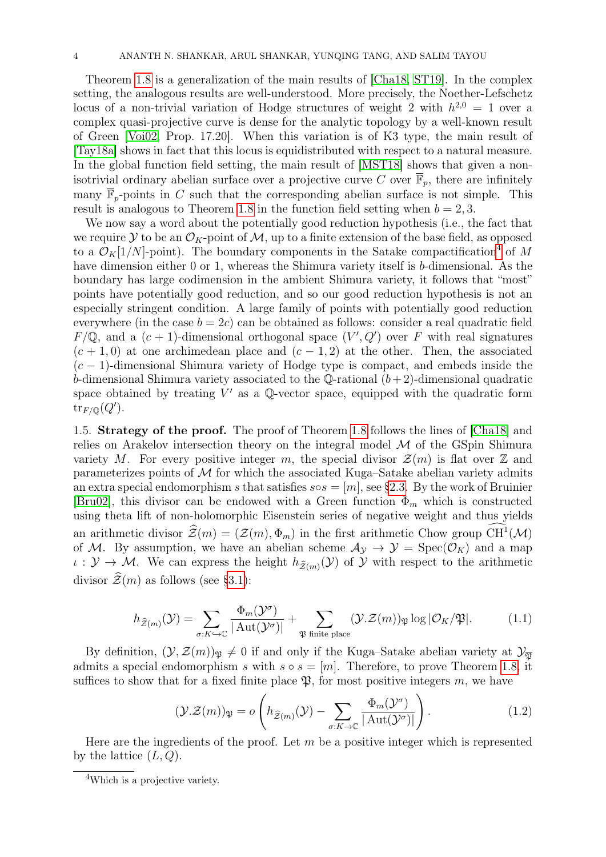Theorem [1.8](#page-2-3) is a generalization of the main results of [\[Cha18,](#page-45-8) [ST19\]](#page-46-7). In the complex setting, the analogous results are well-understood. More precisely, the Noether-Lefschetz locus of a non-trivial variation of Hodge structures of weight 2 with  $h^{2,0} = 1$  over a complex quasi-projective curve is dense for the analytic topology by a well-known result of Green [\[Voi02,](#page-47-1) Prop. 17.20]. When this variation is of K3 type, the main result of [\[Tay18a\]](#page-46-8) shows in fact that this locus is equidistributed with respect to a natural measure. In the global function field setting, the main result of [\[MST18\]](#page-46-9) shows that given a nonisotrivial ordinary abelian surface over a projective curve C over  $\overline{\mathbb{F}}_p$ , there are infinitely many  $\overline{\mathbb{F}}_p$ -points in C such that the corresponding abelian surface is not simple. This result is analogous to Theorem [1.8](#page-2-3) in the function field setting when  $b = 2, 3$ .

We now say a word about the potentially good reduction hypothesis (i.e., the fact that we require Y to be an  $\mathcal{O}_K$ -point of M, up to a finite extension of the base field, as opposed to a  $\mathcal{O}_K[1/N]$ -point). The boundary components in the Satake compactification<sup>[4](#page-3-0)</sup> of M have dimension either 0 or 1, whereas the Shimura variety itself is b-dimensional. As the boundary has large codimension in the ambient Shimura variety, it follows that "most" points have potentially good reduction, and so our good reduction hypothesis is not an especially stringent condition. A large family of points with potentially good reduction everywhere (in the case  $b = 2c$ ) can be obtained as follows: consider a real quadratic field  $F(\mathbb{Q})$ , and a  $(c+1)$ -dimensional orthogonal space  $(V', Q')$  over F with real signatures  $(c + 1, 0)$  at one archimedean place and  $(c - 1, 2)$  at the other. Then, the associated  $(c-1)$ -dimensional Shimura variety of Hodge type is compact, and embeds inside the b-dimensional Shimura variety associated to the  $\mathbb Q$ -rational  $(b+2)$ -dimensional quadratic space obtained by treating  $\tilde{V}'$  as a Q-vector space, equipped with the quadratic form  $\mathrm{tr}_{F/\mathbb{Q}}(Q').$ 

1.5. Strategy of the proof. The proof of Theorem [1.8](#page-2-3) follows the lines of [\[Cha18\]](#page-45-8) and relies on Arakelov intersection theory on the integral model  $\mathcal M$  of the GSpin Shimura variety M. For every positive integer m, the special divisor  $\mathcal{Z}(m)$  is flat over  $\mathbb Z$  and parameterizes points of  $\mathcal M$  for which the associated Kuga–Satake abelian variety admits an extra special endomorphism s that satisfies  $s \circ s = [m]$ , see [§2.3.](#page-7-0) By the work of Bruinier [\[Bru02\]](#page-45-9), this divisor can be endowed with a Green function  $\Phi_m$  which is constructed using theta lift of non-holomorphic Eisenstein series of negative weight and thus yields an arithmetic divisor  $\widehat{\mathcal{Z}}(m) = (\mathcal{Z}(m), \Phi_m)$  in the first arithmetic Chow group CH<sup>1</sup>(M) of M. By assumption, we have an abelian scheme  $\mathcal{A}_{\mathcal{Y}} \to \mathcal{Y} = \text{Spec}(\mathcal{O}_K)$  and a map  $\iota: \mathcal{Y} \to \mathcal{M}$ . We can express the height  $h_{\hat{\mathcal{Z}}(m)}(\mathcal{Y})$  of  $\mathcal{Y}$  with respect to the arithmetic divisor  $\hat{\mathcal{Z}}(m)$  as follows (see [§3.1\)](#page-10-2):

$$
h_{\widehat{\mathcal{Z}}(m)}(\mathcal{Y}) = \sum_{\sigma: K \hookrightarrow \mathbb{C}} \frac{\Phi_m(\mathcal{Y}^{\sigma})}{|\operatorname{Aut}(\mathcal{Y}^{\sigma})|} + \sum_{\mathfrak{P} \text{ finite place}} (\mathcal{Y}.\mathcal{Z}(m))_{\mathfrak{P}} \log |\mathcal{O}_K/\mathfrak{P}|.
$$
 (1.1)

By definition,  $(\mathcal{Y}, \mathcal{Z}(m))_{\mathfrak{V}} \neq 0$  if and only if the Kuga–Satake abelian variety at  $\mathcal{Y}_{\overline{\mathfrak{N}}}$ admits a special endomorphism s with  $s \circ s = [m]$ . Therefore, to prove Theorem [1.8,](#page-2-3) it suffices to show that for a fixed finite place  $\mathfrak{P}$ , for most positive integers m, we have

<span id="page-3-2"></span><span id="page-3-1"></span>
$$
(\mathcal{Y}\mathcal{Z}(m))_{\mathfrak{P}} = o\left(h_{\widehat{\mathcal{Z}}(m)}(\mathcal{Y}) - \sum_{\sigma:K\to\mathbb{C}}\frac{\Phi_m(\mathcal{Y}^{\sigma})}{|\operatorname{Aut}(\mathcal{Y}^{\sigma})|}\right).
$$
(1.2)

Here are the ingredients of the proof. Let  $m$  be a positive integer which is represented by the lattice  $(L, Q)$ .

<span id="page-3-0"></span><sup>4</sup>Which is a projective variety.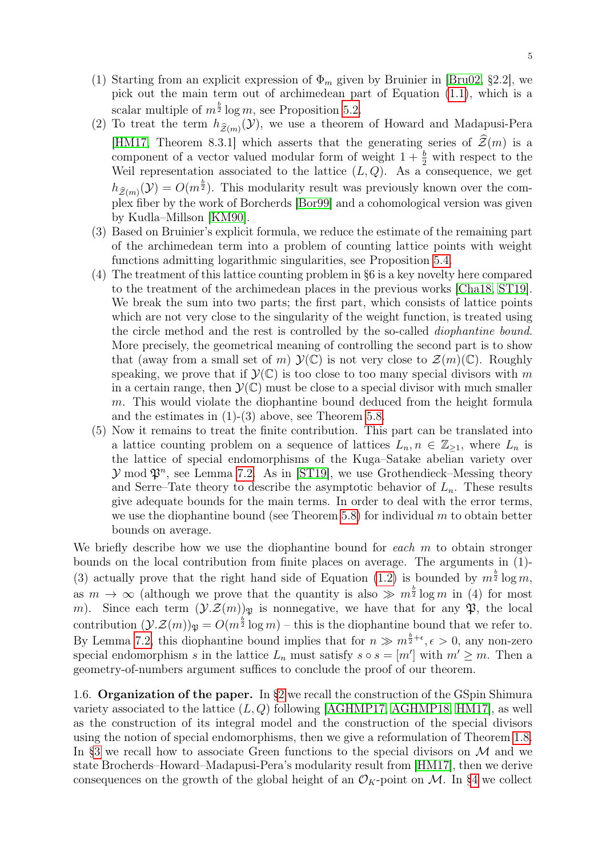- (1) Starting from an explicit expression of  $\Phi_m$  given by Bruinier in [\[Bru02,](#page-45-9) §2.2], we pick out the main term out of archimedean part of Equation [\(1.1\)](#page-3-1), which is a scalar multiple of  $m^{\frac{b}{2}}$  log m, see Proposition [5.2.](#page-23-0)
- (2) To treat the term  $h_{\hat{\mathcal{Z}}(m)}(\mathcal{Y})$ , we use a theorem of Howard and Madapusi-Pera [\[HM17,](#page-46-10) Theorem 8.3.1] which asserts that the generating series of  $\mathcal{Z}(m)$  is a component of a vector valued modular form of weight  $1 + \frac{b}{2}$  with respect to the Weil representation associated to the lattice  $(L, Q)$ . As a consequence, we get  $h_{\hat{\mathcal{Z}}(m)}(\mathcal{Y}) = O(m^{\frac{b}{2}})$ . This modularity result was previously known over the complex fiber by the work of Borcherds [\[Bor99\]](#page-45-10) and a cohomological version was given by Kudla–Millson [\[KM90\]](#page-46-11).
- (3) Based on Bruinier's explicit formula, we reduce the estimate of the remaining part of the archimedean term into a problem of counting lattice points with weight functions admitting logarithmic singularities, see Proposition [5.4.](#page-25-0)
- (4) The treatment of this lattice counting problem in §6 is a key novelty here compared to the treatment of the archimedean places in the previous works [\[Cha18,](#page-45-8) [ST19\]](#page-46-7). We break the sum into two parts; the first part, which consists of lattice points which are not very close to the singularity of the weight function, is treated using the circle method and the rest is controlled by the so-called diophantine bound. More precisely, the geometrical meaning of controlling the second part is to show that (away from a small set of m)  $\mathcal{Y}(\mathbb{C})$  is not very close to  $\mathcal{Z}(m)(\mathbb{C})$ . Roughly speaking, we prove that if  $\mathcal{Y}(\mathbb{C})$  is too close to too many special divisors with m in a certain range, then  $\mathcal{Y}(\mathbb{C})$  must be close to a special divisor with much smaller m. This would violate the diophantine bound deduced from the height formula and the estimates in  $(1)-(3)$  above, see Theorem [5.8.](#page-28-0)
- (5) Now it remains to treat the finite contribution. This part can be translated into a lattice counting problem on a sequence of lattices  $L_n, n \in \mathbb{Z}_{\geq 1}$ , where  $L_n$  is the lattice of special endomorphisms of the Kuga–Satake abelian variety over  $\mathcal{Y}$  mod  $\mathfrak{P}^n$ , see Lemma [7.2.](#page-34-0) As in [\[ST19\]](#page-46-7), we use Grothendieck–Messing theory and Serre–Tate theory to describe the asymptotic behavior of  $L_n$ . These results give adequate bounds for the main terms. In order to deal with the error terms, we use the diophantine bound (see Theorem [5.8\)](#page-28-0) for individual  $m$  to obtain better bounds on average.

We briefly describe how we use the diophantine bound for each  $m$  to obtain stronger bounds on the local contribution from finite places on average. The arguments in (1)- (3) actually prove that the right hand side of Equation [\(1.2\)](#page-3-2) is bounded by  $m^{\frac{b}{2}} \log m$ , as  $m \to \infty$  (although we prove that the quantity is also  $\gg m^{\frac{b}{2}} \log m$  in (4) for most m). Since each term  $(\mathcal{Y}.\mathcal{Z}(m))_{\mathfrak{P}}$  is nonnegative, we have that for any  $\mathfrak{P},$  the local contribution  $(\mathcal{Y}.\mathcal{Z}(m))_{\mathfrak{P}} = O(m^{\frac{b}{2}} \log m)$  – this is the diophantine bound that we refer to. By Lemma [7.2,](#page-34-0) this diophantine bound implies that for  $n \gg m^{\frac{b}{2}+\epsilon}, \epsilon > 0$ , any non-zero special endomorphism s in the lattice  $L_n$  must satisfy  $s \circ s = [m']$  with  $m' \geq m$ . Then a geometry-of-numbers argument suffices to conclude the proof of our theorem.

1.6. **Organization of the paper.** In  $\S$ 2 we recall the construction of the GSpin Shimura variety associated to the lattice  $(L, Q)$  following [\[AGHMP17,](#page-44-2) [AGHMP18,](#page-44-1) [HM17\]](#page-46-10), as well as the construction of its integral model and the construction of the special divisors using the notion of special endomorphisms, then we give a reformulation of Theorem [1.8.](#page-2-3) In [§3](#page-10-0) we recall how to associate Green functions to the special divisors on  $\mathcal M$  and we state Brocherds–Howard–Madapusi-Pera's modularity result from [\[HM17\]](#page-46-10), then we derive consequences on the growth of the global height of an  $\mathcal{O}_K$ -point on M. In [§4](#page-13-0) we collect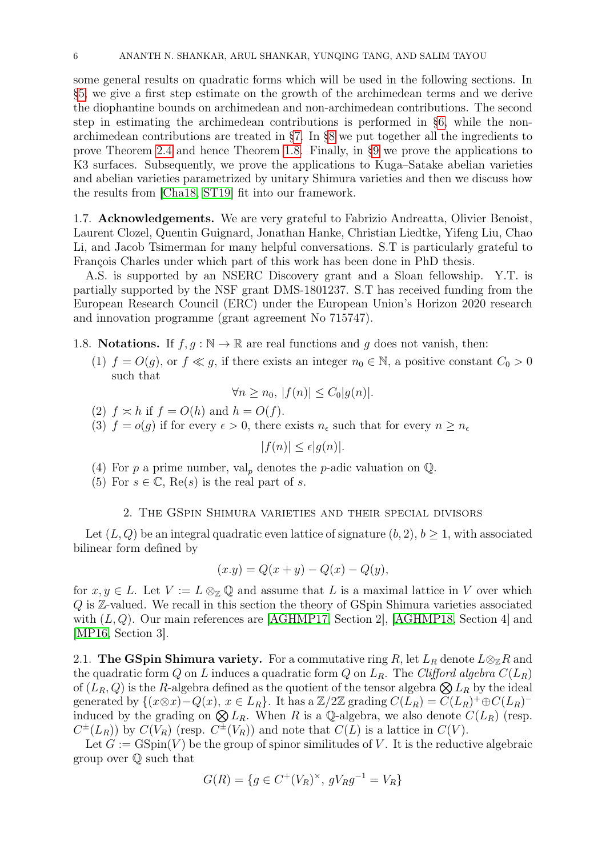some general results on quadratic forms which will be used in the following sections. In [§5,](#page-22-0) we give a first step estimate on the growth of the archimedean terms and we derive the diophantine bounds on archimedean and non-archimedean contributions. The second step in estimating the archimedean contributions is performed in [§6,](#page-29-0) while the nonarchimedean contributions are treated in [§7.](#page-33-0) In [§8](#page-39-0) we put together all the ingredients to prove Theorem [2.4](#page-10-1) and hence Theorem [1.8.](#page-2-3) Finally, in [§9](#page-40-0) we prove the applications to K3 surfaces. Subsequently, we prove the applications to Kuga–Satake abelian varieties and abelian varieties parametrized by unitary Shimura varieties and then we discuss how the results from [\[Cha18,](#page-45-8) [ST19\]](#page-46-7) fit into our framework.

1.7. Acknowledgements. We are very grateful to Fabrizio Andreatta, Olivier Benoist, Laurent Clozel, Quentin Guignard, Jonathan Hanke, Christian Liedtke, Yifeng Liu, Chao Li, and Jacob Tsimerman for many helpful conversations. S.T is particularly grateful to François Charles under which part of this work has been done in PhD thesis.

A.S. is supported by an NSERC Discovery grant and a Sloan fellowship. Y.T. is partially supported by the NSF grant DMS-1801237. S.T has received funding from the European Research Council (ERC) under the European Union's Horizon 2020 research and innovation programme (grant agreement No 715747).

- 1.8. Notations. If  $f, g : \mathbb{N} \to \mathbb{R}$  are real functions and g does not vanish, then:
	- (1)  $f = O(g)$ , or  $f \ll g$ , if there exists an integer  $n_0 \in \mathbb{N}$ , a positive constant  $C_0 > 0$ such that

$$
\forall n \ge n_0, |f(n)| \le C_0|g(n)|.
$$

- (2)  $f \approx h$  if  $f = O(h)$  and  $h = O(f)$ .
- (3)  $f = o(g)$  if for every  $\epsilon > 0$ , there exists  $n_{\epsilon}$  such that for every  $n \geq n_{\epsilon}$

$$
|f(n)| \le \epsilon |g(n)|.
$$

- (4) For p a prime number, val<sub>p</sub> denotes the p-adic valuation on  $\mathbb{Q}$ .
- (5) For  $s \in \mathbb{C}$ , Re(s) is the real part of s.

### 2. The GSpin Shimura varieties and their special divisors

<span id="page-5-0"></span>Let  $(L, Q)$  be an integral quadratic even lattice of signature  $(b, 2), b \ge 1$ , with associated bilinear form defined by

$$
(x.y) = Q(x + y) - Q(x) - Q(y),
$$

for  $x, y \in L$ . Let  $V := L \otimes_{\mathbb{Z}} \mathbb{Q}$  and assume that L is a maximal lattice in V over which Q is Z-valued. We recall in this section the theory of GSpin Shimura varieties associated with  $(L, Q)$ . Our main references are [\[AGHMP17,](#page-44-2) Section 2], [\[AGHMP18,](#page-44-1) Section 4] and [\[MP16,](#page-46-12) Section 3].

<span id="page-5-1"></span>2.1. The GSpin Shimura variety. For a commutative ring R, let  $L_R$  denote  $L \otimes_{\mathbb{Z}} R$  and the quadratic form Q on L induces a quadratic form Q on  $L_R$ . The Clifford algebra  $C(L_R)$ of  $(L_R, Q)$  is the R-algebra defined as the quotient of the tensor algebra  $\bigotimes L_R$  by the ideal generated by  $\{(x \otimes x) - Q(x), x \in L_R\}$ . It has a  $\mathbb{Z}/2\mathbb{Z}$  grading  $C(L_R) = \widetilde{C}(L_R)^+ \oplus C(L_R)^$ induced by the grading on  $\bigotimes L_R$ . When R is a Q-algebra, we also denote  $C(L_R)$  (resp.  $C^{\pm}(L_R)$  by  $C(V_R)$  (resp.  $C^{\pm}(V_R)$ ) and note that  $C(L)$  is a lattice in  $C(V)$ .

Let  $G := \text{GSpin}(V)$  be the group of spinor similitudes of V. It is the reductive algebraic group over Q such that

$$
G(R) = \{ g \in C^+(V_R)^\times, gV_Rg^{-1} = V_R \}
$$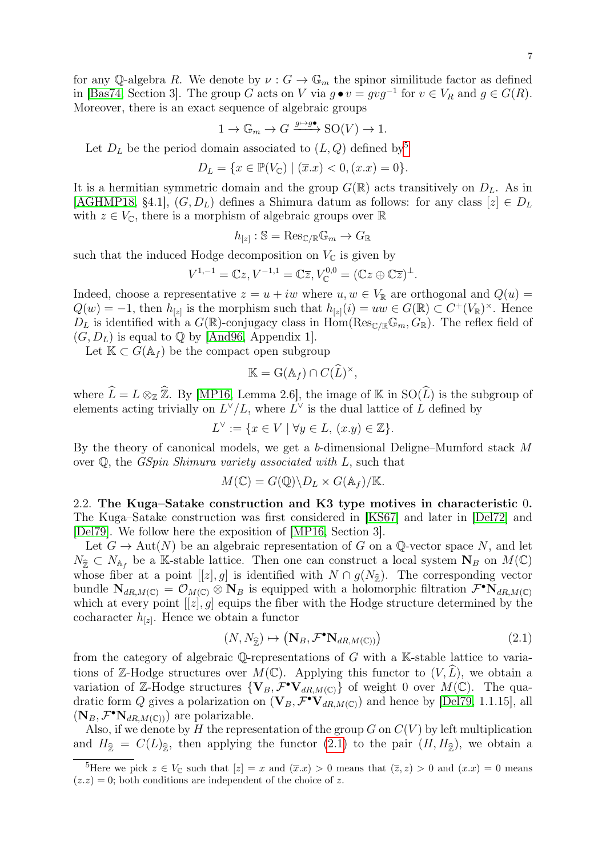for any Q-algebra R. We denote by  $\nu : G \to \mathbb{G}_m$  the spinor similitude factor as defined in [\[Bas74,](#page-44-3) Section 3]. The group G acts on V via  $g \bullet v = gyg^{-1}$  for  $v \in V_R$  and  $g \in G(R)$ . Moreover, there is an exact sequence of algebraic groups

$$
1 \to \mathbb{G}_m \to G \xrightarrow{g \mapsto g \bullet} \text{SO}(V) \to 1.
$$

Let  $D_L$  be the period domain associated to  $(L, Q)$  defined by<sup>[5](#page-6-1)</sup>

$$
D_L = \{ x \in \mathbb{P}(V_{\mathbb{C}}) \mid (\overline{x}.x) < 0, (x.x) = 0 \}.
$$

It is a hermitian symmetric domain and the group  $G(\mathbb{R})$  acts transitively on  $D<sub>L</sub>$ . As in [\[AGHMP18,](#page-44-1) §4.1],  $(G, D_L)$  defines a Shimura datum as follows: for any class  $[z] \in D_L$ with  $z \in V_{\mathbb{C}}$ , there is a morphism of algebraic groups over  $\mathbb{R}$ 

$$
h_{[z]}: \mathbb{S} = \text{Res}_{\mathbb{C}/\mathbb{R}} \mathbb{G}_m \to G_{\mathbb{R}}
$$

such that the induced Hodge decomposition on  $V_{\mathbb{C}}$  is given by

$$
V^{1,-1} = \mathbb{C}z, V^{-1,1} = \mathbb{C}\overline{z}, V^{0,0}_{\mathbb{C}} = (\mathbb{C}z \oplus \mathbb{C}\overline{z})^{\perp}.
$$

Indeed, choose a representative  $z = u + iw$  where  $u, w \in V_{\mathbb{R}}$  are orthogonal and  $Q(u) =$  $Q(w) = -1$ , then  $h_{[z]}$  is the morphism such that  $h_{[z]}(i) = uw \in G(\mathbb{R}) \subset C^{+}(V_{\mathbb{R}})^{\times}$ . Hence  $D_L$  is identified with a  $G(\mathbb{R})$ -conjugacy class in Hom $(\text{Res}_{\mathbb{C}/\mathbb{R}}\mathbb{G}_m, G_{\mathbb{R}})$ . The reflex field of  $(G, D_L)$  is equal to Q by [\[And96,](#page-44-4) Appendix 1].

Let  $\mathbb{K} \subset G(\mathbb{A}_f)$  be the compact open subgroup

$$
\mathbb{K} = \mathrm{G}(\mathbb{A}_f) \cap C(\widehat{L})^{\times},
$$

where  $\hat{L} = L \otimes_{\mathbb{Z}} \hat{\mathbb{Z}}$ . By [\[MP16,](#page-46-12) Lemma 2.6], the image of K in SO( $\hat{L}$ ) is the subgroup of elements acting trivially on  $L^{\vee}/L$ , where  $L^{\vee}$  is the dual lattice of L defined by

$$
L^{\vee} := \{ x \in V \mid \forall y \in L, \ (x.y) \in \mathbb{Z} \}.
$$

By the theory of canonical models, we get a b-dimensional Deligne–Mumford stack M over Q, the GSpin Shimura variety associated with L, such that

$$
M(\mathbb{C}) = G(\mathbb{Q}) \backslash D_L \times G(\mathbb{A}_f) / \mathbb{K}.
$$

<span id="page-6-0"></span>2.2. The Kuga–Satake construction and K3 type motives in characteristic 0. The Kuga–Satake construction was first considered in [\[KS67\]](#page-46-13) and later in [\[Del72\]](#page-45-11) and [\[Del79\]](#page-45-12). We follow here the exposition of [\[MP16,](#page-46-12) Section 3].

Let  $G \to \text{Aut}(N)$  be an algebraic representation of G on a Q-vector space N, and let  $N_{\hat{\mathbb{Z}}}\subset N_{\mathbb{A}_f}$  be a K-stable lattice. Then one can construct a local system  $\mathbf{N}_B$  on  $M(\mathbb{C})$ whose fiber at a point  $[[z], g]$  is identified with  $N \cap g(N_{\hat{x}})$ . The corresponding vector bundle  $N_{dR,M(\mathbb{C})} = \mathcal{O}_{M(\mathbb{C})} \otimes N_B$  is equipped with a holomorphic filtration  $\mathcal{F}^{\bullet}N_{dR,M(\mathbb{C})}$ which at every point  $[[z], g]$  equips the fiber with the Hodge structure determined by the cocharacter  $h_{[z]}$ . Hence we obtain a functor

<span id="page-6-2"></span>
$$
(N, N_{\widehat{\mathbb{Z}}}) \mapsto (\mathbf{N}_B, \mathcal{F}^{\bullet} \mathbf{N}_{dR, M(\mathbb{C}))})
$$
\n(2.1)

from the category of algebraic Q-representations of  $G$  with a K-stable lattice to variations of Z-Hodge structures over  $M(\mathbb{C})$ . Applying this functor to  $(V, L)$ , we obtain a variation of Z-Hodge structures  ${V_B, \mathcal{F}^{\bullet}V_{dR,M(C)}\}$  of weight 0 over  $M(\mathbb{C})$ . The quadratic form Q gives a polarization on  $(\mathbf{V}_B, \mathcal{F}^{\bullet} \mathbf{V}_{dR,M(\mathbb{C})})$  and hence by [\[Del79,](#page-45-12) 1.1.15], all  $(N_B, \mathcal{F}^{\bullet} N_{dR, M(\mathbb{C}))})$  are polarizable.

Also, if we denote by H the representation of the group G on  $C(V)$  by left multiplication and  $H_{\hat{\mathcal{Z}}} = C(L)_{\hat{\mathcal{Z}}}$ , then applying the functor [\(2.1\)](#page-6-2) to the pair  $(H, H_{\hat{\mathcal{Z}}})$ , we obtain a

<span id="page-6-1"></span><sup>&</sup>lt;sup>5</sup>Here we pick  $z \in V_{\mathbb{C}}$  such that  $[z] = x$  and  $(\overline{x}.x) > 0$  means that  $(\overline{z}, z) > 0$  and  $(x.x) = 0$  means  $(z.\overline{z}) = 0$ ; both conditions are independent of the choice of z.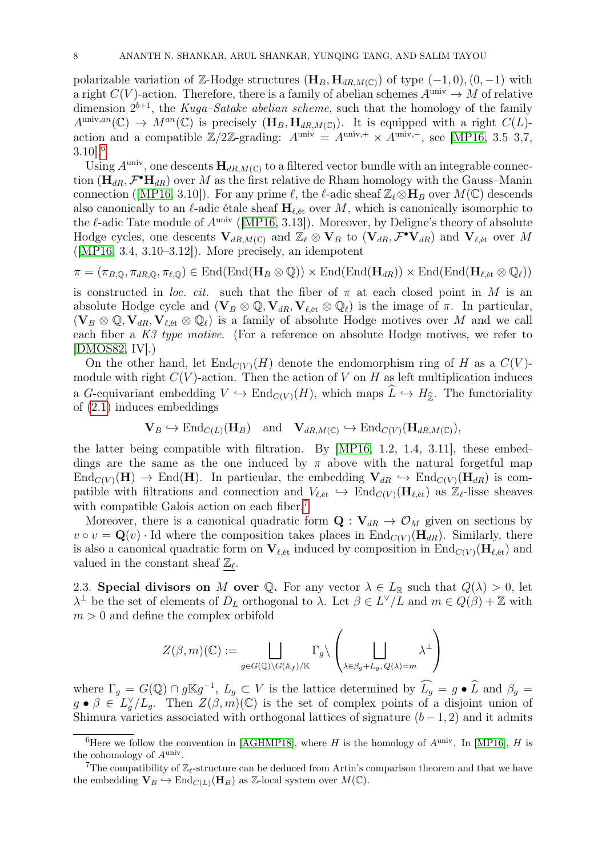polarizable variation of Z-Hodge structures  $(\mathbf{H}_B, \mathbf{H}_{dR,M(\mathbb{C})})$  of type  $(-1,0), (0,-1)$  with a right  $C(V)$ -action. Therefore, there is a family of abelian schemes  $A^{\text{univ}} \to M$  of relative dimension  $2^{b+1}$ , the Kuga–Satake abelian scheme, such that the homology of the family  $A^{\text{univ},an}(\mathbb{C}) \to M^{an}(\mathbb{C})$  is precisely  $(\mathbf{H}_B, \mathbf{H}_{dR,M(\mathbb{C})})$ . It is equipped with a right  $C(L)$ action and a compatible  $\mathbb{Z}/2\mathbb{Z}$ -grading:  $A^{\text{univ}} = A^{\text{univ},+} \times A^{\text{univ},-}$ , see [\[MP16,](#page-46-12) 3.5–3,7,  $3.10$ <sup>[6](#page-7-1)</sup>

Using  $A^{\text{univ}}$ , one descents  $H_{dR,M(\mathbb{C})}$  to a filtered vector bundle with an integrable connection  $(\mathbf{H}_{dR}, \mathcal{F}^{\bullet} \mathbf{H}_{dR})$  over M as the first relative de Rham homology with the Gauss–Manin connection ([\[MP16,](#page-46-12) 3.10]). For any prime  $\ell$ , the  $\ell$ -adic sheaf  $\mathbb{Z}_{\ell} \otimes \mathbf{H}_B$  over  $M(\mathbb{C})$  descends also canonically to an  $\ell$ -adic étale sheaf  $H_{\ell, \text{\'et}}$  over M, which is canonically isomorphic to the  $\ell$ -adic Tate module of  $A^{\text{univ}}$  ([\[MP16,](#page-46-12) 3.13]). Moreover, by Deligne's theory of absolute Hodge cycles, one descents  $V_{dR,M(C)}$  and  $\mathbb{Z}_\ell \otimes V_B$  to  $(V_{dR}, \mathcal{F}^\bullet V_{dR})$  and  $V_{\ell, \text{\'et}}$  over M  $([MP16, 3.4, 3.10-3.12])$  $([MP16, 3.4, 3.10-3.12])$  $([MP16, 3.4, 3.10-3.12])$ . More precisely, an idempotent

$$
\pi = (\pi_{B,\mathbb{Q}}, \pi_{dR,\mathbb{Q}}, \pi_{\ell,\mathbb{Q}}) \in \text{End}(\text{End}(\mathbf{H}_B \otimes \mathbb{Q})) \times \text{End}(\text{End}(\mathbf{H}_{dR})) \times \text{End}(\text{End}(\mathbf{H}_{\ell, \text{\'et}} \otimes \mathbb{Q}_{\ell}))
$$

is constructed in loc. cit. such that the fiber of  $\pi$  at each closed point in M is an absolute Hodge cycle and  $(\mathbf{V}_B \otimes \mathbb{Q}, \mathbf{V}_{dR}, \mathbf{V}_{\ell, \text{\'et}} \otimes \mathbb{Q}_\ell)$  is the image of  $\pi$ . In particular,  $(V_B \otimes \mathbb{Q}, V_{dR}, V_{\ell, \text{\'et}} \otimes \mathbb{Q}_\ell)$  is a family of absolute Hodge motives over M and we call each fiber a  $K3$  type motive. (For a reference on absolute Hodge motives, we refer to [\[DMOS82,](#page-45-13) IV].)

On the other hand, let  $\text{End}_{C(V)}(H)$  denote the endomorphism ring of H as a  $C(V)$ module with right  $C(V)$ -action. Then the action of V on H as left multiplication induces a G-equivariant embedding  $V \hookrightarrow \text{End}_{C(V)}(H)$ , which maps  $\widehat{L} \hookrightarrow H_{\widehat{\mathbb{Z}}}$ . The functoriality of [\(2.1\)](#page-6-2) induces embeddings

$$
\mathbf{V}_B \hookrightarrow \mathrm{End}_{C(L)}(\mathbf{H}_B) \quad \text{and} \quad \mathbf{V}_{dR,M(\mathbb{C})} \hookrightarrow \mathrm{End}_{C(V)}(\mathbf{H}_{dR,M(\mathbb{C})}),
$$

the latter being compatible with filtration. By [\[MP16,](#page-46-12) 1.2, 1.4, 3.11], these embeddings are the same as the one induced by  $\pi$  above with the natural forgetful map  $\text{End}_{C(V)}(\mathbf{H}) \to \text{End}(\mathbf{H})$ . In particular, the embedding  $\mathbf{V}_{dR} \hookrightarrow \text{End}_{C(V)}(\mathbf{H}_{dR})$  is compatible with filtrations and connection and  $V_{\ell, \text{\'et}} \hookrightarrow \text{End}_{C(V)}(\mathbf{H}_{\ell, \text{\'et}})$  as  $\mathbb{Z}_{\ell}$ -lisse sheaves with compatible Galois action on each fiber.<sup>[7](#page-7-2)</sup>

Moreover, there is a canonical quadratic form  $\mathbf{Q}: \mathbf{V}_{dR} \to \mathcal{O}_M$  given on sections by  $v \circ v = \mathbf{Q}(v)$ . Id where the composition takes places in End<sub>C(V)</sub>( $\mathbf{H}_{dR}$ ). Similarly, there is also a canonical quadratic form on  $V_{\ell, \text{\'et}}$  induced by composition in End<sub>C(V)</sub>( $\mathbf{H}_{\ell, \text{\'et}}$ ) and valued in the constant sheaf  $\mathbb{Z}_{\ell}$ .

<span id="page-7-0"></span>2.3. Special divisors on M over Q. For any vector  $\lambda \in L_{\mathbb{R}}$  such that  $Q(\lambda) > 0$ , let  $\lambda^{\perp}$  be the set of elements of  $D_L$  orthogonal to  $\lambda$ . Let  $\beta \in L^{\vee}/L$  and  $m \in Q(\beta) + \mathbb{Z}$  with  $m > 0$  and define the complex orbifold

$$
Z(\beta,m)(\mathbb{C}) := \bigsqcup_{g \in G(\mathbb{Q}) \backslash G(\mathbb{A}_f) / \mathbb{K}} \Gamma_g \backslash \left( \bigsqcup_{\lambda \in \beta_g + L_g, Q(\lambda) = m} \lambda^{\perp} \right)
$$

where  $\Gamma_g = G(\mathbb{Q}) \cap g \mathbb{K} g^{-1}$ ,  $L_g \subset V$  is the lattice determined by  $\widehat{L_g} = g \bullet \widehat{L}$  and  $\beta_g = g \bullet \widehat{L}$  $g \bullet \beta \in L_g^{\vee}/L_g$ . Then  $Z(\beta,m)(\mathbb{C})$  is the set of complex points of a disjoint union of Shimura varieties associated with orthogonal lattices of signature  $(b-1, 2)$  and it admits

<span id="page-7-1"></span><sup>&</sup>lt;sup>6</sup>Here we follow the convention in [\[AGHMP18\]](#page-44-1), where H is the homology of  $A^{\text{univ}}$ . In [\[MP16\]](#page-46-12), H is the cohomology of  $A^{\text{univ}}$ .

<span id="page-7-2"></span><sup>&</sup>lt;sup>7</sup>The compatibility of  $\mathbb{Z}_{\ell}$ -structure can be deduced from Artin's comparison theorem and that we have the embedding  $V_B \hookrightarrow \text{End}_{C(L)}(\mathbf{H}_B)$  as Z-local system over  $M(\mathbb{C})$ .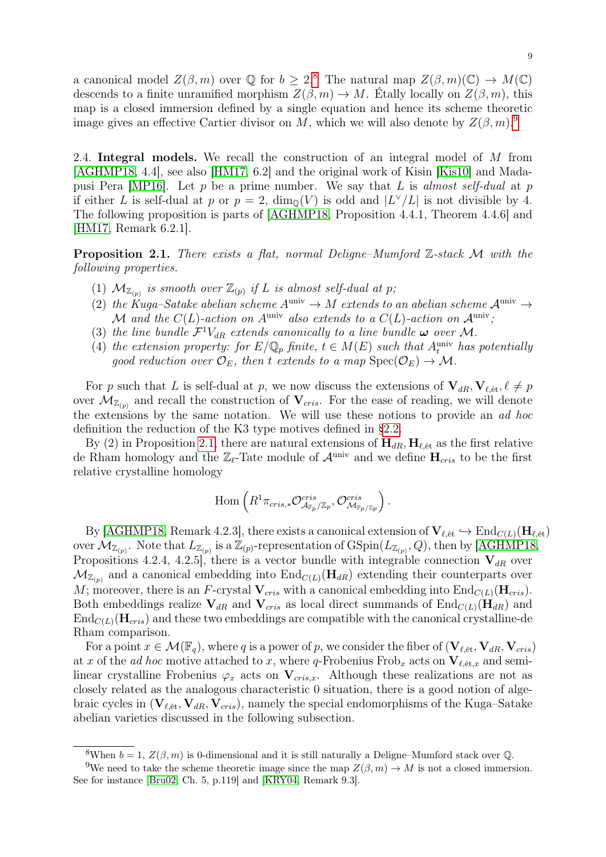a canonical model  $Z(\beta,m)$  over  $\mathbb Q$  for  $b \geq 2^8$  $b \geq 2^8$ . The natural map  $Z(\beta,m)(\mathbb C) \to M(\mathbb C)$ descends to a finite unramified morphism  $Z(\beta, m) \to M$ . Étally locally on  $Z(\beta, m)$ , this map is a closed immersion defined by a single equation and hence its scheme theoretic image gives an effective Cartier divisor on M, which we will also denote by  $Z(\beta,m)$ .<sup>[9](#page-8-2)</sup>

<span id="page-8-0"></span>2.4. Integral models. We recall the construction of an integral model of M from [\[AGHMP18,](#page-44-1) 4.4], see also [\[HM17,](#page-46-10) 6.2] and the original work of Kisin [\[Kis10\]](#page-46-14) and Mada-pusi Pera [\[MP16\]](#page-46-12). Let p be a prime number. We say that L is almost self-dual at p if either L is self-dual at p or  $p = 2$ ,  $\dim_{\mathbb{Q}}(V)$  is odd and  $|L^{\vee}/L|$  is not divisible by 4. The following proposition is parts of [\[AGHMP18,](#page-44-1) Proposition 4.4.1, Theorem 4.4.6] and [\[HM17,](#page-46-10) Remark 6.2.1].

<span id="page-8-3"></span>**Proposition 2.1.** There exists a flat, normal Deligne–Mumford  $\mathbb{Z}$ -stack  $\mathcal{M}$  with the following properties.

- (1)  $\mathcal{M}_{\mathbb{Z}_{(p)}}$  is smooth over  $\mathbb{Z}_{(p)}$  if L is almost self-dual at p;
- (2) the Kuga–Satake abelian scheme  $A^{\text{univ}} \to M$  extends to an abelian scheme  $A^{\text{univ}} \to$  $M$  and the  $C(L)$ -action on  $A^{\text{univ}}$  also extends to a  $C(L)$ -action on  $A^{\text{univ}}$ ;
- (3) the line bundle  $\mathcal{F}^1 V_{dR}$  extends canonically to a line bundle  $\omega$  over M.
- (4) the extension property: for  $E/\mathbb{Q}_p$  finite,  $t \in M(E)$  such that  $A_t^{\text{univ}}$  has potentially good reduction over  $\mathcal{O}_E$ , then t extends to a map  $\text{Spec}(\mathcal{O}_E) \to \mathcal{M}$ .

For p such that L is self-dual at p, we now discuss the extensions of  $V_{dR}$ ,  $V_{\ell, \text{\text{\'et}}}, \ell \neq p$ over  $\mathcal{M}_{\mathbb{Z}_{(p)}}$  and recall the construction of  $V_{cris}$ . For the ease of reading, we will denote the extensions by the same notation. We will use these notions to provide an ad hoc definition the reduction of the K3 type motives defined in [§2.2.](#page-6-0)

By (2) in Proposition [2.1,](#page-8-3) there are natural extensions of  $H_{dR}$ ,  $H_{\ell, \text{\'et}}$  as the first relative de Rham homology and the  $\mathbb{Z}_{\ell}$ -Tate module of  $\mathcal{A}^{\text{univ}}$  and we define  $H_{cris}$  to be the first relative crystalline homology

$$
\text{Hom}\left(R^1\pi_{cris,*}\mathcal{O}^{cris}_{\mathcal{A}_{\mathbb{F}_p}/\mathbb{Z}_p},\mathcal{O}^{cris}_{\mathcal{M}_{\mathbb{F}_p}/\mathbb{Z}_p}\right).
$$

By [\[AGHMP18,](#page-44-1) Remark 4.2.3], there exists a canonical extension of  $V_{\ell, \text{\'et}} \hookrightarrow \text{End}_{C(L)}(H_{\ell, \text{\'et}})$ over  $\mathcal{M}_{\mathbb{Z}_{(p)}}$ . Note that  $L_{\mathbb{Z}_{(p)}}$  is a  $\mathbb{Z}_{(p)}$ -representation of  $\mathrm{GSpin}(L_{\mathbb{Z}_{(p)}},Q)$ , then by [\[AGHMP18,](#page-44-1) Propositions 4.2.4, 4.2.5], there is a vector bundle with integrable connection  $V_{dR}$  over  $\mathcal{M}_{\mathbb{Z}_{(p)}}$  and a canonical embedding into  $\text{End}_{C(L)}(\mathbf{H}_{dR})$  extending their counterparts over M; moreover, there is an F-crystal  $V_{cris}$  with a canonical embedding into  $End_{C(L)}(\mathbf{H}_{cris})$ . Both embeddings realize  $V_{dR}$  and  $V_{cris}$  as local direct summands of  $\text{End}_{C(L)}(\mathbf{H}_{dR})$  and  $\text{End}_{\mathcal{C}(L)}(\mathbf{H}_{cris})$  and these two embeddings are compatible with the canonical crystalline-de Rham comparison.

For a point  $x \in \mathcal{M}(\mathbb{F}_q)$ , where q is a power of p, we consider the fiber of  $(\mathbf{V}_{\ell, \text{\'et}}, \mathbf{V}_{dR}, \mathbf{V}_{cris})$ at x of the *ad hoc* motive attached to x, where q-Frobenius Frob<sub>x</sub> acts on  $V_{\ell, \text{\'et},x}$  and semilinear crystalline Frobenius  $\varphi_x$  acts on  $V_{cris,x}$ . Although these realizations are not as closely related as the analogous characteristic 0 situation, there is a good notion of algebraic cycles in  $(V_{\ell, \text{\'et}}, V_{dR}, V_{cris})$ , namely the special endomorphisms of the Kuga–Satake abelian varieties discussed in the following subsection.

<span id="page-8-2"></span><span id="page-8-1"></span><sup>&</sup>lt;sup>8</sup>When  $b = 1$ ,  $Z(\beta, m)$  is 0-dimensional and it is still naturally a Deligne–Mumford stack over Q.

<sup>&</sup>lt;sup>9</sup>We need to take the scheme theoretic image since the map  $Z(\beta, m) \to M$  is not a closed immersion. See for instance [\[Bru02,](#page-45-9) Ch. 5, p.119] and [\[KRY04,](#page-46-15) Remark 9.3].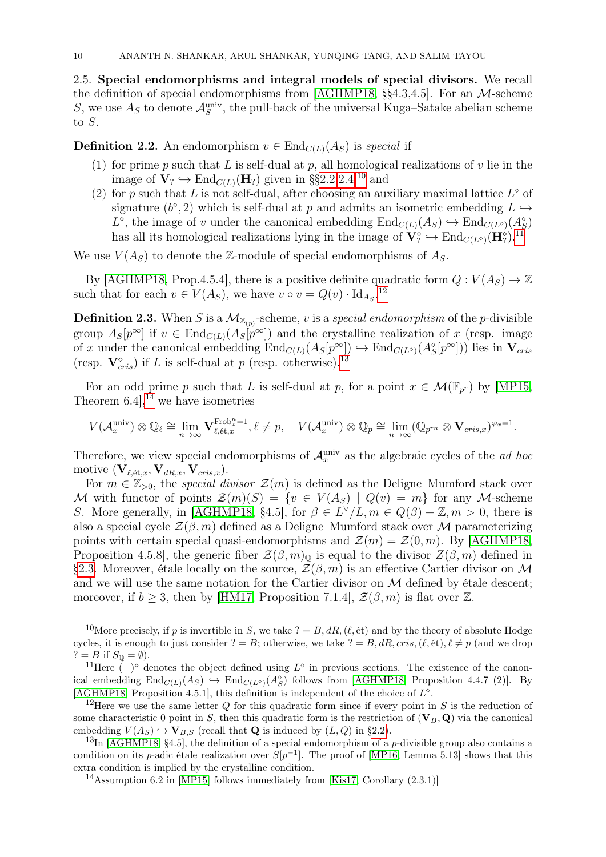<span id="page-9-0"></span>2.5. Special endomorphisms and integral models of special divisors. We recall the definition of special endomorphisms from [\[AGHMP18,](#page-44-1)  $\S$ §4.3,4.5]. For an *M*-scheme S, we use  $A_S$  to denote  $\mathcal{A}_S^{\text{univ}}$ , the pull-back of the universal Kuga–Satake abelian scheme to S.

### <span id="page-9-7"></span>**Definition 2.2.** An endomorphism  $v \in \text{End}_{C(L)}(A_S)$  is special if

- (1) for prime p such that L is self-dual at p, all homological realizations of v lie in the image of  $\mathbf{V}_? \hookrightarrow \text{End}_{C(L)}(\mathbf{H}_?)$  given in §[§2.2,](#page-6-0)[2.4;](#page-8-0)<sup>[10](#page-9-1)</sup> and
- (2) for p such that L is not self-dual, after choosing an auxiliary maximal lattice  $L^{\circ}$  of signature  $(b^{\circ}, 2)$  which is self-dual at p and admits an isometric embedding  $L \hookrightarrow$  $L^{\diamond}$ , the image of v under the canonical embedding  $\text{End}_{C(L)}(A_S) \hookrightarrow \text{End}_{C(L^{\diamond})}(A_S^{\diamond})$ has all its homological realizations lying in the image of  $V_?^\circ \hookrightarrow \text{End}_{C(L^\circ)}(\mathbf{H}_?^\circ).^{11}$  $V_?^\circ \hookrightarrow \text{End}_{C(L^\circ)}(\mathbf{H}_?^\circ).^{11}$  $V_?^\circ \hookrightarrow \text{End}_{C(L^\circ)}(\mathbf{H}_?^\circ).^{11}$

We use  $V(A_S)$  to denote the Z-module of special endomorphisms of  $A_S$ .

By [\[AGHMP18,](#page-44-1) Prop.4.5.4], there is a positive definite quadratic form  $Q: V(A_S) \to \mathbb{Z}$ such that for each  $v \in V(A_S)$ , we have  $v \circ v = Q(v) \cdot \text{Id}_{A_S}$ .<sup>[12](#page-9-3)</sup>

<span id="page-9-6"></span>**Definition 2.3.** When S is a  $\mathcal{M}_{\mathbb{Z}_{(p)}}$ -scheme, v is a special endomorphism of the p-divisible group  $A_S[p^{\infty}]$  if  $v \in \text{End}_{C(L)}(A_S[p^{\infty}])$  and the crystalline realization of x (resp. image of x under the canonical embedding  $\text{End}_{C(L)}(A_S[p^\infty]) \hookrightarrow \text{End}_{C(L^\diamond)}(A_S^\diamond[p^\infty]))$  lies in  $V_{cris}$ (resp.  $\mathbf{V}_{cris}^{\diamond}$ ) if L is self-dual at p (resp. otherwise).<sup>[13](#page-9-4)</sup>

For an odd prime p such that L is self-dual at p, for a point  $x \in \mathcal{M}(\mathbb{F}_{p^r})$  by [\[MP15,](#page-46-16) Theorem 6.4, $^{14}$  $^{14}$  $^{14}$  we have isometries

$$
V(\mathcal{A}_x^{\text{univ}}) \otimes \mathbb{Q}_\ell \cong \lim_{n \to \infty} \mathbf{V}_{\ell, \text{\'et}, x}^{\text{Frob}_x^{n} = 1}, \ell \neq p, \quad V(\mathcal{A}_x^{\text{univ}}) \otimes \mathbb{Q}_p \cong \lim_{n \to \infty} (\mathbb{Q}_{p^{rn}} \otimes \mathbf{V}_{cris,x})^{\varphi_x = 1}.
$$

Therefore, we view special endomorphisms of  $\mathcal{A}_x^{\text{univ}}$  as the algebraic cycles of the *ad hoc* motive  $(\mathbf{V}_{\ell, \text{\'et},x}, \mathbf{V}_{dR,x}, \mathbf{V}_{cris,x}).$ 

For  $m \in \mathbb{Z}_{>0}$ , the special divisor  $\mathcal{Z}(m)$  is defined as the Deligne–Mumford stack over M with functor of points  $\mathcal{Z}(m)(S) = \{v \in V(A_S) \mid Q(v) = m\}$  for any M-scheme S. More generally, in [\[AGHMP18,](#page-44-1) §4.5], for  $\beta \in L^{\vee}/L, m \in Q(\beta) + \mathbb{Z}, m > 0$ , there is also a special cycle  $\mathcal{Z}(\beta, m)$  defined as a Deligne–Mumford stack over M parameterizing points with certain special quasi-endomorphisms and  $\mathcal{Z}(m) = \mathcal{Z}(0, m)$ . By [\[AGHMP18,](#page-44-1) Proposition 4.5.8], the generic fiber  $\mathcal{Z}(\beta,m)_{\mathbb{Q}}$  is equal to the divisor  $\mathcal{Z}(\beta,m)$  defined in [§2.3.](#page-7-0) Moreover, étale locally on the source,  $\mathcal{Z}(\beta,m)$  is an effective Cartier divisor on M and we will use the same notation for the Cartier divisor on  $M$  defined by étale descent; moreover, if  $b > 3$ , then by [\[HM17,](#page-46-10) Proposition 7.1.4],  $\mathcal{Z}(\beta, m)$  is flat over Z.

<span id="page-9-1"></span><sup>&</sup>lt;sup>10</sup>More precisely, if p is invertible in S, we take ? = B, dR, ( $\ell$ , ét) and by the theory of absolute Hodge cycles, it is enough to just consider ? = B; otherwise, we take ? = B, dR, cris,  $(\ell, \text{\'et})$ ,  $\ell \neq p$  (and we drop ? = B if  $S_{\mathbb{O}} = \emptyset$ ).

<span id="page-9-2"></span><sup>&</sup>lt;sup>11</sup>Here  $(-)^\circ$  denotes the object defined using  $L^\circ$  in previous sections. The existence of the canonical embedding  $\text{End}_{C(L)}(A_S) \hookrightarrow \text{End}_{C(L^{\circ})}(A_S^{\circ})$  follows from [\[AGHMP18,](#page-44-1) Proposition 4.4.7 (2)]. By [\[AGHMP18,](#page-44-1) Proposition 4.5.1], this definition is independent of the choice of  $L^{\diamond}$ .

<span id="page-9-3"></span><sup>&</sup>lt;sup>12</sup>Here we use the same letter Q for this quadratic form since if every point in S is the reduction of some characteristic 0 point in S, then this quadratic form is the restriction of  $(V_B, Q)$  via the canonical embedding  $V(A_S) \hookrightarrow \mathbf{V}_{B,S}$  (recall that **Q** is induced by  $(L, Q)$  in [§2.2\)](#page-6-0).

<span id="page-9-4"></span><sup>&</sup>lt;sup>13</sup>In [\[AGHMP18,](#page-44-1) §4.5], the definition of a special endomorphism of a *p*-divisible group also contains a condition on its p-adic étale realization over  $S[p^{-1}]$ . The proof of [\[MP16,](#page-46-12) Lemma 5.13] shows that this extra condition is implied by the crystalline condition.

<span id="page-9-5"></span><sup>&</sup>lt;sup>14</sup>Assumption 6.2 in [\[MP15\]](#page-46-16) follows immediately from [\[Kis17,](#page-46-17) Corollary  $(2.3.1)$ ]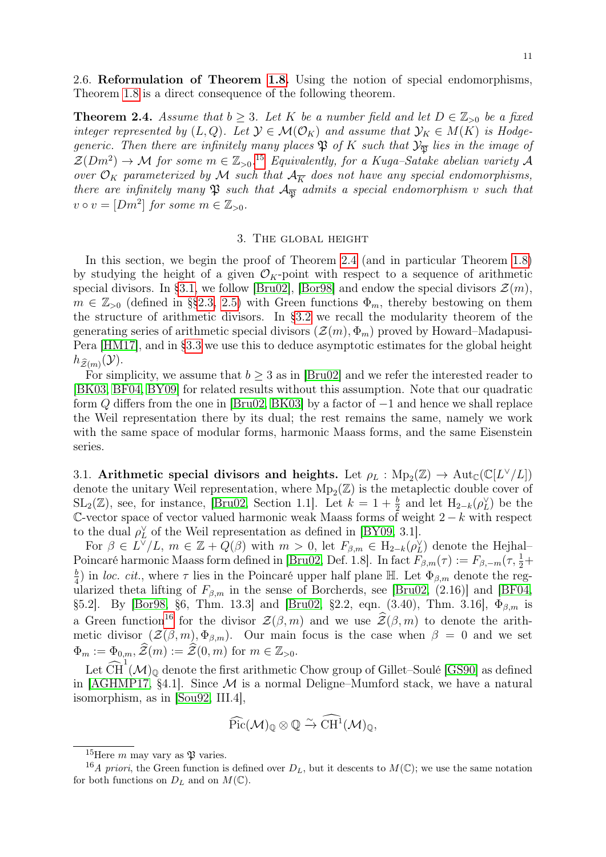<span id="page-10-1"></span>**Theorem 2.4.** Assume that  $b \geq 3$ . Let K be a number field and let  $D \in \mathbb{Z}_{>0}$  be a fixed integer represented by  $(L, Q)$ . Let  $\mathcal{Y} \in \mathcal{M}(\mathcal{O}_K)$  and assume that  $\mathcal{Y}_K \in M(K)$  is Hodgegeneric. Then there are infinitely many places  $\mathfrak{P}$  of K such that  $\mathcal{Y}_{\overline{\mathfrak{P}}}$  lies in the image of  $\mathcal{Z}(Dm^2) \to \mathcal{M}$  for some  $m \in \mathbb{Z}_{>0}.$ <sup>[15](#page-10-3)</sup> Equivalently, for a Kuga–Satake abelian variety A over  $\mathcal{O}_K$  parameterized by M such that  $\mathcal{A}_{\overline{K}}$  does not have any special endomorphisms, there are infinitely many  $\mathfrak P$  such that  $\mathcal A_{\overline{\mathfrak P}}$  admits a special endomorphism v such that  $v \circ v = [Dm^2]$  for some  $m \in \mathbb{Z}_{>0}$ .

### 3. The global height

<span id="page-10-0"></span>In this section, we begin the proof of Theorem [2.4](#page-10-1) (and in particular Theorem [1.8\)](#page-2-3) by studying the height of a given  $\mathcal{O}_K$ -point with respect to a sequence of arithmetic special divisors. In [§3.1,](#page-10-2) we follow [\[Bru02\]](#page-45-9), [\[Bor98\]](#page-45-14) and endow the special divisors  $\mathcal{Z}(m)$ ,  $m \in \mathbb{Z}_{>0}$  (defined in §[§2.3,](#page-7-0) [2.5\)](#page-9-0) with Green functions  $\Phi_m$ , thereby bestowing on them the structure of arithmetic divisors. In [§3.2](#page-12-0) we recall the modularity theorem of the generating series of arithmetic special divisors  $(\mathcal{Z}(m), \Phi_m)$  proved by Howard–Madapusi-Pera [\[HM17\]](#page-46-10), and in [§3.3](#page-12-1) we use this to deduce asymptotic estimates for the global height  $h_{\widehat{\mathcal{Z}}(m)}(\mathcal{Y}).$ 

For simplicity, we assume that  $b > 3$  as in [\[Bru02\]](#page-45-9) and we refer the interested reader to [\[BK03,](#page-45-15) [BF04,](#page-45-16) [BY09\]](#page-45-17) for related results without this assumption. Note that our quadratic form Q differs from the one in [\[Bru02,](#page-45-9) [BK03\]](#page-45-15) by a factor of  $-1$  and hence we shall replace the Weil representation there by its dual; the rest remains the same, namely we work with the same space of modular forms, harmonic Maass forms, and the same Eisenstein series.

<span id="page-10-2"></span>3.1. Arithmetic special divisors and heights. Let  $\rho_L$ :  $Mp_2(\mathbb{Z}) \to Aut_{\mathbb{C}}(\mathbb{C}[L^{\vee}/L])$ denote the unitary Weil representation, where  $Mp_2(\mathbb{Z})$  is the metaplectic double cover of  $SL_2(\mathbb{Z})$ , see, for instance, [\[Bru02,](#page-45-9) Section 1.1]. Let  $k = 1 + \frac{b}{2}$  and let  $H_{2-k}(\rho_L^{\vee})$  be the C-vector space of vector valued harmonic weak Maass forms of weight  $2 - k$  with respect to the dual  $\rho_L^{\vee}$  of the Weil representation as defined in [\[BY09,](#page-45-17) 3.1].

For  $\beta \in L^{\vee}/L$ ,  $m \in \mathbb{Z} + Q(\beta)$  with  $m > 0$ , let  $F_{\beta,m} \in H_{2-k}(\rho_L^{\vee})$  denote the Hejhal-Poincaré harmonic Maass form defined in [\[Bru02,](#page-45-9) Def. 1.8]. In fact  $F_{\beta,m}(\tau) := F_{\beta,-m}(\tau, \frac{1}{2} +$ b  $\frac{b}{4}$ ) in loc. cit., where  $\tau$  lies in the Poincaré upper half plane H. Let  $\Phi_{\beta,m}$  denote the regularized theta lifting of  $F_{\beta,m}$  in the sense of Borcherds, see [\[Bru02,](#page-45-9) (2.16)] and [\[BF04,](#page-45-16) §5.2]. By [\[Bor98,](#page-45-14) §6, Thm. 13.3] and [\[Bru02,](#page-45-9) §2.2, eqn. (3.40), Thm. 3.16],  $\Phi_{\beta,m}$  is a Green function<sup>[16](#page-10-4)</sup> for the divisor  $\mathcal{Z}(\beta, m)$  and we use  $\widehat{\mathcal{Z}}(\beta, m)$  to denote the arithmetic divisor  $(\mathcal{Z}(\beta,m), \Phi_{\beta,m})$ . Our main focus is the case when  $\beta = 0$  and we set  $\Phi_m := \Phi_{0,m}, \widehat{\mathcal{Z}}(m) := \widehat{\mathcal{Z}}(0, m)$  for  $m \in \mathbb{Z}_{>0}$ .

Let  $\widehat{\text{CH}}^1(\mathcal{M})_\mathbb{Q}$  denote the first arithmetic Chow group of Gillet–Soulé [\[GS90\]](#page-45-18) as defined in [\[AGHMP17,](#page-44-2) §4.1]. Since  $M$  is a normal Deligne–Mumford stack, we have a natural isomorphism, as in [\[Sou92,](#page-46-18) III.4],

$$
\widehat{\operatorname{Pic}}(\mathcal{M})_{\mathbb{Q}} \otimes \mathbb{Q} \xrightarrow{\sim} \widehat{\operatorname{CH}^1}(\mathcal{M})_{\mathbb{Q}},
$$

<span id="page-10-4"></span><span id="page-10-3"></span><sup>&</sup>lt;sup>15</sup>Here m may vary as  $\mathfrak P$  varies.

<sup>&</sup>lt;sup>16</sup>A priori, the Green function is defined over  $D_L$ , but it descents to  $M(\mathbb{C})$ ; we use the same notation for both functions on  $D_L$  and on  $M(\mathbb{C})$ .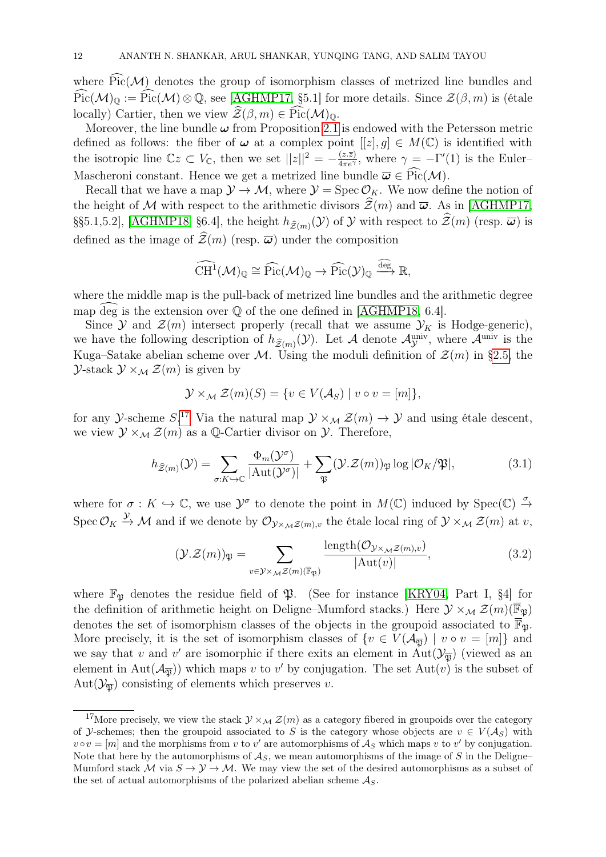where  $Pic(M)$  denotes the group of isomorphism classes of metrized line bundles and  $\widehat{\text{Pic}}(\mathcal{M})_{\mathbb{Q}} := \widehat{\text{Pic}}(\mathcal{M}) \otimes \mathbb{Q}$ , see [\[AGHMP17,](#page-44-2) §5.1] for more details. Since  $\mathcal{Z}(\beta, m)$  is (étale locally) Cartier, then we view  $\widehat{\mathcal{Z}}(\beta, m) \in \widehat{\mathrm{Pic}}(\mathcal{M})_0$ .

Moreover, the line bundle  $\omega$  from Proposition [2.1](#page-8-3) is endowed with the Petersson metric defined as follows: the fiber of  $\omega$  at a complex point  $[[z], g] \in M(\mathbb{C})$  is identified with the isotropic line  $\mathbb{C}z \subset V_{\mathbb{C}}$ , then we set  $||z||^2 = -\frac{(z,\overline{z})}{4\pi e^{\gamma}}$ , where  $\gamma = -\Gamma'(1)$  is the Euler-Mascheroni constant. Hence we get a metrized line bundle  $\overline{\omega} \in \widehat{Pic}(\mathcal{M})$ .

Recall that we have a map  $\mathcal{Y} \to \mathcal{M}$ , where  $\mathcal{Y} = \text{Spec } \mathcal{O}_K$ . We now define the notion of the height of M with respect to the arithmetic divisors  $\mathcal{Z}(m)$  and  $\bar{\omega}$ . As in [\[AGHMP17,](#page-44-2) §§5.1,5.2], [\[AGHMP18,](#page-44-1) §6.4], the height  $h_{\hat{\mathcal{Z}}(m)}(\mathcal{Y})$  of  $\mathcal{Y}$  with respect to  $\mathcal{Z}(m)$  (resp.  $\overline{\omega}$ ) is defined as the image of  $\mathcal{Z}(m)$  (resp.  $\overline{\omega}$ ) under the composition

$$
\widehat{\operatorname{CH}}^1(\mathcal{M})_\mathbb{Q} \cong \widehat{\operatorname{Pic}}(\mathcal{M})_\mathbb{Q} \to \widehat{\operatorname{Pic}}(\mathcal{Y})_\mathbb{Q} \xrightarrow{\widehat{\operatorname{deg}}} \mathbb{R},
$$

where the middle map is the pull-back of metrized line bundles and the arithmetic degree map deg is the extension over  $\mathbb Q$  of the one defined in [\[AGHMP18,](#page-44-1) 6.4].

Since  $\mathcal{Y}$  and  $\mathcal{Z}(m)$  intersect properly (recall that we assume  $\mathcal{Y}_K$  is Hodge-generic), we have the following description of  $h_{\hat{\mathcal{Z}}(m)}(\mathcal{Y})$ . Let A denote  $\mathcal{A}_{\mathcal{Y}}^{\text{univ}}$ , where  $\mathcal{A}^{\text{univ}}$  is the Kuga–Satake abelian scheme over M. Using the moduli definition of  $\mathcal{Z}(m)$  in [§2.5,](#page-9-0) the  $\mathcal{Y}$ -stack  $\mathcal{Y} \times_{\mathcal{M}} \mathcal{Z}(m)$  is given by

<span id="page-11-1"></span>
$$
\mathcal{Y} \times_{\mathcal{M}} \mathcal{Z}(m)(S) = \{ v \in V(\mathcal{A}_S) \mid v \circ v = [m] \},
$$

for any *Y*-scheme  $S^{17}$  $S^{17}$  $S^{17}$  Via the natural map  $\mathcal{Y} \times_{\mathcal{M}} \mathcal{Z}(m) \rightarrow \mathcal{Y}$  and using étale descent, we view  $\mathcal{Y} \times_{\mathcal{M}} \mathcal{Z}(m)$  as a Q-Cartier divisor on  $\mathcal{Y}$ . Therefore,

$$
h_{\widehat{\mathcal{Z}}(m)}(\mathcal{Y}) = \sum_{\sigma: K \hookrightarrow \mathbb{C}} \frac{\Phi_m(\mathcal{Y}^{\sigma})}{|\mathrm{Aut}(\mathcal{Y}^{\sigma})|} + \sum_{\mathfrak{P}} (\mathcal{Y}.\mathcal{Z}(m))_{\mathfrak{P}} \log |\mathcal{O}_K/\mathfrak{P}|,
$$
(3.1)

where for  $\sigma: K \hookrightarrow \mathbb{C}$ , we use  $\mathcal{Y}^{\sigma}$  to denote the point in  $M(\mathbb{C})$  induced by  $Spec(\mathbb{C}) \stackrel{\sigma}{\rightarrow}$ Spec  $\mathcal{O}_K \xrightarrow{\mathcal{Y}} \mathcal{M}$  and if we denote by  $\mathcal{O}_{\mathcal{Y}\times_{\mathcal{M}}\mathcal{Z}(m),v}$  the étale local ring of  $\mathcal{Y}\times_{\mathcal{M}}\mathcal{Z}(m)$  at  $v$ ,

<span id="page-11-2"></span>
$$
(\mathcal{Y}.\mathcal{Z}(m))_{\mathfrak{P}} = \sum_{v \in \mathcal{Y} \times_{\mathcal{M}} \mathcal{Z}(m)(\overline{\mathbb{F}}_{\mathfrak{P}})} \frac{\operatorname{length}(\mathcal{O}_{\mathcal{Y} \times_{\mathcal{M}} \mathcal{Z}(m),v})}{|\mathrm{Aut}(v)|},\tag{3.2}
$$

where  $\mathbb{F}_{\mathfrak{P}}$  denotes the residue field of  $\mathfrak{P}$ . (See for instance [\[KRY04,](#page-46-15) Part I, §4] for the definition of arithmetic height on Deligne–Mumford stacks.) Here  $\mathcal{Y} \times_{\mathcal{M}} \mathcal{Z}(m)(\overline{\mathbb{F}}_{\mathfrak{P}})$ denotes the set of isomorphism classes of the objects in the groupoid associated to  $\mathbb{F}_{\mathfrak{P}}$ . More precisely, it is the set of isomorphism classes of  $\{v \in V(\mathcal{A}_{\overline{n}}) \mid v \circ v = [m]\}\$  and we say that v and v' are isomorphic if there exits an element in  $\text{Aut}(\mathcal{Y}_{\overline{\mathfrak{P}}})$  (viewed as an element in Aut $(\mathcal{A}_{\overline{\mathfrak{P}}})$  which maps v to v' by conjugation. The set Aut $(v)$  is the subset of Aut $(\mathcal{Y}_{\overline{n}})$  consisting of elements which preserves v.

<span id="page-11-0"></span><sup>&</sup>lt;sup>17</sup>More precisely, we view the stack  $\mathcal{Y} \times_{\mathcal{M}} \mathcal{Z}(m)$  as a category fibered in groupoids over the category of Y-schemes; then the groupoid associated to S is the category whose objects are  $v \in V(\mathcal{A}_S)$  with  $v \circ v = [m]$  and the morphisms from v to v' are automorphisms of  $\mathcal{A}_S$  which maps v to v' by conjugation. Note that here by the automorphisms of  $\mathcal{A}_S$ , we mean automorphisms of the image of S in the Deligne– Mumford stack M via  $S \to Y \to M$ . We may view the set of the desired automorphisms as a subset of the set of actual automorphisms of the polarized abelian scheme  $A<sub>S</sub>$ .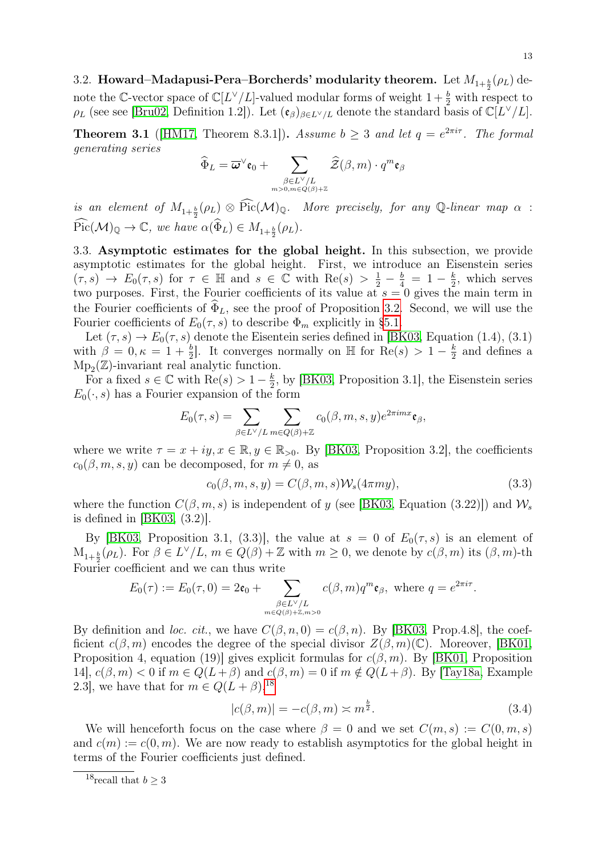<span id="page-12-0"></span>3.2. Howard–Madapusi-Pera–Borcherds' modularity theorem. Let  $M_{1+\frac{b}{2}}(\rho_L)$  denote the C-vector space of  $\mathbb{C}[L^{\vee}/L]$ -valued modular forms of weight  $1+\frac{b}{2}$  with respect to  $\rho_L$  (see see [\[Bru02,](#page-45-9) Definition 1.2]). Let  $(\mathfrak{e}_{\beta})_{\beta \in L^{\vee}/L}$  denote the standard basis of  $\mathbb{C}[L^{\vee}/L]$ .

<span id="page-12-5"></span>**Theorem 3.1** (HM17, Theorem 8.3.1)). Assume  $b \geq 3$  and let  $q = e^{2\pi i \tau}$ . The formal generating series

$$
\widehat{\Phi}_L=\overline{\omega}^{\vee}\mathfrak{e}_0+\sum_{\substack{\beta\in L^{\vee}/L\\ m>0, m\in Q(\beta)+\mathbb{Z}}}\widehat{\mathcal{Z}}(\beta,m)\cdot q^{m}\mathfrak{e}_{\beta}
$$

is an element of  $M_{1+\frac{b}{2}}(\rho_L) \otimes \widehat{\text{Pic}}(\mathcal{M})_{\mathbb{Q}}$ . More precisely, for any  $\mathbb{Q}$ -linear map  $\alpha$ :  $\widehat{\text{Pic}}(\mathcal{M})_{\mathbb{Q}} \to \mathbb{C}, \text{ we have } \alpha(\widehat{\Phi}_L) \in M_{1+\frac{b}{2}}(\rho_L).$ 

<span id="page-12-1"></span>3.3. Asymptotic estimates for the global height. In this subsection, we provide asymptotic estimates for the global height. First, we introduce an Eisenstein series  $(\tau, s) \rightarrow E_0(\tau, s)$  for  $\tau \in \mathbb{H}$  and  $s \in \mathbb{C}$  with  $\text{Re}(s) > \frac{1}{2} - \frac{b}{4} = 1 - \frac{k}{2}$  $\frac{k}{2}$ , which serves two purposes. First, the Fourier coefficients of its value at  $s = 0$  gives the main term in the Fourier coefficients of  $\widehat{\Phi}_L$ , see the proof of Proposition [3.2.](#page-12-2) Second, we will use the Fourier coefficients of  $E_0(\tau, s)$  to describe  $\Phi_m$  explicitly in [§5.1.](#page-22-1)

Let  $(\tau, s) \to E_0(\tau, s)$  denote the Eisentein series defined in [\[BK03,](#page-45-15) Equation (1.4), (3.1) with  $\beta = 0, \kappa = 1 + \frac{b}{2}$ . It converges normally on  $\mathbb{H}$  for  $\text{Re}(s) > 1 - \frac{k}{2}$  $\frac{k}{2}$  and defines a  $Mp_2(\mathbb{Z})$ -invariant real analytic function.

For a fixed  $s \in \mathbb{C}$  with  $\text{Re}(s) > 1 - \frac{k}{2}$  $\frac{k}{2}$ , by [\[BK03,](#page-45-15) Proposition 3.1], the Eisenstein series  $E_0(\cdot, s)$  has a Fourier expansion of the form

$$
E_0(\tau,s) = \sum_{\beta \in L^{\vee}/L} \sum_{m \in Q(\beta)+\mathbb{Z}} c_0(\beta,m,s,y) e^{2\pi i m x} \mathfrak{e}_{\beta},
$$

where we write  $\tau = x + iy, x \in \mathbb{R}, y \in \mathbb{R}_{>0}$ . By [\[BK03,](#page-45-15) Proposition 3.2], the coefficients  $c_0(\beta, m, s, y)$  can be decomposed, for  $m \neq 0$ , as

$$
c_0(\beta, m, s, y) = C(\beta, m, s) \mathcal{W}_s(4\pi my), \qquad (3.3)
$$

where the function  $C(\beta, m, s)$  is independent of y (see [\[BK03,](#page-45-15) Equation (3.22)]) and  $\mathcal{W}_s$ is defined in [\[BK03,](#page-45-15) (3.2)].

By [\[BK03,](#page-45-15) Proposition 3.1, (3.3)], the value at  $s = 0$  of  $E_0(\tau, s)$  is an element of  $M_{1+\frac{b}{2}}(\rho_L)$ . For  $\beta \in L^{\vee}/L$ ,  $m \in \hat{Q}(\beta)+\mathbb{Z}$  with  $m \geq 0$ , we denote by  $c(\beta,m)$  its  $(\beta,m)$ -th Fourier coefficient and we can thus write

$$
E_0(\tau) := E_0(\tau, 0) = 2\mathfrak{e}_0 + \sum_{\substack{\beta \in L^{\vee}/L \\ m \in Q(\beta) + \mathbb{Z}, m > 0}} c(\beta, m) q^m \mathfrak{e}_{\beta}, \text{ where } q = e^{2\pi i \tau}.
$$

By definition and *loc. cit.*, we have  $C(\beta, n, 0) = c(\beta, n)$ . By [\[BK03,](#page-45-15) Prop.4.8], the coefficient  $c(\beta, m)$  encodes the degree of the special divisor  $Z(\beta, m)(\mathbb{C})$ . Moreover, [\[BK01,](#page-45-19) Proposition 4, equation (19)] gives explicit formulas for  $c(\beta, m)$ . By [\[BK01,](#page-45-19) Proposition 14],  $c(\beta, m) < 0$  if  $m \in Q(L+\beta)$  and  $c(\beta, m) = 0$  if  $m \notin Q(L+\beta)$ . By [\[Tay18a,](#page-46-8) Example 2.3, we have that for  $m \in Q(L+\beta),^{18}$  $m \in Q(L+\beta),^{18}$  $m \in Q(L+\beta),^{18}$ 

<span id="page-12-4"></span>
$$
|c(\beta, m)| = -c(\beta, m) \asymp m^{\frac{b}{2}}.
$$
\n(3.4)

We will henceforth focus on the case where  $\beta = 0$  and we set  $C(m, s) := C(0, m, s)$ and  $c(m) := c(0, m)$ . We are now ready to establish asymptotics for the global height in terms of the Fourier coefficients just defined.

<span id="page-12-3"></span><span id="page-12-2"></span><sup>&</sup>lt;sup>18</sup>recall that  $b \geq 3$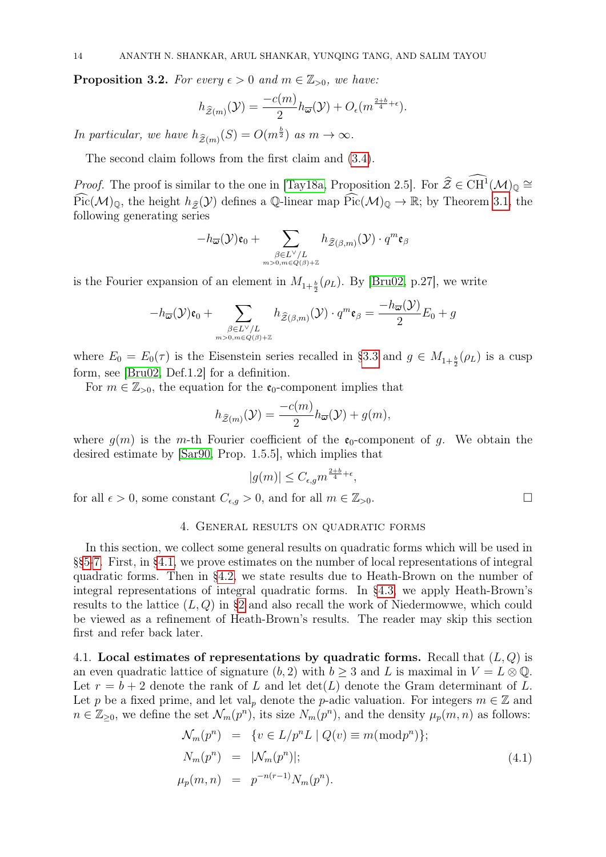**Proposition 3.2.** For every  $\epsilon > 0$  and  $m \in \mathbb{Z}_{>0}$ , we have:

$$
h_{\widehat{\mathcal{Z}}(m)}(\mathcal{Y}) = \frac{-c(m)}{2} h_{\overline{\omega}}(\mathcal{Y}) + O_{\epsilon}(m^{\frac{2+b}{4}+\epsilon}).
$$

In particular, we have  $h_{\widehat{\mathcal{Z}}(m)}(S) = O(m^{\frac{b}{2}})$  as  $m \to \infty$ .

The second claim follows from the first claim and [\(3.4\)](#page-12-4).

*Proof.* The proof is similar to the one in [\[Tay18a,](#page-46-8) Proposition 2.5]. For  $\hat{\mathcal{Z}} \in \widehat{\text{CH}}^1(\mathcal{M})_\mathbb{Q} \cong$  $\widehat{\text{Pic}}(\mathcal{M})_{\mathbb{Q}}$ , the height  $h_{\tilde{\mathcal{Z}}}(\mathcal{Y})$  defines a  $\mathbb{Q}$ -linear map  $\widehat{\text{Pic}}(\mathcal{M})_{\mathbb{Q}} \to \mathbb{R}$ ; by Theorem [3.1,](#page-12-5) the following generating series

$$
-h_{\overline{\omega}}(\mathcal{Y})\mathfrak{e}_0 + \sum_{\substack{\beta \in L^{\vee}/L \\ m > 0, m \in Q(\beta) + \mathbb{Z}}} h_{\widehat{\mathcal{Z}}(\beta, m)}(\mathcal{Y}) \cdot q^{m}\mathfrak{e}_{\beta}
$$

is the Fourier expansion of an element in  $M_{1+\frac{b}{2}}(\rho_L)$ . By [\[Bru02,](#page-45-9) p.27], we write

$$
-h_{\overline{\omega}}(\mathcal{Y})\mathfrak{e}_0 + \sum_{\substack{\beta \in L^{\vee}/L \\ m > 0, m \in \mathcal{Q}(\beta)+\mathbb{Z}}} h_{\widehat{\mathcal{Z}}(\beta,m)}(\mathcal{Y}) \cdot q^m \mathfrak{e}_{\beta} = \frac{-h_{\overline{\omega}}(\mathcal{Y})}{2} E_0 + g
$$

where  $E_0 = E_0(\tau)$  is the Eisenstein series recalled in [§3.3](#page-12-1) and  $g \in M_{1+\frac{b}{2}}(\rho_L)$  is a cusp form, see [\[Bru02,](#page-45-9) Def.1.2] for a definition.

For  $m \in \mathbb{Z}_{>0}$ , the equation for the  $\mathfrak{e}_0$ -component implies that

$$
h_{\widehat{\mathcal{Z}}(m)}(\mathcal{Y}) = \frac{-c(m)}{2} h_{\overline{\omega}}(\mathcal{Y}) + g(m),
$$

where  $g(m)$  is the m-th Fourier coefficient of the  $\mathfrak{e}_0$ -component of g. We obtain the desired estimate by [\[Sar90,](#page-46-19) Prop. 1.5.5], which implies that

$$
|g(m)| \le C_{\epsilon,g} m^{\frac{2+b}{4}+\epsilon}
$$

,

for all  $\epsilon > 0$ , some constant  $C_{\epsilon,q} > 0$ , and for all  $m \in \mathbb{Z}_{>0}$ .

### 4. General results on quadratic forms

<span id="page-13-0"></span>In this section, we collect some general results on quadratic forms which will be used in §[§5](#page-22-0)[-7.](#page-33-0) First, in [§4.1,](#page-13-1) we prove estimates on the number of local representations of integral quadratic forms. Then in [§4.2,](#page-18-0) we state results due to Heath-Brown on the number of integral representations of integral quadratic forms. In [§4.3,](#page-19-0) we apply Heath-Brown's results to the lattice  $(L, Q)$  in [§2](#page-5-0) and also recall the work of Niedermowwe, which could be viewed as a refinement of Heath-Brown's results. The reader may skip this section first and refer back later.

<span id="page-13-1"></span>4.1. Local estimates of representations by quadratic forms. Recall that  $(L, Q)$  is an even quadratic lattice of signature (b, 2) with  $b \geq 3$  and L is maximal in  $V = L \otimes \mathbb{Q}$ . Let  $r = b + 2$  denote the rank of L and let  $\det(L)$  denote the Gram determinant of L. Let p be a fixed prime, and let val<sub>p</sub> denote the p-adic valuation. For integers  $m \in \mathbb{Z}$  and  $n \in \mathbb{Z}_{\geq 0}$ , we define the set  $\mathcal{N}_m(p^n)$ , its size  $N_m(p^n)$ , and the density  $\mu_p(m,n)$  as follows:

$$
\mathcal{N}_m(p^n) = \{ v \in L/p^n L \mid Q(v) \equiv m(\bmod p^n) \};
$$
  
\n
$$
N_m(p^n) = |\mathcal{N}_m(p^n)|;
$$
  
\n
$$
\mu_p(m, n) = p^{-n(r-1)} N_m(p^n).
$$
\n(4.1)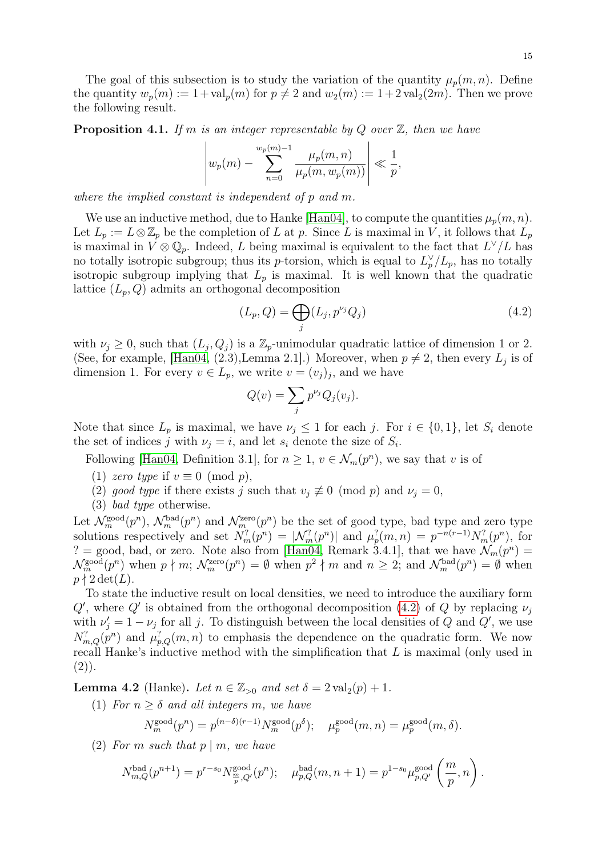The goal of this subsection is to study the variation of the quantity  $\mu_p(m, n)$ . Define the quantity  $w_p(m) := 1 + val_p(m)$  for  $p \neq 2$  and  $w_2(m) := 1 + 2 val_2(2m)$ . Then we prove the following result.

<span id="page-14-2"></span>**Proposition 4.1.** If m is an integer representable by Q over  $\mathbb{Z}$ , then we have

$$
\left| w_p(m) - \sum_{n=0}^{w_p(m)-1} \frac{\mu_p(m,n)}{\mu_p(m,w_p(m))} \right| \ll \frac{1}{p},
$$

where the implied constant is independent of p and m.

We use an inductive method, due to Hanke [\[Han04\]](#page-45-20), to compute the quantities  $\mu_p(m, n)$ . Let  $L_p := L \otimes \mathbb{Z}_p$  be the completion of L at p. Since L is maximal in V, it follows that  $L_p$ is maximal in  $V \otimes \mathbb{Q}_p$ . Indeed, L being maximal is equivalent to the fact that  $L^{\vee}/L$  has no totally isotropic subgroup; thus its *p*-torsion, which is equal to  $L_p^{\vee}/L_p$ , has no totally isotropic subgroup implying that  $L_p$  is maximal. It is well known that the quadratic lattice  $(L_p, Q)$  admits an orthogonal decomposition

<span id="page-14-0"></span>
$$
(L_p, Q) = \bigoplus_j (L_j, p^{\nu_j} Q_j) \tag{4.2}
$$

with  $\nu_j \geq 0$ , such that  $(L_j, Q_j)$  is a  $\mathbb{Z}_p$ -unimodular quadratic lattice of dimension 1 or 2. (See, for example, [\[Han04,](#page-45-20) (2.3), Lemma 2.1].) Moreover, when  $p \neq 2$ , then every  $L_j$  is of dimension 1. For every  $v \in L_p$ , we write  $v = (v_j)_j$ , and we have

$$
Q(v) = \sum_j p^{\nu_j} Q_j(v_j).
$$

Note that since  $L_p$  is maximal, we have  $\nu_j \leq 1$  for each j. For  $i \in \{0,1\}$ , let  $S_i$  denote the set of indices j with  $\nu_j = i$ , and let  $s_i$  denote the size of  $S_i$ .

Following [\[Han04,](#page-45-20) Definition 3.1], for  $n \geq 1$ ,  $v \in \mathcal{N}_m(p^n)$ , we say that v is of

- (1) zero type if  $v \equiv 0 \pmod{p}$ ,
- (2) good type if there exists j such that  $v_j \not\equiv 0 \pmod{p}$  and  $v_j = 0$ ,
- (3) bad type otherwise.

Let  $\mathcal{N}_m^{\text{good}}(p^n)$ ,  $\mathcal{N}_m^{\text{bad}}(p^n)$  and  $\mathcal{N}_m^{\text{zero}}(p^n)$  be the set of good type, bad type and zero type solutions respectively and set  $N_m^?(p^n) = |\mathcal{N}_m^?(p^n)|$  and  $\mu_p^?(m,n) = p^{-n(r-1)}N_m^?(p^n)$ , for ? = good, bad, or zero. Note also from [\[Han04,](#page-45-20) Remark 3.4.1], that we have  $\mathcal{N}_m(p^n)$  =  $\mathcal{N}_m^{\text{good}}(p^n)$  when  $p \nmid m$ ;  $\mathcal{N}_m^{\text{zero}}(p^n) = \emptyset$  when  $p^2 \nmid m$  and  $n \geq 2$ ; and  $\mathcal{N}_m^{\text{bad}}(p^n) = \emptyset$  when  $p \nmid 2 \det(L).$ 

To state the inductive result on local densities, we need to introduce the auxiliary form  $Q'$ , where  $Q'$  is obtained from the orthogonal decomposition [\(4.2\)](#page-14-0) of Q by replacing  $\nu_j$ with  $\nu'_j = 1 - \nu_j$  for all j. To distinguish between the local densities of Q and Q', we use  $N_{m,Q}^? (p^n)$  and  $\mu_{p,Q}^? (m,n)$  to emphasis the dependence on the quadratic form. We now recall Hanke's inductive method with the simplification that L is maximal (only used in  $(2)$ ).

<span id="page-14-1"></span>**Lemma 4.2** (Hanke). Let  $n \in \mathbb{Z}_{>0}$  and set  $\delta = 2 \text{ val}_2(p) + 1$ .

(1) For  $n \geq \delta$  and all integers m, we have

$$
N_m^{\text{good}}(p^n) = p^{(n-\delta)(r-1)} N_m^{\text{good}}(p^{\delta}); \quad \mu_p^{\text{good}}(m,n) = \mu_p^{\text{good}}(m,\delta).
$$

(2) For m such that  $p \mid m$ , we have

$$
N_{m,Q}^{\text{bad}}(p^{n+1}) = p^{r-s_0} N_{\frac{m}{p},Q'}^{\text{good}}(p^n); \quad \mu_{p,Q}^{\text{bad}}(m,n+1) = p^{1-s_0} \mu_{p,Q'}^{\text{good}}\left(\frac{m}{p},n\right).
$$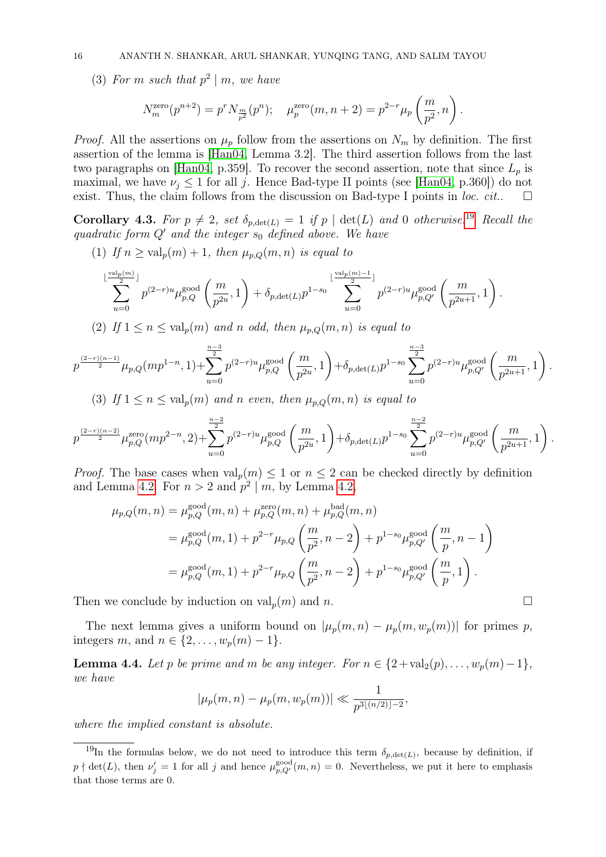(3) For m such that  $p^2 \mid m$ , we have

$$
N_m^{\text{zero}}(p^{n+2}) = p^r N_{\frac{m}{p^2}}(p^n); \quad \mu_p^{\text{zero}}(m, n+2) = p^{2-r} \mu_p \left(\frac{m}{p^2}, n\right).
$$

*Proof.* All the assertions on  $\mu_p$  follow from the assertions on  $N_m$  by definition. The first assertion of the lemma is [\[Han04,](#page-45-20) Lemma 3.2]. The third assertion follows from the last two paragraphs on [\[Han04,](#page-45-20) p.359]. To recover the second assertion, note that since  $L_p$  is maximal, we have  $\nu_i \leq 1$  for all j. Hence Bad-type II points (see [\[Han04,](#page-45-20) p.360]) do not exist. Thus, the claim follows from the discussion on Bad-type I points in *loc. cit.*.

<span id="page-15-1"></span>Corollary 4.3. For  $p \neq 2$ , set  $\delta_{p,\det(L)} = 1$  if  $p | \det(L)$  and 0 otherwise.<sup>[19](#page-15-0)</sup> Recall the quadratic form  $Q'$  and the integer  $s_0$  defined above. We have

(1) If  $n \geq val_p(m) + 1$ , then  $\mu_{p,Q}(m,n)$  is equal to

$$
\sum_{u=0}^{\lfloor\frac{{\operatorname{val}}_p(m)}{2}\rfloor} p^{(2-r)u} \mu_{p,Q}^{\text{good}}\left(\frac{m}{p^{2u}},1\right)+\delta_{p,\det(L)} p^{1-s_0}\sum_{u=0}^{\lfloor\frac{{\operatorname{val}}_p(m)-1}{2}\rfloor} p^{(2-r)u} \mu_{p,Q'}^{\text{good}}\left(\frac{m}{p^{2u+1}},1\right).
$$

(2) If  $1 \le n \le \text{val}_p(m)$  and n odd, then  $\mu_{p,Q}(m,n)$  is equal to

$$
p^{\frac{(2-r)(n-1)}{2}}\mu_{p,Q}(mp^{1-n},1)+\sum_{u=0}^{\frac{n-3}{2}}p^{(2-r)u}\mu_{p,Q}^{\text{good}}\left(\frac{m}{p^{2u}},1\right)+\delta_{p,\det(L)}p^{1-s_{0}}\sum_{u=0}^{\frac{n-3}{2}}p^{(2-r)u}\mu_{p,Q'}^{\text{good}}\left(\frac{m}{p^{2u+1}},1\right).
$$

(3) If  $1 \le n \le \text{val}_p(m)$  and n even, then  $\mu_{p,Q}(m,n)$  is equal to

$$
p^{\frac{(2-r)(n-2)}{2}}\mu_{p,Q}^{\text{zero}}(mp^{2-n},2)+\sum_{u=0}^{\frac{n-2}{2}}p^{(2-r)u}\mu_{p,Q}^{\text{good}}\left(\frac{m}{p^{2u}},1\right)+\delta_{p,\det(L)}p^{1-s_0}\sum_{u=0}^{\frac{n-2}{2}}p^{(2-r)u}\mu_{p,Q'}^{\text{good}}\left(\frac{m}{p^{2u+1}},1\right).
$$

*Proof.* The base cases when  $\operatorname{val}_p(m) \leq 1$  or  $n \leq 2$  can be checked directly by definition and Lemma [4.2.](#page-14-1) For  $n > 2$  and  $p^2 \mid m$ , by Lemma [4.2,](#page-14-1)

$$
\mu_{p,Q}(m,n) = \mu_{p,Q}^{\text{good}}(m,n) + \mu_{p,Q}^{\text{zero}}(m,n) + \mu_{p,Q}^{\text{bad}}(m,n)
$$
  
= 
$$
\mu_{p,Q}^{\text{good}}(m,1) + p^{2-r} \mu_{p,Q} \left( \frac{m}{p^2}, n-2 \right) + p^{1-s_0} \mu_{p,Q'}^{\text{good}} \left( \frac{m}{p}, n-1 \right)
$$
  
= 
$$
\mu_{p,Q}^{\text{good}}(m,1) + p^{2-r} \mu_{p,Q} \left( \frac{m}{p^2}, n-2 \right) + p^{1-s_0} \mu_{p,Q'}^{\text{good}} \left( \frac{m}{p}, 1 \right).
$$

Then we conclude by induction on  $\mathrm{val}_p(m)$  and n.

The next lemma gives a uniform bound on  $|\mu_p(m,n) - \mu_p(m,w_p(m))|$  for primes p, integers m, and  $n \in \{2, \ldots, w_p(m) - 1\}.$ 

<span id="page-15-2"></span>**Lemma 4.4.** Let p be prime and m be any integer. For  $n \in \{2 + val_2(p), \ldots, w_p(m) - 1\}$ , we have

$$
|\mu_p(m,n) - \mu_p(m,w_p(m))| \ll \frac{1}{p^{3\lfloor (n/2)\rfloor - 2}},
$$

where the implied constant is absolute.

$$
\Box
$$

<span id="page-15-0"></span><sup>&</sup>lt;sup>19</sup>In the formulas below, we do not need to introduce this term  $\delta_{p,\det(L)}$ , because by definition, if  $p \nmid \det(L)$ , then  $\nu'_j = 1$  for all j and hence  $\mu_{p,Q'}^{\text{good}}(m,n) = 0$ . Nevertheless, we put it here to emphasis that those terms are 0.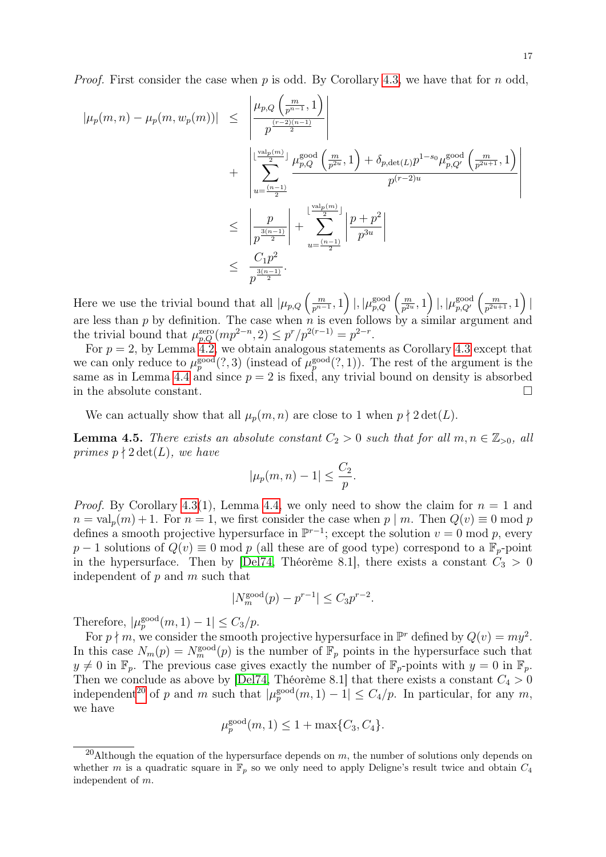*Proof.* First consider the case when p is odd. By Corollary [4.3,](#page-15-1) we have that for n odd,

$$
|\mu_p(m,n) - \mu_p(m,w_p(m))| \leq \left| \frac{\mu_{p,Q}\left(\frac{m}{p^{n-1}},1\right)}{p^{\frac{(r-2)(n-1)}{2}}} \right|
$$
  
+ 
$$
\left| \frac{\left|\frac{\text{val}_{p}(m)}{2}\right|}{\sum_{u=\frac{(n-1)}{2}}^{\text{good}} \left(\frac{m}{p^{2u}},1\right) + \delta_{p,\text{det}(L)} p^{1-s_0} \mu_{p,Q'}^{\text{good}}\left(\frac{m}{p^{2u+1}},1\right)}{p^{(r-2)u}} \right|
$$
  

$$
\leq \left| \frac{p}{p^{\frac{3(n-1)}{2}}} \right| + \sum_{u=\frac{(n-1)}{2}}^{\left|\frac{\text{val}_{p}(m)}{2}\right|} \left| \frac{p+p^2}{p^{3u}} \right|
$$
  

$$
\leq \frac{C_1 p^2}{p^{\frac{3(n-1)}{2}}}.
$$

Here we use the trivial bound that all  $|\mu_{p,Q}\left(\frac{m}{p^{n-1}}\right)|$  $\left\lfloor \frac{m}{p^{n-1}},1\right\rceil \big\rfloor, \big\lfloor \mu_{p,Q}^{\text{good}}\left(\frac{m}{p^{2n}}\right)$  $\left\lfloor \frac{m}{p^{2u}},1\right\rceil \left\rfloor ,\left\lfloor \mu_{p,Q'}^{\text{good}}\right\rfloor$  $\gcd_{p,Q'} \left( \frac{m}{p^{2u}} \right)$  $\frac{m}{p^{2u+1}}, 1)$  | are less than  $p$  by definition. The case when  $n$  is even follows by a similar argument and the trivial bound that  $\mu_{p,Q}^{\text{zero}}(mp^{2-n}, 2) \leq p^r/p^{2(r-1)} = p^{2-r}.$ 

For  $p = 2$ , by Lemma [4.2,](#page-14-1) we obtain analogous statements as Corollary [4.3](#page-15-1) except that we can only reduce to  $\mu_p^{\text{good}}(?, 3)$  (instead of  $\mu_p^{\text{good}}(?, 1)$ ). The rest of the argument is the same as in Lemma [4.4](#page-15-2) and since  $p = 2$  is fixed, any trivial bound on density is absorbed in the absolute constant.  $\Box$ 

We can actually show that all  $\mu_p(m, n)$  are close to 1 when  $p \nmid 2 \det(L)$ .

<span id="page-16-1"></span>**Lemma 4.5.** There exists an absolute constant  $C_2 > 0$  such that for all  $m, n \in \mathbb{Z}_{>0}$ , all primes  $p \nmid 2 \det(L)$ , we have

$$
|\mu_p(m,n)-1| \le \frac{C_2}{p}.
$$

*Proof.* By Corollary [4.3\(](#page-15-1)1), Lemma [4.4,](#page-15-2) we only need to show the claim for  $n = 1$  and  $n = val_n(m) + 1$ . For  $n = 1$ , we first consider the case when  $p \mid m$ . Then  $Q(v) \equiv 0 \mod p$ defines a smooth projective hypersurface in  $\mathbb{P}^{r-1}$ ; except the solution  $v = 0$  mod p, every  $p-1$  solutions of  $Q(v) \equiv 0 \mod p$  (all these are of good type) correspond to a  $\mathbb{F}_p$ -point in the hypersurface. Then by [\[Del74,](#page-45-21) Théorème 8.1], there exists a constant  $C_3 > 0$ independent of  $p$  and  $m$  such that

$$
|N_m^{\text{good}}(p) - p^{r-1}| \le C_3 p^{r-2}.
$$

Therefore,  $|\mu_p^{\text{good}}(m,1) - 1| \leq C_3/p$ .

For  $p \nmid m$ , we consider the smooth projective hypersurface in  $\mathbb{P}^r$  defined by  $Q(v) = my^2$ . In this case  $N_m(p) = N_m^{\text{good}}(p)$  is the number of  $\mathbb{F}_p$  points in the hypersurface such that  $y \neq 0$  in  $\mathbb{F}_p$ . The previous case gives exactly the number of  $\mathbb{F}_p$ -points with  $y = 0$  in  $\mathbb{F}_p$ . Then we conclude as above by [\[Del74,](#page-45-21) Théorème 8.1] that there exists a constant  $C_4 > 0$ independent<sup>[20](#page-16-0)</sup> of p and m such that  $|\mu_p^{\text{good}}(m,1) - 1| \leq C_4/p$ . In particular, for any m, we have

$$
\mu_p^{\text{good}}(m, 1) \le 1 + \max\{C_3, C_4\}.
$$

<span id="page-16-0"></span><sup>&</sup>lt;sup>20</sup>Although the equation of the hypersurface depends on  $m$ , the number of solutions only depends on whether m is a quadratic square in  $\mathbb{F}_p$  so we only need to apply Deligne's result twice and obtain  $C_4$ independent of m.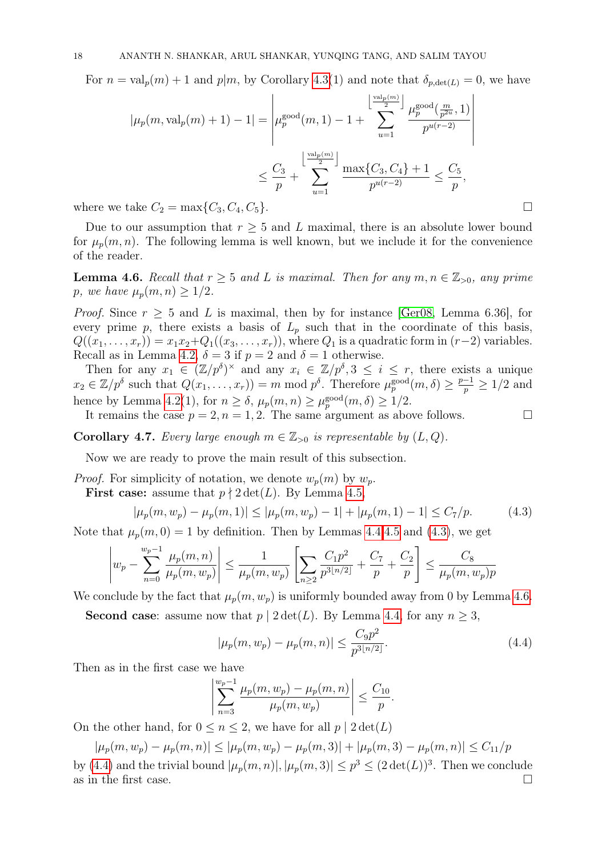For  $n = val_p(m) + 1$  and  $p|m$ , by Corollary [4.3\(](#page-15-1)1) and note that  $\delta_{p,\det(L)} = 0$ , we have

$$
|\mu_p(m, val_p(m) + 1) - 1| = \left| \mu_p^{\text{good}}(m, 1) - 1 + \sum_{u=1}^{\left\lfloor \frac{\text{val}_p(m)}{2} \right\rfloor} \frac{\mu_p^{\text{good}}(\frac{m}{p^{2u}}, 1)}{p^{u(r-2)}} \right|
$$
  

$$
\leq \frac{C_3}{p} + \sum_{u=1}^{\left\lfloor \frac{\text{val}_p(m)}{2} \right\rfloor} \frac{\max\{C_3, C_4\} + 1}{p^{u(r-2)}} \leq \frac{C_5}{p},
$$
  
where we take  $C_2 = \max\{C_3, C_4, C_5\}.$ 

Due to our assumption that  $r \geq 5$  and L maximal, there is an absolute lower bound for  $\mu_n(m, n)$ . The following lemma is well known, but we include it for the convenience of the reader.

<span id="page-17-1"></span>**Lemma 4.6.** Recall that  $r \geq 5$  and L is maximal. Then for any  $m, n \in \mathbb{Z}_{>0}$ , any prime p, we have  $\mu_p(m,n) \geq 1/2$ .

*Proof.* Since  $r \geq 5$  and L is maximal, then by for instance [\[Ger08,](#page-45-22) Lemma 6.36], for every prime p, there exists a basis of  $L_p$  such that in the coordinate of this basis,  $Q((x_1, \ldots, x_r)) = x_1x_2+Q_1((x_3, \ldots, x_r))$ , where  $Q_1$  is a quadratic form in  $(r-2)$  variables. Recall as in Lemma [4.2,](#page-14-1)  $\delta = 3$  if  $p = 2$  and  $\delta = 1$  otherwise.

Then for any  $x_1 \in (\mathbb{Z}/p^{\delta})^{\times}$  and any  $x_i \in \mathbb{Z}/p^{\delta}, 3 \leq i \leq r$ , there exists a unique  $x_2 \in \mathbb{Z}/p^{\delta}$  such that  $Q(x_1, \ldots, x_r) = m \mod p^{\delta}$ . Therefore  $\mu_p^{\text{good}}(m, \delta) \geq \frac{p-1}{p} \geq 1/2$  and hence by Lemma [4.2\(](#page-14-1)1), for  $n \geq \delta$ ,  $\mu_p(m,n) \geq \mu_p^{\text{good}}(m,\delta) \geq 1/2$ .

It remains the case  $p = 2, n = 1, 2$ . The same argument as above follows.

<span id="page-17-3"></span>**Corollary 4.7.** Every large enough  $m \in \mathbb{Z}_{>0}$  is representable by  $(L, Q)$ .

Now we are ready to prove the main result of this subsection.

*Proof.* For simplicity of notation, we denote  $w_p(m)$  by  $w_p$ .

**First case:** assume that  $p \nmid 2 \det(L)$ . By Lemma [4.5,](#page-16-1)

$$
|\mu_p(m, w_p) - \mu_p(m, 1)| \le |\mu_p(m, w_p) - 1| + |\mu_p(m, 1) - 1| \le C_7/p.
$$
 (4.3)

Note that  $\mu_p(m, 0) = 1$  by definition. Then by Lemmas [4.4,](#page-15-2)[4.5](#page-16-1) and [\(4.3\)](#page-17-0), we get

$$
\left| w_p - \sum_{n=0}^{w_p-1} \frac{\mu_p(m,n)}{\mu_p(m,w_p)} \right| \le \frac{1}{\mu_p(m,w_p)} \left[ \sum_{n \ge 2} \frac{C_1 p^2}{p^{3\lfloor n/2 \rfloor}} + \frac{C_7}{p} + \frac{C_2}{p} \right] \le \frac{C_8}{\mu_p(m,w_p)p}
$$

We conclude by the fact that  $\mu_p(m, w_p)$  is uniformly bounded away from 0 by Lemma [4.6.](#page-17-1)

**Second case:** assume now that  $p \mid 2 \det(L)$ . By Lemma [4.4,](#page-15-2) for any  $n \geq 3$ ,

<span id="page-17-2"></span><span id="page-17-0"></span>
$$
|\mu_p(m, w_p) - \mu_p(m, n)| \le \frac{C_9 p^2}{p^{3\lfloor n/2 \rfloor}}.
$$
\n(4.4)

Then as in the first case we have

$$
\left| \sum_{n=3}^{w_p-1} \frac{\mu_p(m, w_p) - \mu_p(m, n)}{\mu_p(m, w_p)} \right| \leq \frac{C_{10}}{p}.
$$

On the other hand, for  $0 \le n \le 2$ , we have for all  $p | 2 \det(L)$ 

$$
|\mu_p(m, w_p) - \mu_p(m, n)| \le |\mu_p(m, w_p) - \mu_p(m, 3)| + |\mu_p(m, 3) - \mu_p(m, n)| \le C_{11}/p
$$
  
by (4.4) and the trivial bound  $|\mu_p(m, n)|, |\mu_p(m, 3)| \le p^3 \le (2 \det(L))^3$ . Then we conclude

as in the first case.  $\Box$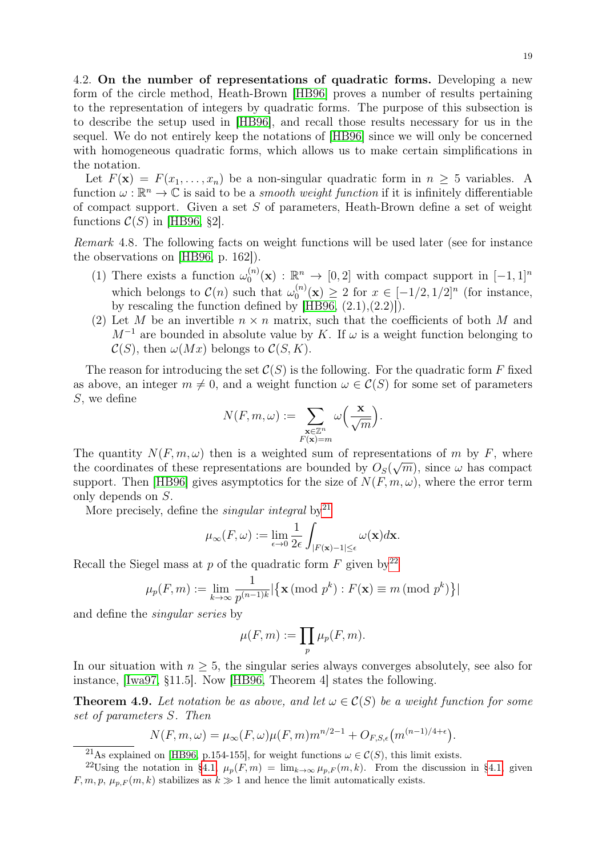<span id="page-18-0"></span>4.2. On the number of representations of quadratic forms. Developing a new form of the circle method, Heath-Brown [\[HB96\]](#page-46-20) proves a number of results pertaining to the representation of integers by quadratic forms. The purpose of this subsection is to describe the setup used in [\[HB96\]](#page-46-20), and recall those results necessary for us in the sequel. We do not entirely keep the notations of [\[HB96\]](#page-46-20) since we will only be concerned with homogeneous quadratic forms, which allows us to make certain simplifications in the notation.

Let  $F(\mathbf{x}) = F(x_1, \ldots, x_n)$  be a non-singular quadratic form in  $n \geq 5$  variables. A function  $\omega : \mathbb{R}^n \to \mathbb{C}$  is said to be a *smooth weight function* if it is infinitely differentiable of compact support. Given a set  $S$  of parameters, Heath-Brown define a set of weight functions  $C(S)$  in [\[HB96,](#page-46-20) §2].

<span id="page-18-3"></span>Remark 4.8. The following facts on weight functions will be used later (see for instance the observations on [\[HB96,](#page-46-20) p. 162]).

- (1) There exists a function  $\omega_0^{(n)}$  $\mathcal{O}_0^{(n)}(\mathbf{x}) : \mathbb{R}^n \to [0,2]$  with compact support in  $[-1,1]^n$ which belongs to  $\mathcal{C}(n)$  such that  $\omega_0^{(n)}$  $\binom{n}{0}$  (**x**)  $\geq 2$  for  $x \in [-1/2, 1/2]^n$  (for instance, by rescaling the function defined by  $[HB96, (2.1), (2.2)]$  $[HB96, (2.1), (2.2)]$ .
- (2) Let M be an invertible  $n \times n$  matrix, such that the coefficients of both M and  $M^{-1}$  are bounded in absolute value by K. If  $\omega$  is a weight function belonging to  $\mathcal{C}(S)$ , then  $\omega(Mx)$  belongs to  $\mathcal{C}(S,K)$ .

The reason for introducing the set  $\mathcal{C}(S)$  is the following. For the quadratic form F fixed as above, an integer  $m \neq 0$ , and a weight function  $\omega \in \mathcal{C}(S)$  for some set of parameters S, we define

$$
N(F, m, \omega) := \sum_{\substack{\mathbf{x} \in \mathbb{Z}^n \\ F(\mathbf{x}) = m}} \omega\left(\frac{\mathbf{x}}{\sqrt{m}}\right).
$$

The quantity  $N(F, m, \omega)$  then is a weighted sum of representations of m by F, where the coordinates of these representations are bounded by  $O_s(\sqrt{m})$ , since  $\omega$  has compact support. Then [\[HB96\]](#page-46-20) gives asymptotics for the size of  $N(F, m, \omega)$ , where the error term only depends on S.

More precisely, define the *singular integral*  $bv^{21}$  $bv^{21}$  $bv^{21}$ 

$$
\mu_\infty(F,\omega):=\lim_{\epsilon\to 0}\frac{1}{2\epsilon}\int_{|F(\mathbf{x})-1|\leq\epsilon}\omega(\mathbf{x})d\mathbf{x}.
$$

Recall the Siegel mass at p of the quadratic form  $F$  given by  $2^2$ 

$$
\mu_p(F, m) := \lim_{k \to \infty} \frac{1}{p^{(n-1)k}} |\{\mathbf{x} \pmod{p^k} : F(\mathbf{x}) \equiv m \pmod{p^k}\}|
$$

and define the singular series by

$$
\mu(F, m) := \prod_p \mu_p(F, m).
$$

In our situation with  $n \geq 5$ , the singular series always converges absolutely, see also for instance, [\[Iwa97,](#page-46-21) §11.5]. Now [\[HB96,](#page-46-20) Theorem 4] states the following.

<span id="page-18-4"></span>**Theorem 4.9.** Let notation be as above, and let  $\omega \in \mathcal{C}(S)$  be a weight function for some set of parameters S. Then

$$
N(F, m, \omega) = \mu_{\infty}(F, \omega)\mu(F, m)m^{n/2 - 1} + O_{F, S, \epsilon}(m^{(n-1)/4 + \epsilon}).
$$

<span id="page-18-2"></span><span id="page-18-1"></span><sup>&</sup>lt;sup>21</sup>As explained on [\[HB96,](#page-46-20) p.154-155], for weight functions  $\omega \in \mathcal{C}(S)$ , this limit exists.

<sup>&</sup>lt;sup>22</sup>Using the notation in [§4.1,](#page-13-1)  $\mu_p(F,m) = \lim_{k \to \infty} \mu_{p,F}(m,k)$ . From the discussion in §4.1, given  $F, m, p, \mu_{p,F}(m, k)$  stabilizes as  $k \gg 1$  and hence the limit automatically exists.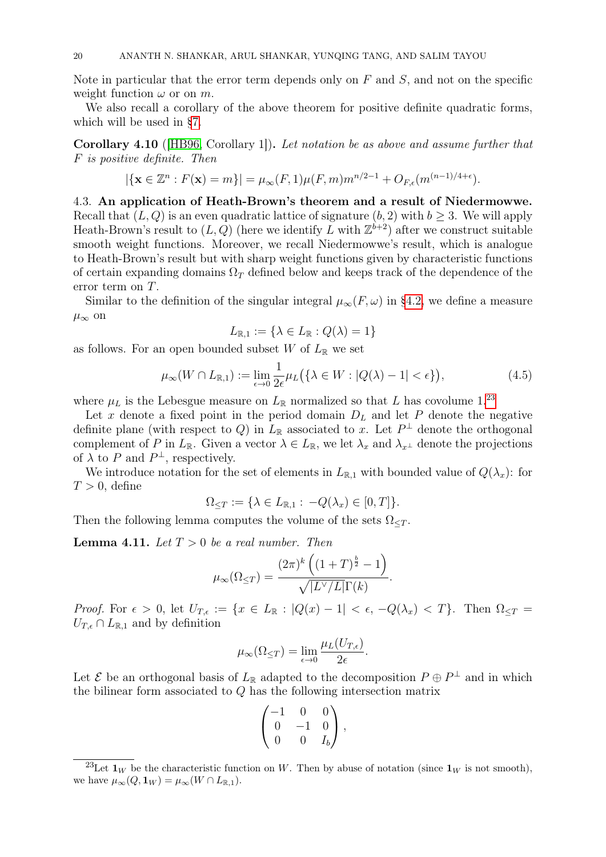Note in particular that the error term depends only on  $F$  and  $S$ , and not on the specific weight function  $\omega$  or on m.

We also recall a corollary of the above theorem for positive definite quadratic forms, which will be used in [§7.](#page-33-0)

<span id="page-19-4"></span>Corollary 4.10 ([\[HB96,](#page-46-20) Corollary 1]). Let notation be as above and assume further that F is positive definite. Then

$$
|\{\mathbf{x}\in\mathbb{Z}^n:F(\mathbf{x})=m\}|=\mu_\infty(F,1)\mu(F,m)m^{n/2-1}+O_{F,\epsilon}(m^{(n-1)/4+\epsilon}).
$$

<span id="page-19-0"></span>4.3. An application of Heath-Brown's theorem and a result of Niedermowwe. Recall that  $(L, Q)$  is an even quadratic lattice of signature  $(b, 2)$  with  $b \ge 3$ . We will apply Heath-Brown's result to  $(L, Q)$  (here we identify L with  $\mathbb{Z}^{b+2}$ ) after we construct suitable smooth weight functions. Moreover, we recall Niedermowwe's result, which is analogue to Heath-Brown's result but with sharp weight functions given by characteristic functions of certain expanding domains  $\Omega_T$  defined below and keeps track of the dependence of the error term on T.

Similar to the definition of the singular integral  $\mu_{\infty}(F,\omega)$  in [§4.2,](#page-18-0) we define a measure  $\mu_{\infty}$  on

$$
L_{\mathbb{R},1} := \{ \lambda \in L_{\mathbb{R}} : Q(\lambda) = 1 \}
$$

as follows. For an open bounded subset W of  $L_{\mathbb{R}}$  we set

<span id="page-19-3"></span>
$$
\mu_{\infty}(W \cap L_{\mathbb{R},1}) := \lim_{\epsilon \to 0} \frac{1}{2\epsilon} \mu_L \big( \{ \lambda \in W : |Q(\lambda) - 1| < \epsilon \} \big),\tag{4.5}
$$

where  $\mu_L$  is the Lebesgue measure on  $L_{\mathbb{R}}$  normalized so that L has covolume 1.<sup>[23](#page-19-1)</sup>

Let x denote a fixed point in the period domain  $D<sub>L</sub>$  and let P denote the negative definite plane (with respect to Q) in  $L_{\mathbb{R}}$  associated to x. Let  $P^{\perp}$  denote the orthogonal complement of P in  $L_{\mathbb{R}}$ . Given a vector  $\lambda \in L_{\mathbb{R}}$ , we let  $\lambda_x$  and  $\lambda_{x^{\perp}}$  denote the projections of  $\lambda$  to P and  $P^{\perp}$ , respectively.

We introduce notation for the set of elements in  $L_{\mathbb{R},1}$  with bounded value of  $Q(\lambda_x)$ : for  $T > 0$ , define

$$
\Omega_{\leq T} := \{ \lambda \in L_{\mathbb{R},1} : -Q(\lambda_x) \in [0,T] \}.
$$

Then the following lemma computes the volume of the sets  $\Omega_{\leq T}$ .

<span id="page-19-2"></span>**Lemma 4.11.** Let  $T > 0$  be a real number. Then

$$
\mu_{\infty}(\Omega_{\leq T}) = \frac{(2\pi)^k \left( (1+T)^{\frac{b}{2}} - 1 \right)}{\sqrt{|L^{\vee}/L|} \Gamma(k)}.
$$

*Proof.* For  $\epsilon > 0$ , let  $U_{T,\epsilon} := \{x \in L_{\mathbb{R}} : |Q(x) - 1| < \epsilon, -Q(\lambda_x) < T\}$ . Then  $\Omega_{\leq T} =$  $U_{T,\epsilon}\cap L_{\mathbb{R},1}$  and by definition

$$
\mu_{\infty}(\Omega_{\leq T}) = \lim_{\epsilon \to 0} \frac{\mu_L(U_{T,\epsilon})}{2\epsilon}.
$$

Let  $\mathcal E$  be an orthogonal basis of  $L_{\mathbb R}$  adapted to the decomposition  $P \oplus P^{\perp}$  and in which the bilinear form associated to Q has the following intersection matrix

$$
\begin{pmatrix}\n-1 & 0 & 0 \\
0 & -1 & 0 \\
0 & 0 & I_b\n\end{pmatrix},
$$

<span id="page-19-1"></span><sup>&</sup>lt;sup>23</sup>Let  $\mathbf{1}_W$  be the characteristic function on W. Then by abuse of notation (since  $\mathbf{1}_W$  is not smooth), we have  $\mu_{\infty}(Q, \mathbf{1}_W) = \mu_{\infty}(W \cap L_{\mathbb{R},1}).$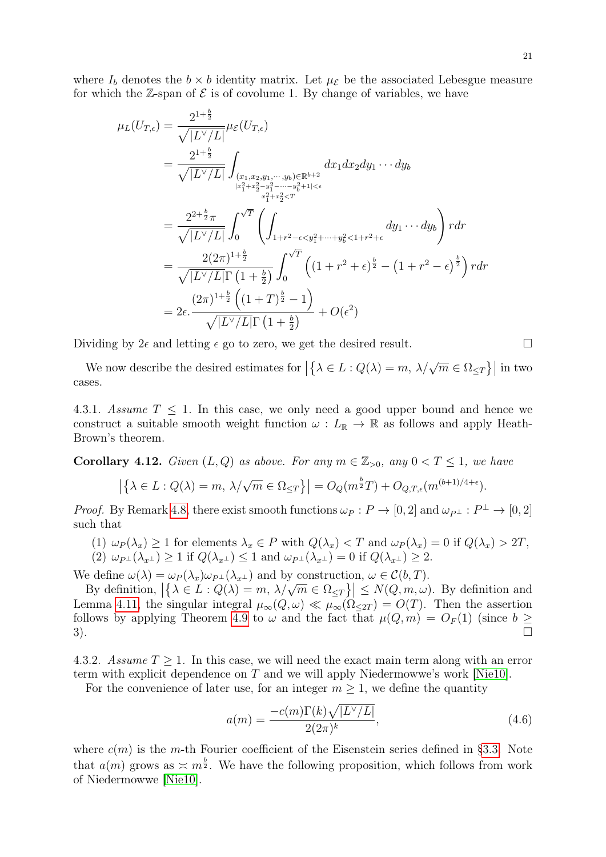$$
\mu_L(U_{T,\epsilon}) = \frac{2^{1+\frac{b}{2}}}{\sqrt{|L^{\vee}/L|}} \mu_{\varepsilon}(U_{T,\epsilon})
$$
\n
$$
= \frac{2^{1+\frac{b}{2}}}{\sqrt{|L^{\vee}/L|}} \int_{\substack{(x_1, x_2, y_1, \dots, y_b) \in \mathbb{R}^{b+2} \\ |x_1^2 + x_2^2 - y_1^2 - \dots - y_b^2 + 1| < \epsilon}} dx_1 dx_2 dy_1 \dots dy_b
$$
\n
$$
= \frac{2^{2+\frac{b}{2}} \pi}{\sqrt{|L^{\vee}/L|}} \int_0^{\sqrt{T}} \left( \int_{1+r^2 - \epsilon < y_1^2 + \dots + y_b^2 < 1+r^2 + \epsilon} dy_1 \dots dy_b \right) r dr
$$
\n
$$
= \frac{2(2\pi)^{1+\frac{b}{2}}}{\sqrt{|L^{\vee}/L|} \Gamma(1+\frac{b}{2})} \int_0^{\sqrt{T}} \left( (1+r^2 + \epsilon)^{\frac{b}{2}} - (1+r^2 - \epsilon)^{\frac{b}{2}} \right) r dr
$$
\n
$$
= 2\epsilon \cdot \frac{(2\pi)^{1+\frac{b}{2}} \left( (1+T)^{\frac{b}{2}} - 1 \right)}{\sqrt{|L^{\vee}/L|} \Gamma(1+\frac{b}{2})} + O(\epsilon^2)
$$

Dividing by  $2\epsilon$  and letting  $\epsilon$  go to zero, we get the desired result.

We now describe the desired estimates for  $\left|\{\lambda \in L: Q(\lambda) = m, \lambda/\sqrt{m} \in \Omega_{\leq T}\}\right|$  in two cases.

4.3.1. Assume  $T \leq 1$ . In this case, we only need a good upper bound and hence we construct a suitable smooth weight function  $\omega : L_{\mathbb{R}} \to \mathbb{R}$  as follows and apply Heath-Brown's theorem.

<span id="page-20-1"></span>**Corollary 4.12.** Given  $(L, Q)$  as above. For any  $m \in \mathbb{Z}_{>0}$ , any  $0 < T \leq 1$ , we have

$$
\left|\left\{\lambda \in L: Q(\lambda)=m, \, \lambda/\sqrt{m} \in \Omega_{\leq T}\right\}\right| = O_Q(m^{\frac{b}{2}}T) + O_{Q,T,\epsilon}(m^{(b+1)/4+\epsilon}).
$$

*Proof.* By Remark [4.8,](#page-18-3) there exist smooth functions  $\omega_P : P \to [0, 2]$  and  $\omega_{P^{\perp}} : P^{\perp} \to [0, 2]$ such that

(1)  $\omega_P(\lambda_x) \ge 1$  for elements  $\lambda_x \in P$  with  $Q(\lambda_x) < T$  and  $\omega_P(\lambda_x) = 0$  if  $Q(\lambda_x) > 2T$ ,

(2) 
$$
\omega_{P^{\perp}}(\lambda_{x^{\perp}}) \ge 1
$$
 if  $Q(\lambda_{x^{\perp}}) \le 1$  and  $\omega_{P^{\perp}}(\lambda_{x^{\perp}}) = 0$  if  $Q(\lambda_{x^{\perp}}) \ge 2$ .

We define  $\omega(\lambda) = \omega_P(\lambda_x) \omega_{P^{\perp}}(\lambda_{x^{\perp}})$  and by construction,  $\omega \in \mathcal{C}(b, T)$ .

By definition,  $\left|\left\{\lambda \in L: Q(\lambda) = m, \lambda/\sqrt{m} \in \Omega_{\leq T}\right\}\right| \leq N(Q, m, \omega)$ . By definition and<br>By definition,  $\left|\left\{\lambda \in L: Q(\lambda) = m, \lambda/\sqrt{m} \in \Omega_{\leq T}\right\}\right| \leq N(Q, m, \omega)$ . By definition and Lemma [4.11,](#page-19-2) the singular integral  $\mu_{\infty}(Q, \omega) \ll \mu_{\infty}(\Omega_{\leq 2T}) = O(T)$ . Then the assertion follows by applying Theorem [4.9](#page-18-4) to  $\omega$  and the fact that  $\mu(Q, m) = O_F(1)$  (since  $b \geq$ 3).

4.3.2. Assume  $T \geq 1$ . In this case, we will need the exact main term along with an error term with explicit dependence on T and we will apply Niedermowwe's work [\[Nie10\]](#page-46-22).

For the convenience of later use, for an integer  $m \geq 1$ , we define the quantity

$$
a(m) = \frac{-c(m)\Gamma(k)\sqrt{|L^{\vee}/L|}}{2(2\pi)^k},
$$
\n(4.6)

<span id="page-20-0"></span>where  $c(m)$  is the m-th Fourier coefficient of the Eisenstein series defined in [§3.3.](#page-12-1) Note that  $a(m)$  grows as  $\leq m^{\frac{b}{2}}$ . We have the following proposition, which follows from work of Niedermowwe [\[Nie10\]](#page-46-22).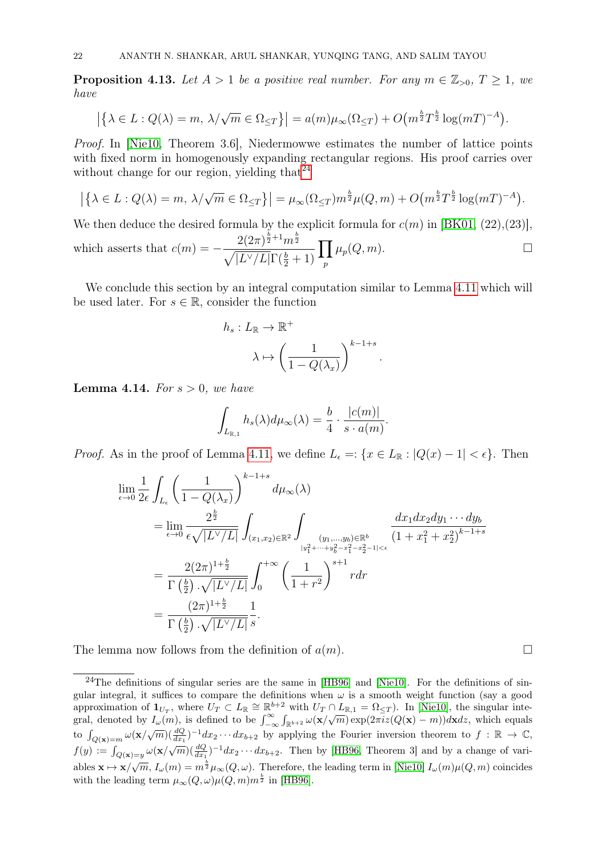**Proposition 4.13.** Let  $A > 1$  be a positive real number. For any  $m \in \mathbb{Z}_{>0}$ ,  $T \geq 1$ , we have

$$
\left|\left\{\lambda \in L: Q(\lambda) = m, \lambda/\sqrt{m} \in \Omega_{\leq T}\right\}\right| = a(m)\mu_{\infty}(\Omega_{\leq T}) + O\left(m^{\frac{b}{2}}T^{\frac{b}{2}}\log(mT)^{-A}\right).
$$

Proof. In [\[Nie10,](#page-46-22) Theorem 3.6], Niedermowwe estimates the number of lattice points with fixed norm in homogenously expanding rectangular regions. His proof carries over without change for our region, yielding that  $24$ 

$$
\left|\left\{\lambda \in L: Q(\lambda) = m, \lambda/\sqrt{m} \in \Omega_{\leq T}\right\}\right| = \mu_{\infty}(\Omega_{\leq T}) m^{\frac{b}{2}} \mu(Q, m) + O\left(m^{\frac{b}{2}} T^{\frac{b}{2}} \log(mT)^{-A}\right).
$$

We then deduce the desired formula by the explicit formula for  $c(m)$  in [\[BK01,](#page-45-19) (22), (23)], which asserts that  $c(m) = -\frac{2(2\pi)^{\frac{b}{2}+1}m^{\frac{b}{2}}}{\sqrt{2\pi}m^2}$  $\sqrt{|L^{\vee}/L|}\Gamma(\frac{b}{2}+1)$  $\Pi$ p  $\mu_p(Q, m).$ 

We conclude this section by an integral computation similar to Lemma [4.11](#page-19-2) which will be used later. For  $s \in \mathbb{R}$ , consider the function

$$
h_s: L_{\mathbb{R}} \to \mathbb{R}^+
$$

$$
\lambda \mapsto \left(\frac{1}{1 - Q(\lambda_x)}\right)^{k-1+s}
$$

.

<span id="page-21-1"></span>**Lemma 4.14.** For  $s > 0$ , we have

$$
\int_{L_{\mathbb{R},1}} h_s(\lambda) d\mu_{\infty}(\lambda) = \frac{b}{4} \cdot \frac{|c(m)|}{s \cdot a(m)}.
$$

*Proof.* As in the proof of Lemma [4.11,](#page-19-2) we define  $L_{\epsilon} =: \{x \in L_{\mathbb{R}} : |Q(x) - 1| < \epsilon\}.$  Then

$$
\lim_{\epsilon \to 0} \frac{1}{2\epsilon} \int_{L_{\epsilon}} \left( \frac{1}{1 - Q(\lambda_x)} \right)^{k - 1 + s} d\mu_{\infty}(\lambda)
$$
\n
$$
= \lim_{\epsilon \to 0} \frac{2^{\frac{b}{2}}}{\epsilon \sqrt{|L^{\vee}/L|}} \int_{(x_1, x_2) \in \mathbb{R}^2} \int_{\substack{(y_1, \dots, y_b) \in \mathbb{R}^b \\ |y_1^2 + \dots + y_b^2 - x_1^2 - x_2^2 - 1 | < \epsilon}} \frac{dx_1 dx_2 dy_1 \cdots dy_b}{(1 + x_1^2 + x_2^2)^{k - 1 + s}}
$$
\n
$$
= \frac{2(2\pi)^{1 + \frac{b}{2}}}{\Gamma(\frac{b}{2}) \cdot \sqrt{|L^{\vee}/L|}} \int_0^{+\infty} \left( \frac{1}{1 + r^2} \right)^{s + 1} r dr
$$
\n
$$
= \frac{(2\pi)^{1 + \frac{b}{2}}}{\Gamma(\frac{b}{2}) \cdot \sqrt{|L^{\vee}/L|}} \frac{1}{s}.
$$

The lemma now follows from the definition of  $a(m)$ .

<span id="page-21-0"></span><sup>&</sup>lt;sup>24</sup>The definitions of singular series are the same in [\[HB96\]](#page-46-20) and [\[Nie10\]](#page-46-22). For the definitions of singular integral, it suffices to compare the definitions when  $\omega$  is a smooth weight function (say a good approximation of  $\mathbf{1}_{U_T}$ , where  $U_T \subset L_{\mathbb{R}} \cong \mathbb{R}^{b+2}$  with  $U_T \cap L_{\mathbb{R},1} = \Omega_{\leq T}$ ). In [\[Nie10\]](#page-46-22), the singular inteapproximation of  $\mathbf{I}_{U_T}^T$ , where  $U_T \subseteq E_{\mathbb{R}} = \mathbb{R}^{\infty}$  with  $U_T \cap E_{\mathbb{R},1} = \Omega_T$ . In [NeTo], the singular line-<br>gral, denoted by  $I_{\omega}(m)$ , is defined to be  $\int_{-\infty}^{\infty} \int_{\mathbb{R}^{b+2}} \omega(\mathbf{x}/\sqrt{m}) \exp(2\pi i z (Q(\mathbf{x})$ to  $\int_{Q(\mathbf{x})=m} \omega(\mathbf{x}/\sqrt{m})(\frac{dQ}{dx_1})^{-1}dx_2 \cdots dx_{b+2}$  by applying the Fourier inversion theorem to  $f : \mathbb{R} \to \mathbb{C}$ ,  $f(y) := \int_{Q(\mathbf{x})=y} \omega(\mathbf{x}/\sqrt{m})(\frac{dQ}{dx_1})^{-1}dx_2 \cdots dx_{b+2}$ . Then by [\[HB96,](#page-46-20) Theorem 3] and by a change of variables  $\mathbf{x} \mapsto \mathbf{x}/\sqrt{m}$ ,  $I_{\omega}(m) = m^{\frac{b}{2}} \mu_{\infty}(Q, \omega)$ . Therefore, the leading term in [\[Nie10\]](#page-46-22)  $I_{\omega}(m)\mu(Q, m)$  coincides with the leading term  $\mu_{\infty}(Q, \omega)\mu(Q, m) m^{\frac{b}{2}}$  in [\[HB96\]](#page-46-20).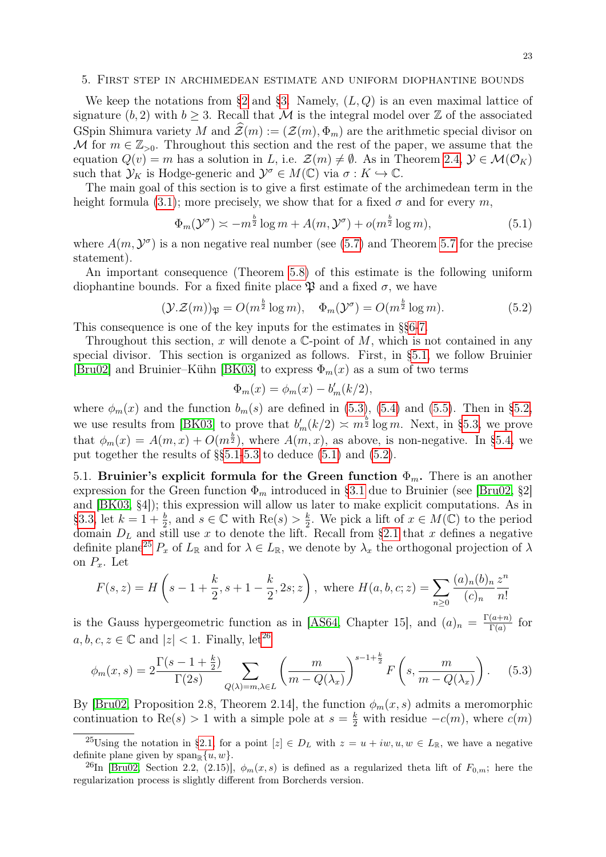#### <span id="page-22-0"></span>5. First step in archimedean estimate and uniform diophantine bounds

We keep the notations from [§2](#page-5-0) and [§3.](#page-10-0) Namely,  $(L, Q)$  is an even maximal lattice of signature  $(b, 2)$  with  $b \geq 3$ . Recall that M is the integral model over Z of the associated GSpin Shimura variety M and  $\mathcal{Z}(m) := (\mathcal{Z}(m), \Phi_m)$  are the arithmetic special divisor on M for  $m \in \mathbb{Z}_{>0}$ . Throughout this section and the rest of the paper, we assume that the equation  $Q(v) = m$  has a solution in L, i.e.  $\mathcal{Z}(m) \neq \emptyset$ . As in Theorem [2.4,](#page-10-1)  $\mathcal{Y} \in \mathcal{M}(\mathcal{O}_K)$ such that  $\mathcal{Y}_K$  is Hodge-generic and  $\mathcal{Y}^\sigma \in M(\mathbb{C})$  via  $\sigma: K \hookrightarrow \mathbb{C}$ .

The main goal of this section is to give a first estimate of the archimedean term in the height formula [\(3.1\)](#page-11-1); more precisely, we show that for a fixed  $\sigma$  and for every m,

$$
\Phi_m(\mathcal{Y}^\sigma) \asymp -m^{\frac{b}{2}} \log m + A(m, \mathcal{Y}^\sigma) + o(m^{\frac{b}{2}} \log m),\tag{5.1}
$$

where  $A(m, \mathcal{Y}^{\sigma})$  is a non negative real number (see [\(5.7\)](#page-25-1) and Theorem [5.7](#page-28-1) for the precise statement).

An important consequence (Theorem [5.8\)](#page-28-0) of this estimate is the following uniform diophantine bounds. For a fixed finite place  $\mathfrak{P}$  and a fixed  $\sigma$ , we have

$$
(\mathcal{Y}.\mathcal{Z}(m))_{\mathfrak{P}} = O(m^{\frac{b}{2}} \log m), \quad \Phi_m(\mathcal{Y}^\sigma) = O(m^{\frac{b}{2}} \log m). \tag{5.2}
$$

This consequence is one of the key inputs for the estimates in §[§6-](#page-29-0)[7.](#page-33-0)

Throughout this section, x will denote a  $\mathbb{C}$ -point of M, which is not contained in any special divisor. This section is organized as follows. First, in [§5.1,](#page-22-1) we follow Bruinier [\[Bru02\]](#page-45-9) and Bruinier–Kühn [\[BK03\]](#page-45-15) to express  $\Phi_m(x)$  as a sum of two terms

<span id="page-22-4"></span><span id="page-22-3"></span><span id="page-22-2"></span>
$$
\Phi_m(x) = \phi_m(x) - b'_m(k/2),
$$

where  $\phi_m(x)$  and the function  $b_m(s)$  are defined in [\(5.3\)](#page-22-2), [\(5.4\)](#page-23-1) and [\(5.5\)](#page-23-2). Then in [§5.2,](#page-23-3) we use results from [\[BK03\]](#page-45-15) to prove that  $b'_m(k/2) \approx m^{\frac{b}{2}} \log m$ . Next, in [§5.3,](#page-25-2) we prove that  $\phi_m(x) = A(m, x) + O(m^{\frac{b}{2}})$ , where  $A(m, x)$ , as above, is non-negative. In [§5.4,](#page-28-2) we put together the results of §[§5.1-](#page-22-1)[5.3](#page-25-2) to deduce [\(5.1\)](#page-22-3) and [\(5.2\)](#page-22-4).

<span id="page-22-1"></span>5.1. Bruinier's explicit formula for the Green function  $\Phi_m$ . There is an another expression for the Green function  $\Phi_m$  introduced in [§3.1](#page-10-2) due to Bruinier (see [\[Bru02,](#page-45-9) §2] and [\[BK03,](#page-45-15) §4]); this expression will allow us later to make explicit computations. As in [§3.3,](#page-12-1) let  $k = 1 + \frac{b}{2}$ , and  $s \in \mathbb{C}$  with  $\text{Re}(s) > \frac{k}{2}$  $\frac{k}{2}$ . We pick a lift of  $x \in M(\mathbb{C})$  to the period domain  $D<sub>L</sub>$  and still use x to denote the lift. Recall from [§2.1](#page-5-1) that x defines a negative definite plane<sup>[25](#page-22-5)</sup>  $P_x$  of  $L_{\mathbb{R}}$  and for  $\lambda \in L_{\mathbb{R}}$ , we denote by  $\lambda_x$  the orthogonal projection of  $\lambda$ on  $P_x$ . Let

$$
F(s, z) = H\left(s - 1 + \frac{k}{2}, s + 1 - \frac{k}{2}, 2s; z\right), \text{ where } H(a, b, c; z) = \sum_{n \ge 0} \frac{(a)_n (b)_n}{(c)_n} \frac{z^n}{n!}
$$

is the Gauss hypergeometric function as in [\[AS64,](#page-44-5) Chapter 15], and  $(a)_n = \frac{\Gamma(a+n)}{\Gamma(a)}$  $\frac{(a+n)}{\Gamma(a)}$  for  $a, b, c, z \in \mathbb{C}$  and  $|z| < 1$ . Finally, let<sup>[26](#page-22-6)</sup>

$$
\phi_m(x,s) = 2\frac{\Gamma(s-1+\frac{k}{2})}{\Gamma(2s)} \sum_{Q(\lambda)=m,\lambda \in L} \left(\frac{m}{m-Q(\lambda_x)}\right)^{s-1+\frac{k}{2}} F\left(s, \frac{m}{m-Q(\lambda_x)}\right). \tag{5.3}
$$

By [\[Bru02,](#page-45-9) Proposition 2.8, Theorem 2.14], the function  $\phi_m(x, s)$  admits a meromorphic continuation to Re(s) > 1 with a simple pole at  $s = \frac{k}{2}$  with residue  $-c(m)$ , where  $c(m)$ 

<span id="page-22-5"></span><sup>&</sup>lt;sup>25</sup>Using the notation in [§2.1,](#page-5-1) for a point  $[z] \in D_L$  with  $z = u + iw, u, w \in L_{\mathbb{R}}$ , we have a negative definite plane given by  $\text{span}_{\mathbb{R}}\{u, w\}.$ 

<span id="page-22-6"></span><sup>&</sup>lt;sup>26</sup>In [\[Bru02,](#page-45-9) Section 2.2, (2.15)],  $\phi_m(x, s)$  is defined as a regularized theta lift of  $F_{0,m}$ ; here the regularization process is slightly different from Borcherds version.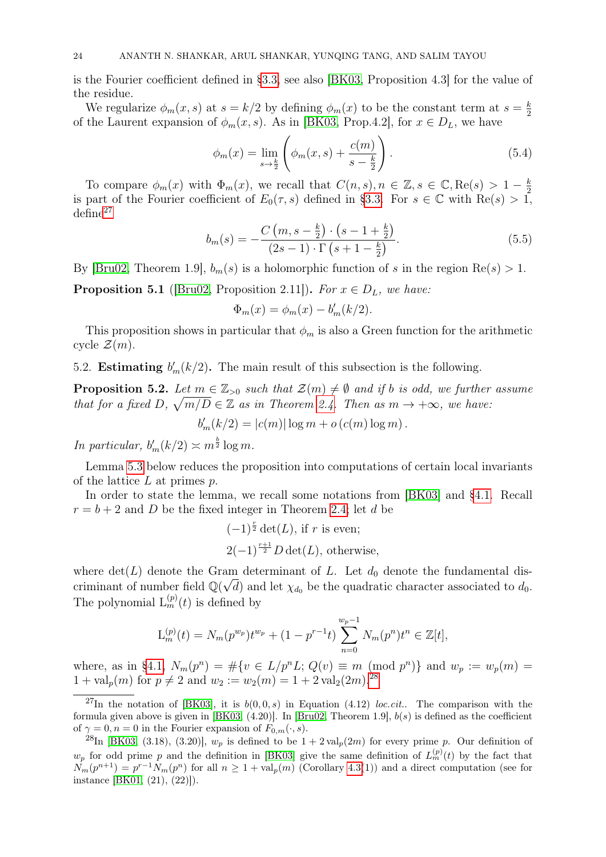is the Fourier coefficient defined in [§3.3,](#page-12-1) see also [\[BK03,](#page-45-15) Proposition 4.3] for the value of the residue.

We regularize  $\phi_m(x, s)$  at  $s = k/2$  by defining  $\phi_m(x)$  to be the constant term at  $s = \frac{k}{2}$ 2 of the Laurent expansion of  $\phi_m(x, s)$ . As in [\[BK03,](#page-45-15) Prop.4.2], for  $x \in D_L$ , we have

<span id="page-23-1"></span>
$$
\phi_m(x) = \lim_{s \to \frac{k}{2}} \left( \phi_m(x, s) + \frac{c(m)}{s - \frac{k}{2}} \right).
$$
\n(5.4)

To compare  $\phi_m(x)$  with  $\Phi_m(x)$ , we recall that  $C(n, s), n \in \mathbb{Z}, s \in \mathbb{C}, \text{Re}(s) > 1 - \frac{k}{2}$ 2 is part of the Fourier coefficient of  $E_0(\tau, s)$  defined in [§3.3.](#page-12-1) For  $s \in \mathbb{C}$  with  $\text{Re}(s) > 1$ ,  $\text{define}^{27}$  $\text{define}^{27}$  $\text{define}^{27}$ 

$$
b_m(s) = -\frac{C\left(m, s - \frac{k}{2}\right) \cdot \left(s - 1 + \frac{k}{2}\right)}{(2s - 1) \cdot \Gamma\left(s + 1 - \frac{k}{2}\right)}.
$$
\n(5.5)

By [\[Bru02,](#page-45-9) Theorem 1.9],  $b_m(s)$  is a holomorphic function of s in the region  $\text{Re}(s) > 1$ .

<span id="page-23-7"></span>**Proposition 5.1** ([\[Bru02,](#page-45-9) Proposition 2.11]). For  $x \in D_L$ , we have:

<span id="page-23-2"></span>
$$
\Phi_m(x) = \phi_m(x) - b'_m(k/2).
$$

This proposition shows in particular that  $\phi_m$  is also a Green function for the arithmetic cycle  $\mathcal{Z}(m)$ .

<span id="page-23-3"></span>5.2. **Estimating**  $b'_m(k/2)$ . The main result of this subsection is the following.

<span id="page-23-0"></span>**Proposition 5.2.** Let  $m \in \mathbb{Z}_{>0}$  such that  $\mathcal{Z}(m) \neq \emptyset$  and if b is odd, we further assume that for a fixed D,  $\sqrt{m/D} \in \mathbb{Z}$  as in Theorem [2.4.](#page-10-1) Then as  $m \to +\infty$ , we have:

 $b'_m(k/2) = |c(m)| \log m + o(c(m) \log m).$ 

In particular,  $b'_m(k/2) \asymp m^{\frac{b}{2}} \log m$ .

Lemma [5.3](#page-23-5) below reduces the proposition into computations of certain local invariants of the lattice  $L$  at primes  $p$ .

In order to state the lemma, we recall some notations from [\[BK03\]](#page-45-15) and [§4.1.](#page-13-1) Recall  $r = b + 2$  and D be the fixed integer in Theorem [2.4;](#page-10-1) let d be

$$
(-1)^{\frac{r}{2}} \det(L), \text{ if } r \text{ is even};
$$
  
2(-1) $^{\frac{r+1}{2}} D \det(L), \text{ otherwise},$ 

where  $\det(L)$  denote the Gram determinant of L. Let  $d_0$  denote the fundamental discriminant of number field  $\mathbb{Q}(\sqrt{d})$  and let  $\chi_{d_0}$  be the quadratic character associated to  $d_0$ . The polynomial  $L_m^{(p)}(t)$  is defined by

$$
L_m^{(p)}(t) = N_m(p^{w_p})t^{w_p} + (1 - p^{r-1}t) \sum_{n=0}^{w_p-1} N_m(p^n)t^n \in \mathbb{Z}[t],
$$

where, as in [§4.1,](#page-13-1)  $N_m(p^n) = #\{v \in L/p^n L; Q(v) \equiv m \pmod{p^n}\}\$ and  $w_p := w_p(m) =$  $1 + val_p(m)$  for  $p \neq 2$  and  $w_2 := w_2(m) = 1 + 2 val_2(2m)$ .<sup>[28](#page-23-6)</sup>

<span id="page-23-5"></span><span id="page-23-4"></span><sup>&</sup>lt;sup>27</sup>In the notation of [\[BK03\]](#page-45-15), it is  $b(0,0,s)$  in Equation (4.12) loc.cit.. The comparison with the formula given above is given in [\[BK03,](#page-45-15)  $(4.20)$ ]. In [\[Bru02,](#page-45-9) Theorem 1.9],  $b(s)$  is defined as the coefficient of  $\gamma = 0, n = 0$  in the Fourier expansion of  $F_{0,m}(\cdot, s)$ .

<span id="page-23-6"></span><sup>&</sup>lt;sup>28</sup>In [\[BK03,](#page-45-15) (3.18), (3.20)],  $w_p$  is defined to be  $1 + 2 \text{ val}_p(2m)$  for every prime p. Our definition of  $w_p$  for odd prime p and the definition in [\[BK03\]](#page-45-15) give the same definition of  $L_m^{(p)}(t)$  by the fact that  $N_m(p^{n+1}) = p^{r-1}N_m(p^n)$  for all  $n \ge 1 + \text{val}_p(m)$  (Corollary [4.3\(](#page-15-1)1)) and a direct computation (see for instance [\[BK01,](#page-45-19) (21), (22)]).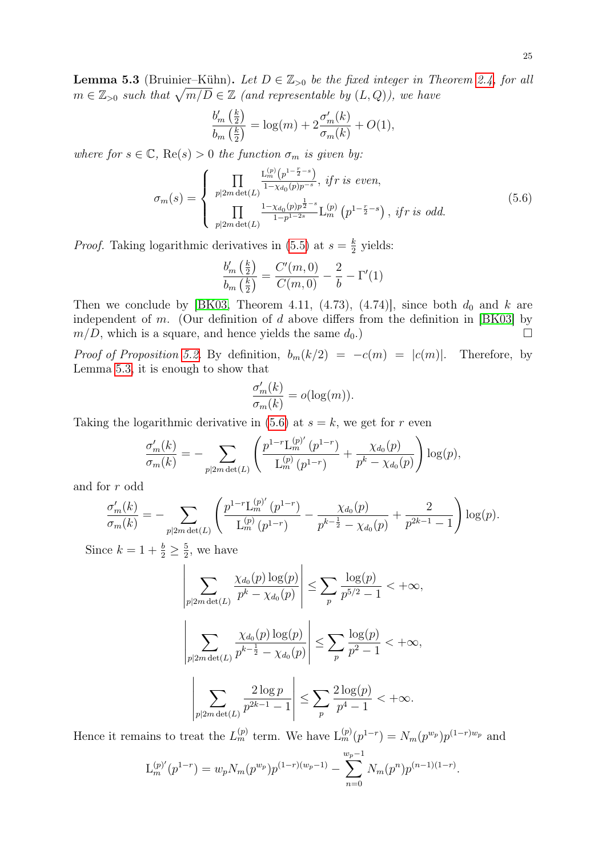**Lemma 5.3** (Bruinier–Kühn). Let  $D \in \mathbb{Z}_{>0}$  be the fixed integer in Theorem [2.4,](#page-10-1) for all  $m \in \mathbb{Z}_{>0}$  such that  $\sqrt{m/D} \in \mathbb{Z}$  (and representable by  $(L, Q)$ ), we have

$$
\frac{b'_m\left(\frac{k}{2}\right)}{b_m\left(\frac{k}{2}\right)} = \log(m) + 2\frac{\sigma'_m(k)}{\sigma_m(k)} + O(1),
$$

where for  $s \in \mathbb{C}$ ,  $\text{Re}(s) > 0$  the function  $\sigma_m$  is given by:

$$
\sigma_m(s) = \begin{cases} \n\prod_{p \mid 2m \det(L)} \frac{\mathcal{L}_m^{(p)}(p^{1-\frac{r}{2}-s})}{1-\chi_{d_0}(p)p^{-s}}, \text{ if } r \text{ is even,} \\
\prod_{p \mid 2m \det(L)} \frac{1-\chi_{d_0}(p)p^{\frac{1}{2}-s}}{1-p^{1-2s}} \mathcal{L}_m^{(p)}(p^{1-\frac{r}{2}-s}), \text{ if } r \text{ is odd.} \n\end{cases} \tag{5.6}
$$

*Proof.* Taking logarithmic derivatives in [\(5.5\)](#page-23-2) at  $s = \frac{k}{2}$  $\frac{k}{2}$  yields:

<span id="page-24-0"></span>
$$
\frac{b'_m\left(\frac{k}{2}\right)}{b_m\left(\frac{k}{2}\right)} = \frac{C'(m,0)}{C(m,0)} - \frac{2}{b} - \Gamma'(1)
$$

Then we conclude by [\[BK03,](#page-45-15) Theorem 4.11, (4.73), (4.74)], since both  $d_0$  and  $k$  are independent of  $m$ . (Our definition of  $d$  above differs from the definition in [\[BK03\]](#page-45-15) by  $m/D$ , which is a square, and hence yields the same  $d_0$ .)

Proof of Proposition [5.2.](#page-23-0) By definition,  $b_m(k/2) = -c(m) = |c(m)|$ . Therefore, by Lemma [5.3,](#page-23-5) it is enough to show that

$$
\frac{\sigma'_m(k)}{\sigma_m(k)} = o(\log(m)).
$$

Taking the logarithmic derivative in [\(5.6\)](#page-24-0) at  $s = k$ , we get for r even

$$
\frac{\sigma'_{m}(k)}{\sigma_{m}(k)} = -\sum_{p|2m \det(L)} \left( \frac{p^{1-r} \mathcal{L}_{m}^{(p)'}(p^{1-r})}{\mathcal{L}_{m}^{(p)}(p^{1-r})} + \frac{\chi_{d_0}(p)}{p^k - \chi_{d_0}(p)} \right) \log(p),
$$

and for r odd

$$
\frac{\sigma'_{m}(k)}{\sigma_{m}(k)} = -\sum_{p|2m \det(L)} \left( \frac{p^{1-r} \mathcal{L}_{m}^{(p)'}(p^{1-r})}{\mathcal{L}_{m}^{(p)}(p^{1-r})} - \frac{\chi_{d_0}(p)}{p^{k-\frac{1}{2}} - \chi_{d_0}(p)} + \frac{2}{p^{2k-1}-1} \right) \log(p).
$$

Since  $k = 1 + \frac{b}{2} \ge \frac{5}{2}$  $\frac{5}{2}$ , we have

$$
\left| \sum_{p \mid 2m \det(L)} \frac{\chi_{d_0}(p) \log(p)}{p^k - \chi_{d_0}(p)} \right| \le \sum_p \frac{\log(p)}{p^{5/2} - 1} < +\infty,
$$
  

$$
\left| \sum_{p \mid 2m \det(L)} \frac{\chi_{d_0}(p) \log(p)}{p^{k - \frac{1}{2}} - \chi_{d_0}(p)} \right| \le \sum_p \frac{\log(p)}{p^2 - 1} < +\infty,
$$
  

$$
\left| \sum_{p \mid 2m \det(L)} \frac{2 \log p}{p^{2k - 1} - 1} \right| \le \sum_p \frac{2 \log(p)}{p^4 - 1} < +\infty.
$$

Hence it remains to treat the  $L_m^{(p)}$  term. We have  $L_m^{(p)}(p^{1-r}) = N_m(p^{w_p})p^{(1-r)w_p}$  and

$$
L_m^{(p)'}(p^{1-r}) = w_p N_m(p^{w_p}) p^{(1-r)(w_p-1)} - \sum_{n=0}^{w_p-1} N_m(p^n) p^{(n-1)(1-r)}.
$$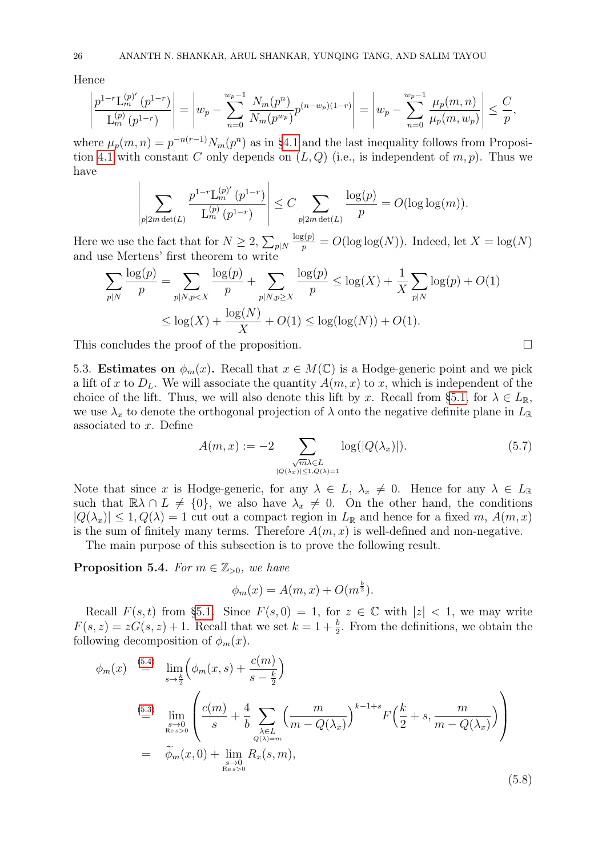Hence

 $\begin{array}{c} \hline \end{array}$  $\overline{\phantom{a}}$  $\overline{\phantom{a}}$  $\overline{\phantom{a}}$  $\overline{\phantom{a}}$  $\overline{\phantom{a}}$ 

$$
\left|\frac{p^{1-r}\mathcal{L}_m^{(p)'}(p^{1-r})}{\mathcal{L}_m^{(p)}(p^{1-r})}\right| = \left|w_p - \sum_{n=0}^{w_p-1} \frac{N_m(p^n)}{N_m(p^{w_p})} p^{(n-w_p)(1-r)}\right| = \left|w_p - \sum_{n=0}^{w_p-1} \frac{\mu_p(m,n)}{\mu_p(m,w_p)}\right| \leq \frac{C}{p},
$$

where  $\mu_p(m,n) = p^{-n(r-1)} N_m(p^n)$  as in [§4.1](#page-13-1) and the last inequality follows from Proposi-tion [4.1](#page-14-2) with constant C only depends on  $(L, Q)$  (i.e., is independent of  $m, p$ ). Thus we have

$$
\sum_{p|2m\det(L)}\frac{p^{1-r}\mathcal{L}_m^{(p)'}(p^{1-r})}{\mathcal{L}_m^{(p)}(p^{1-r})}\Bigg|\leq C\sum_{p|2m\det(L)}\frac{\log(p)}{p}=O(\log\log(m)).
$$

Here we use the fact that for  $N \geq 2$ ,  $\sum_{p|N}$  $\frac{\log(p)}{p} = O(\log \log(N)).$  Indeed, let  $X = \log(N)$ and use Mertens' first theorem to write

$$
\sum_{p|N} \frac{\log(p)}{p} = \sum_{p|N, p < X} \frac{\log(p)}{p} + \sum_{p|N, p \ge X} \frac{\log(p)}{p} \le \log(X) + \frac{1}{X} \sum_{p|N} \log(p) + O(1)
$$
\n
$$
\le \log(X) + \frac{\log(N)}{X} + O(1) \le \log(\log(N)) + O(1).
$$

This concludes the proof of the proposition.

<span id="page-25-2"></span>5.3. **Estimates on**  $\phi_m(x)$ . Recall that  $x \in M(\mathbb{C})$  is a Hodge-generic point and we pick a lift of x to  $D<sub>L</sub>$ . We will associate the quantity  $A(m, x)$  to x, which is independent of the choice of the lift. Thus, we will also denote this lift by x. Recall from [§5.1,](#page-22-1) for  $\lambda \in L_{\mathbb{R}}$ , we use  $\lambda_x$  to denote the orthogonal projection of  $\lambda$  onto the negative definite plane in  $L_{\mathbb{R}}$ associated to x. Define

<span id="page-25-1"></span>
$$
A(m,x) := -2 \sum_{\substack{\sqrt{m}\lambda \in L \\ |Q(\lambda_x)| \le 1, Q(\lambda) = 1}} \log(|Q(\lambda_x)|). \tag{5.7}
$$

Note that since x is Hodge-generic, for any  $\lambda \in L$ ,  $\lambda_x \neq 0$ . Hence for any  $\lambda \in L_{\mathbb{R}}$ such that  $\mathbb{R}\lambda \cap L \neq \{0\}$ , we also have  $\lambda_x \neq 0$ . On the other hand, the conditions  $|Q(\lambda_x)| \leq 1, Q(\lambda) = 1$  cut out a compact region in  $L_{\mathbb{R}}$  and hence for a fixed m,  $A(m, x)$ is the sum of finitely many terms. Therefore  $A(m, x)$  is well-defined and non-negative.

The main purpose of this subsection is to prove the following result.

<span id="page-25-0"></span>**Proposition 5.4.** For  $m \in \mathbb{Z}_{>0}$ , we have

$$
\phi_m(x) = A(m, x) + O(m^{\frac{b}{2}}).
$$

Recall  $F(s, t)$  from [§5.1.](#page-22-1) Since  $F(s, 0) = 1$ , for  $z \in \mathbb{C}$  with  $|z| < 1$ , we may write  $F(s, z) = zG(s, z) + 1$ . Recall that we set  $k = 1 + \frac{b}{2}$ . From the definitions, we obtain the following decomposition of  $\phi_m(x)$ .

<span id="page-25-3"></span>
$$
\phi_m(x) \stackrel{(5.4)}{=} \lim_{s \to \frac{k}{2}} \left( \phi_m(x, s) + \frac{c(m)}{s - \frac{k}{2}} \right)
$$
\n
$$
\stackrel{(5.3)}{=} \lim_{\substack{s \to 0 \\ \text{Re } s > 0}} \left( \frac{c(m)}{s} + \frac{4}{b} \sum_{\substack{\lambda \in L \\ Q(\lambda) = m}} \left( \frac{m}{m - Q(\lambda_x)} \right)^{k - 1 + s} F\left( \frac{k}{2} + s, \frac{m}{m - Q(\lambda_x)} \right) \right)
$$
\n
$$
= \widetilde{\phi}_m(x, 0) + \lim_{\substack{s \to 0 \\ \text{Re } s > 0}} R_x(s, m), \tag{5.8}
$$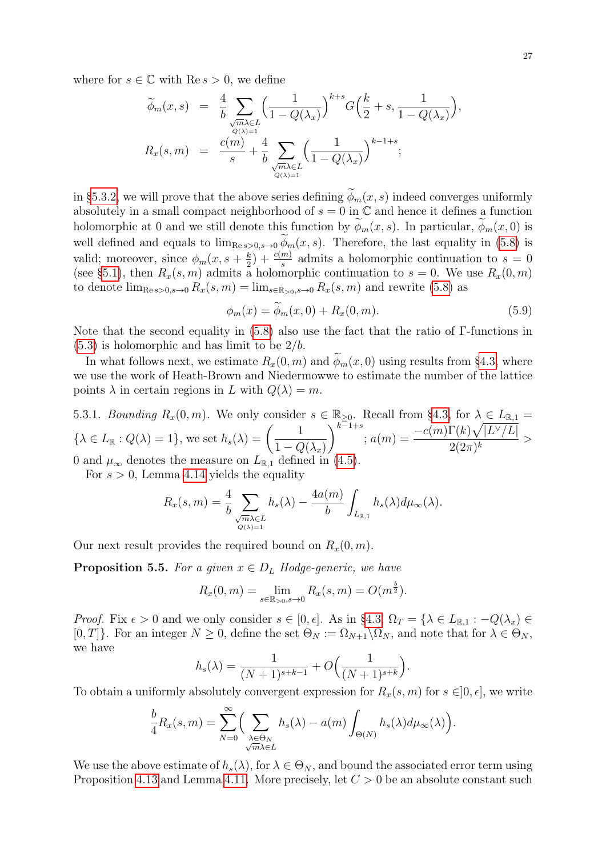where for  $s \in \mathbb{C}$  with  $\text{Re } s > 0$ , we define

$$
\widetilde{\phi}_m(x,s) = \frac{4}{b} \sum_{\substack{\sqrt{m}\lambda \in L \\ Q(\lambda)=1}} \left(\frac{1}{1-Q(\lambda_x)}\right)^{k+s} G\left(\frac{k}{2}+s, \frac{1}{1-Q(\lambda_x)}\right),
$$
\n
$$
R_x(s,m) = \frac{c(m)}{s} + \frac{4}{b} \sum_{\substack{\sqrt{m}\lambda \in L \\ Q(\lambda)=1}} \left(\frac{1}{1-Q(\lambda_x)}\right)^{k-1+s};
$$

in [§5.3.2,](#page-27-0) we will prove that the above series defining  $\widetilde{\phi}_m(x, s)$  indeed converges uniformly absolutely in a small compact neighborhood of  $s = 0$  in  $\mathbb C$  and hence it defines a function holomorphic at 0 and we still denote this function by  $\phi_m(x, s)$ . In particular,  $\phi_m(x, 0)$  is well defined and equals to  $\lim_{\text{Re}s>0, s\to 0} \widetilde{\phi}_m(x, s)$ . Therefore, the last equality in [\(5.8\)](#page-25-3) is valid; moreover, since  $\phi_m(x, s + \frac{k}{2})$  $\frac{k}{2}$  +  $\frac{c(m)}{s}$  admits a holomorphic continuation to  $s = 0$ (see [§5.1\)](#page-22-1), then  $R_x(s, m)$  admits a holomorphic continuation to  $s = 0$ . We use  $R_x(0, m)$ to denote  $\lim_{\text{Re }s>0, s\to 0} R_x(s, m) = \lim_{s\in\mathbb{R}_{>0}, s\to 0} R_x(s, m)$  and rewrite [\(5.8\)](#page-25-3) as

<span id="page-26-0"></span>
$$
\phi_m(x) = \phi_m(x, 0) + R_x(0, m). \tag{5.9}
$$

Note that the second equality in [\(5.8\)](#page-25-3) also use the fact that the ratio of Γ-functions in  $(5.3)$  is holomorphic and has limit to be  $2/b$ .

In what follows next, we estimate  $R_x(0, m)$  and  $\phi_m(x, 0)$  using results from [§4.3,](#page-19-0) where we use the work of Heath-Brown and Niedermowwe to estimate the number of the lattice points  $\lambda$  in certain regions in L with  $Q(\lambda) = m$ .

5.3.1. *Bounding* 
$$
R_x(0, m)
$$
. We only consider  $s \in \mathbb{R}_{\geq 0}$ . Recall from §4.3, for  $\lambda \in L_{\mathbb{R},1} = \{\lambda \in L_{\mathbb{R}} : Q(\lambda) = 1\}$ , we set  $h_s(\lambda) = \left(\frac{1}{1 - Q(\lambda_x)}\right)^{k-1+s}$ ;  $a(m) = \frac{-c(m)\Gamma(k)\sqrt{|L^{\vee}/L|}}{2(2\pi)^k}$  > 0 and  $\mu_{\infty}$  denotes the measure on  $L_{\mathbb{R},1}$  defined in (4.5).

For  $s > 0$ , Lemma [4.14](#page-21-1) yields the equality

$$
R_x(s,m) = \frac{4}{b} \sum_{\substack{\sqrt{m}\lambda \in L \\ Q(\lambda)=1}} h_s(\lambda) - \frac{4a(m)}{b} \int_{L_{\mathbb{R},1}} h_s(\lambda) d\mu_{\infty}(\lambda).
$$

Our next result provides the required bound on  $R_x(0, m)$ .

<span id="page-26-1"></span>**Proposition 5.5.** For a given  $x \in D_L$  Hodge-generic, we have

$$
R_x(0,m) = \lim_{s \in \mathbb{R}_{>0}, s \to 0} R_x(s,m) = O(m^{\frac{b}{2}}).
$$

*Proof.* Fix  $\epsilon > 0$  and we only consider  $s \in [0, \epsilon]$ . As in [§4.3,](#page-19-0)  $\Omega_T = \{\lambda \in L_{\mathbb{R},1} : -Q(\lambda_x) \in$  $[0, T]$ . For an integer  $N \geq 0$ , define the set  $\Theta_N := \Omega_{N+1} \backslash \Omega_N$ , and note that for  $\lambda \in \Theta_N$ , we have

$$
h_s(\lambda) = \frac{1}{(N+1)^{s+k-1}} + O\Big(\frac{1}{(N+1)^{s+k}}\Big).
$$

To obtain a uniformly absolutely convergent expression for  $R_x(s, m)$  for  $s \in ]0, \epsilon]$ , we write

$$
\frac{b}{4}R_x(s,m) = \sum_{N=0}^{\infty} \Big(\sum_{\substack{\lambda \in \Theta_N \\ \sqrt{m}\lambda \in L}} h_s(\lambda) - a(m) \int_{\Theta(N)} h_s(\lambda) d\mu_{\infty}(\lambda)\Big).
$$

We use the above estimate of  $h_s(\lambda)$ , for  $\lambda \in \Theta_N$ , and bound the associated error term using Proposition [4.13](#page-20-0) and Lemma [4.11.](#page-19-2) More precisely, let  $C > 0$  be an absolute constant such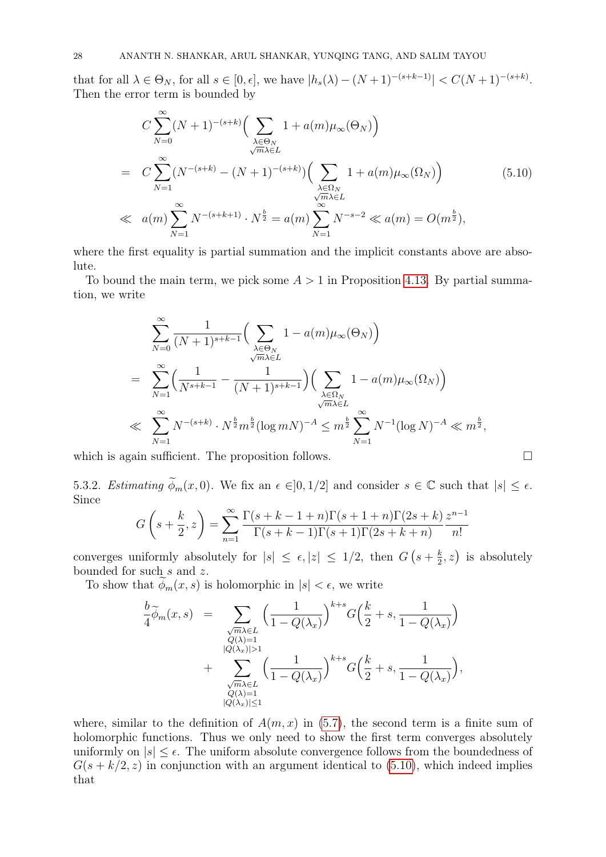that for all  $\lambda \in \Theta_N$ , for all  $s \in [0, \epsilon]$ , we have  $|h_s(\lambda) - (N+1)^{-(s+k-1)}| < C(N+1)^{-(s+k)}$ . Then the error term is bounded by

<span id="page-27-1"></span>
$$
C \sum_{N=0}^{\infty} (N+1)^{-(s+k)} \Big( \sum_{\substack{\lambda \in \Theta_N \\ \sqrt{m}\lambda \in L}} 1 + a(m) \mu_{\infty}(\Theta_N) \Big)
$$
  
= 
$$
C \sum_{N=1}^{\infty} (N^{-(s+k)} - (N+1)^{-(s+k)}) \Big( \sum_{\substack{\lambda \in \Omega_N \\ \sqrt{m}\lambda \in L}} 1 + a(m) \mu_{\infty}(\Omega_N) \Big)
$$
(5.10)  

$$
\ll a(m) \sum_{N=1}^{\infty} N^{-(s+k+1)} \cdot N^{\frac{b}{2}} = a(m) \sum_{N=1}^{\infty} N^{-s-2} \ll a(m) = O(m^{\frac{b}{2}}),
$$

where the first equality is partial summation and the implicit constants above are absolute.

To bound the main term, we pick some  $A > 1$  in Proposition [4.13.](#page-20-0) By partial summation, we write

$$
\sum_{N=0}^{\infty} \frac{1}{(N+1)^{s+k-1}} \Big( \sum_{\substack{\lambda \in \Theta_N \\ \sqrt{m}\lambda \in L}} 1 - a(m) \mu_{\infty}(\Theta_N) \Big)
$$
  
= 
$$
\sum_{N=1}^{\infty} \Big( \frac{1}{N^{s+k-1}} - \frac{1}{(N+1)^{s+k-1}} \Big) \Big( \sum_{\substack{\lambda \in \Omega_N \\ \sqrt{m}\lambda \in L}} 1 - a(m) \mu_{\infty}(\Omega_N) \Big)
$$
  

$$
\ll \sum_{N=1}^{\infty} N^{-(s+k)} \cdot N^{\frac{b}{2}} m^{\frac{b}{2}} (\log m N)^{-A} \leq m^{\frac{b}{2}} \sum_{N=1}^{\infty} N^{-1} (\log N)^{-A} \ll m^{\frac{b}{2}},
$$

which is again sufficient. The proposition follows.

b 4

<span id="page-27-0"></span>5.3.2. Estimating  $\widetilde{\phi}_m(x, 0)$ . We fix an  $\epsilon \in ]0, 1/2]$  and consider  $s \in \mathbb{C}$  such that  $|s| \leq \epsilon$ . Since

$$
G\left(s+\frac{k}{2},z\right) = \sum_{n=1}^{\infty} \frac{\Gamma(s+k-1+n)\Gamma(s+1+n)\Gamma(2s+k)}{\Gamma(s+k-1)\Gamma(s+1)\Gamma(2s+k+n)} \frac{z^{n-1}}{n!}
$$

converges uniformly absolutely for  $|s| \leq \epsilon, |z| \leq 1/2$ , then  $G(s + \frac{k}{2})$  $(\frac{k}{2}, z)$  is absolutely bounded for such  $s$  and  $z$ .

To show that  $\widetilde{\phi}_m(x, s)$  is holomorphic in  $|s| < \epsilon$ , we write

$$
\widetilde{\phi}_m(x,s) = \sum_{\substack{\sqrt{m}\lambda \in L \\ Q(\lambda) = 1}} \left( \frac{1}{1 - Q(\lambda_x)} \right)^{k+s} G\left(\frac{k}{2} + s, \frac{1}{1 - Q(\lambda_x)}\right)
$$

$$
+ \sum_{\substack{\sqrt{m}\lambda \in L \\ Q(\lambda) = 1 \\ Q(\lambda_x) = 1}} \left( \frac{1}{1 - Q(\lambda_x)} \right)^{k+s} G\left(\frac{k}{2} + s, \frac{1}{1 - Q(\lambda_x)}\right),
$$

where, similar to the definition of  $A(m, x)$  in [\(5.7\)](#page-25-1), the second term is a finite sum of holomorphic functions. Thus we only need to show the first term converges absolutely uniformly on  $|s| \leq \epsilon$ . The uniform absolute convergence follows from the boundedness of  $G(s + k/2, z)$  in conjunction with an argument identical to [\(5.10\)](#page-27-1), which indeed implies that

$$
\qquad \qquad \Box
$$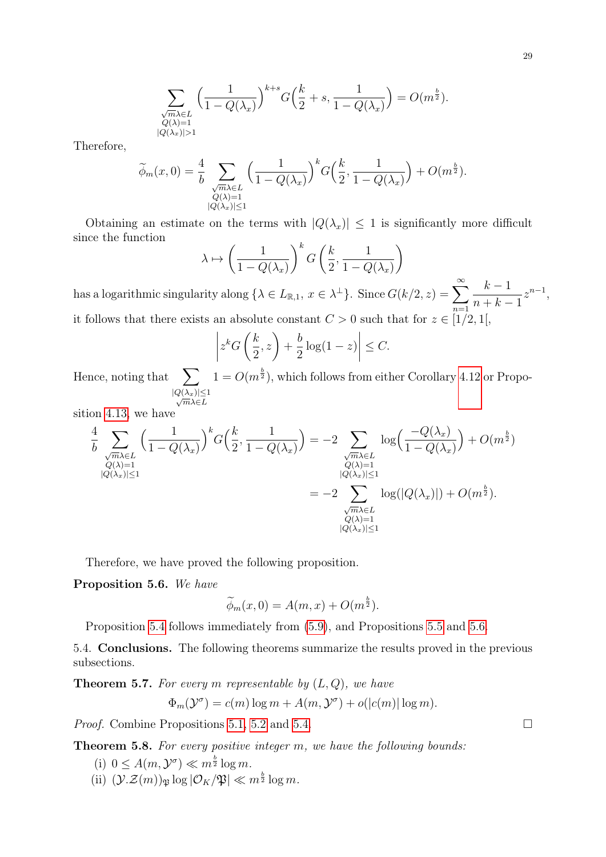$$
\sum_{\substack{\sqrt{m}\lambda \in L\\ Q(\lambda)=1\\ |Q(\lambda_x)|>1}} \Big(\frac{1}{1-Q(\lambda_x)}\Big)^{k+s} G\Big(\frac{k}{2}+s,\frac{1}{1-Q(\lambda_x)}\Big)=O\big(m^{\frac{b}{2}}\big).
$$

Therefore,

$$
\widetilde{\phi}_m(x,0) = \frac{4}{b} \sum_{\substack{\sqrt{m}\lambda \in L \\ Q(\lambda)=1 \\ |Q(\lambda_x)| \le 1}} \left(\frac{1}{1-Q(\lambda_x)}\right)^k G\left(\frac{k}{2}, \frac{1}{1-Q(\lambda_x)}\right) + O(m^{\frac{b}{2}}).
$$

Obtaining an estimate on the terms with  $|Q(\lambda_x)| \leq 1$  is significantly more difficult since the function

$$
\lambda \mapsto \left(\frac{1}{1 - Q(\lambda_x)}\right)^k G\left(\frac{k}{2}, \frac{1}{1 - Q(\lambda_x)}\right)
$$

has a logarithmic singularity along  $\{\lambda \in L_{\mathbb{R},1}, x \in \lambda^{\perp}\}$ . Since  $G(k/2, z) = \sum_{\lambda=0}^{\infty}$  $n=1$  $k-1$  $n+k-1$  $z^{n-1},$ it follows that there exists an absolute constant  $C > 0$  such that for  $z \in [1/2, 1]$ ,

$$
\left| z^k G\left(\frac{k}{2}, z\right) + \frac{b}{2} \log(1 - z) \right| \le C.
$$

Hence, noting that  $\sum$  $|Q(\lambda_x)| \leq 1$ <br> $\sqrt{m} \lambda \in L$  $1 = O(m^{\frac{b}{2}})$ , which follows from either Corollary [4.12](#page-20-1) or Propo-

sition [4.13,](#page-20-0) we have

$$
\frac{4}{b} \sum_{\substack{\sqrt{m}\lambda \in L \\ Q(\lambda) = 1 \\ |Q(\lambda_x)| \le 1}} \left(\frac{1}{1 - Q(\lambda_x)}\right)^k G\left(\frac{k}{2}, \frac{1}{1 - Q(\lambda_x)}\right) = -2 \sum_{\substack{\sqrt{m}\lambda \in L \\ Q(\lambda) = 1 \\ |Q(\lambda_x)| \le 1}} \log\left(\frac{-Q(\lambda_x)}{1 - Q(\lambda_x)}\right) + O(m^{\frac{b}{2}})
$$
\n
$$
= -2 \sum_{\substack{\sqrt{m}\lambda \in L \\ Q(\lambda) = 1 \\ Q(\lambda_x)| \le 1}} \log(|Q(\lambda_x)|) + O(m^{\frac{b}{2}}).
$$

Therefore, we have proved the following proposition.

<span id="page-28-3"></span>Proposition 5.6. We have

$$
\widetilde{\phi}_m(x,0) = A(m,x) + O(m^{\frac{b}{2}}).
$$

Proposition [5.4](#page-25-0) follows immediately from [\(5.9\)](#page-26-0), and Propositions [5.5](#page-26-1) and [5.6.](#page-28-3)

<span id="page-28-2"></span>5.4. Conclusions. The following theorems summarize the results proved in the previous subsections.

<span id="page-28-1"></span>**Theorem 5.7.** For every m representable by  $(L, Q)$ , we have

$$
\Phi_m(\mathcal{Y}^{\sigma}) = c(m) \log m + A(m, \mathcal{Y}^{\sigma}) + o(|c(m)| \log m).
$$

*Proof.* Combine Propositions [5.1,](#page-23-7) [5.2](#page-23-0) and [5.4.](#page-25-0)

<span id="page-28-0"></span>**Theorem 5.8.** For every positive integer  $m$ , we have the following bounds:

- (i)  $0 \leq A(m, \mathcal{Y}^{\sigma}) \ll m^{\frac{b}{2}} \log m$ .
- (ii)  $(\mathcal{Y}.\mathcal{Z}(m))_{\mathfrak{P}} \log |\mathcal{O}_K/\mathfrak{P}| \ll m^{\frac{b}{2}} \log m$ .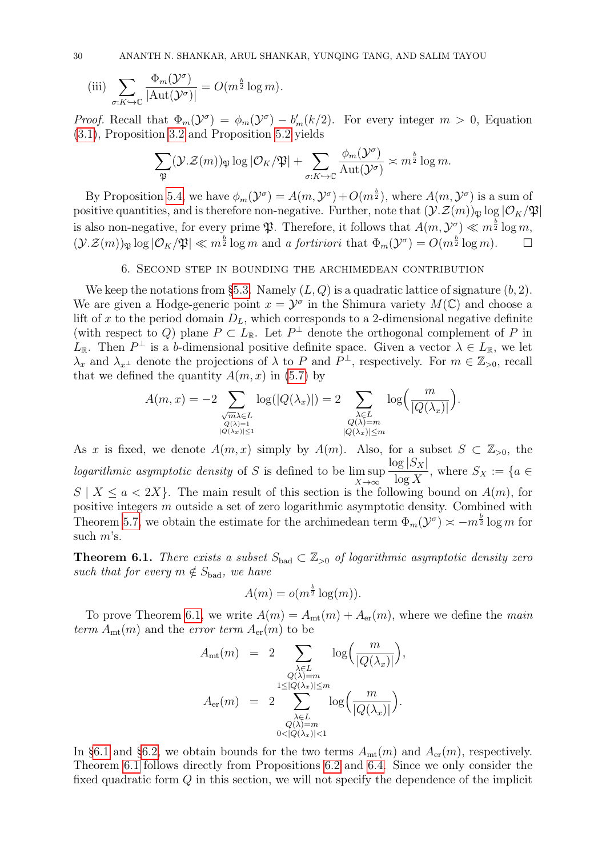(iii) 
$$
\sum_{\sigma: K \hookrightarrow \mathbb{C}} \frac{\Phi_m(\mathcal{Y}^{\sigma})}{|\mathrm{Aut}(\mathcal{Y}^{\sigma})|} = O(m^{\frac{b}{2}} \log m).
$$

*Proof.* Recall that  $\Phi_m(\mathcal{Y}^{\sigma}) = \phi_m(\mathcal{Y}^{\sigma}) - b'_m(k/2)$ . For every integer  $m > 0$ , Equation [\(3.1\)](#page-11-1), Proposition [3.2](#page-12-2) and Proposition [5.2](#page-23-0) yields

$$
\sum_{\mathfrak{P}} (\mathcal{Y}.\mathcal{Z}(m))_{\mathfrak{P}} \log |\mathcal{O}_K/\mathfrak{P}| + \sum_{\sigma: K \hookrightarrow \mathbb{C}} \frac{\phi_m(\mathcal{Y}^\sigma)}{\mathrm{Aut}(\mathcal{Y}^\sigma)} \asymp m^{\frac{b}{2}} \log m.
$$

By Proposition [5.4,](#page-25-0) we have  $\phi_m(\mathcal{Y}^{\sigma}) = A(m, \mathcal{Y}^{\sigma}) + O(m^{\frac{b}{2}})$ , where  $A(m, \mathcal{Y}^{\sigma})$  is a sum of positive quantities, and is therefore non-negative. Further, note that  $(\mathcal{Y}, \mathcal{Z}(m))_{\mathfrak{P}} \log |\mathcal{O}_K/\mathfrak{P}|$ is also non-negative, for every prime  $\mathfrak{P}$ . Therefore, it follows that  $A(m, \mathcal{Y}^{\sigma}) \ll m^{\frac{b}{2}} \log m$ ,  $(\mathcal{Y}, \mathcal{Z}(m))_{\mathfrak{P}} \log |\mathcal{O}_K/\mathfrak{P}| \ll m^{\frac{b}{2}} \log m$  and a fortiriori that  $\Phi_m(\mathcal{Y}^{\sigma}) = O(m^{\frac{b}{2}} \log m)$ .

# 6. Second step in bounding the archimedean contribution

<span id="page-29-0"></span>We keep the notations from [§5.3.](#page-25-2) Namely  $(L, Q)$  is a quadratic lattice of signature  $(b, 2)$ . We are given a Hodge-generic point  $x = Y^{\sigma}$  in the Shimura variety  $M(\mathbb{C})$  and choose a lift of x to the period domain  $D<sub>L</sub>$ , which corresponds to a 2-dimensional negative definite (with respect to Q) plane  $P \subset L_{\mathbb{R}}$ . Let  $P^{\perp}$  denote the orthogonal complement of P in  $L_{\mathbb{R}}$ . Then  $P^{\perp}$  is a b-dimensional positive definite space. Given a vector  $\lambda \in L_{\mathbb{R}}$ , we let  $\lambda_x$  and  $\lambda_{x^{\perp}}$  denote the projections of  $\lambda$  to P and  $P^{\perp}$ , respectively. For  $m \in \mathbb{Z}_{>0}$ , recall that we defined the quantity  $A(m, x)$  in [\(5.7\)](#page-25-1) by

$$
A(m,x) = -2 \sum_{\substack{\sqrt{m}\lambda \in L \\ Q(\lambda)=1 \\ |Q(\lambda_x)|\leq 1}} \log(|Q(\lambda_x)|) = 2 \sum_{\substack{\lambda \in L \\ Q(\lambda)=m \\ |Q(\lambda_x)|\leq m}} \log\left(\frac{m}{|Q(\lambda_x)|}\right).
$$

As x is fixed, we denote  $A(m, x)$  simply by  $A(m)$ . Also, for a subset  $S \subset \mathbb{Z}_{>0}$ , the logarithmic asymptotic density of  $S$  is defined to be lim sup  $X\rightarrow\infty$  $\log |S_X|$  $\frac{S_{\mathcal{S}} |S_X|}{\log X}$ , where  $S_X := \{a \in$  $S \mid X \le a < 2X$ . The main result of this section is the following bound on  $A(m)$ , for positive integers m outside a set of zero logarithmic asymptotic density. Combined with Theorem [5.7,](#page-28-1) we obtain the estimate for the archimedean term  $\Phi_m(\mathcal{Y}^{\sigma}) \simeq -m^{\frac{b}{2}} \log m$  for such m's.

<span id="page-29-1"></span>**Theorem 6.1.** There exists a subset  $S_{bad} \subset \mathbb{Z}_{>0}$  of logarithmic asymptotic density zero such that for every  $m \notin S_{bad}$ , we have

$$
A(m) = o(m^{\frac{b}{2}} \log(m)).
$$

To prove Theorem [6.1,](#page-29-1) we write  $A(m) = A_{mt}(m) + A_{er}(m)$ , where we define the main term  $A_{\rm mt}(m)$  and the error term  $A_{\rm er}(m)$  to be

$$
A_{\rm mt}(m) = 2 \sum_{\substack{\lambda \in L \\ Q(\lambda) = m \\ 1 \le |Q(\lambda_x)| \le m \\ Q(\lambda) = m \\ Q(\lambda) = m \\ 0 < |Q(\lambda_x)| < 1}} \log\left(\frac{m}{|Q(\lambda_x)|}\right),
$$

In [§6.1](#page-30-0) and [§6.2,](#page-30-1) we obtain bounds for the two terms  $A_{\text{mt}}(m)$  and  $A_{\text{er}}(m)$ , respectively. Theorem [6.1](#page-29-1) follows directly from Propositions [6.2](#page-30-2) and [6.4.](#page-31-0) Since we only consider the fixed quadratic form Q in this section, we will not specify the dependence of the implicit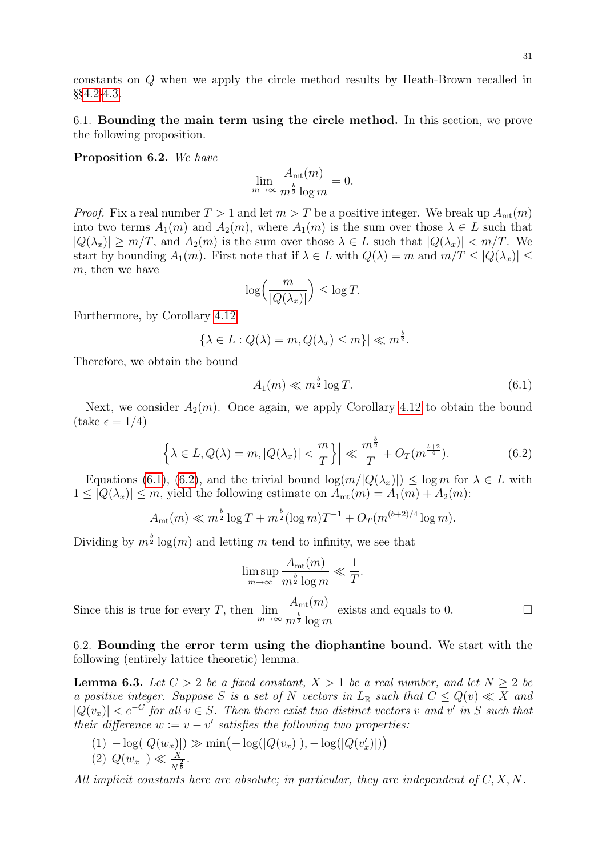constants on Q when we apply the circle method results by Heath-Brown recalled in §[§4.2](#page-18-0)[-4.3.](#page-19-0)

<span id="page-30-0"></span>6.1. Bounding the main term using the circle method. In this section, we prove the following proposition.

<span id="page-30-2"></span>Proposition 6.2. We have

$$
\lim_{m \to \infty} \frac{A_{\rm mt}(m)}{m^{\frac{b}{2}} \log m} = 0.
$$

*Proof.* Fix a real number  $T > 1$  and let  $m > T$  be a positive integer. We break up  $A_{mt}(m)$ into two terms  $A_1(m)$  and  $A_2(m)$ , where  $A_1(m)$  is the sum over those  $\lambda \in L$  such that  $|Q(\lambda_r)| \ge m/T$ , and  $A_2(m)$  is the sum over those  $\lambda \in L$  such that  $|Q(\lambda_r)| \le m/T$ . We start by bounding  $A_1(m)$ . First note that if  $\lambda \in L$  with  $Q(\lambda) = m$  and  $m/T \leq |Q(\lambda_x)| \leq$  $m$ , then we have

$$
\log\left(\frac{m}{|Q(\lambda_x)|}\right) \le \log T.
$$

Furthermore, by Corollary [4.12,](#page-20-1)

$$
|\{\lambda \in L : Q(\lambda) = m, Q(\lambda_x) \le m\}| \ll m^{\frac{b}{2}}.
$$

Therefore, we obtain the bound

<span id="page-30-3"></span>
$$
A_1(m) \ll m^{\frac{b}{2}} \log T. \tag{6.1}
$$

Next, we consider  $A_2(m)$ . Once again, we apply Corollary [4.12](#page-20-1) to obtain the bound  $(\text{take } \epsilon = 1/4)$ 

<span id="page-30-4"></span>
$$
\left| \left\{ \lambda \in L, Q(\lambda) = m, |Q(\lambda_x)| < \frac{m}{T} \right\} \right| \ll \frac{m^{\frac{b}{2}}}{T} + O_T(m^{\frac{b+2}{4}}). \tag{6.2}
$$

Equations [\(6.1\)](#page-30-3), [\(6.2\)](#page-30-4), and the trivial bound  $\log(m/|Q(\lambda_x)|) \leq \log m$  for  $\lambda \in L$  with  $1 \leq |Q(\lambda_x)| \leq m$ , yield the following estimate on  $A_{mt}(m) = A_1(m) + A_2(m)$ :

$$
A_{\rm mt}(m) \ll m^{\frac{b}{2}} \log T + m^{\frac{b}{2}} (\log m) T^{-1} + O_T(m^{(b+2)/4} \log m).
$$

Dividing by  $m^{\frac{b}{2}} \log(m)$  and letting m tend to infinity, we see that

$$
\limsup_{m \to \infty} \frac{A_{\rm mt}(m)}{m^{\frac{b}{2}} \log m} \ll \frac{1}{T}.
$$

Since this is true for every T, then  $\lim_{m\to\infty}$  $A_{\rm mt}(m)$  $m^{\frac{b}{2}}\log m$ exists and equals to 0.  $\Box$ 

<span id="page-30-1"></span>6.2. Bounding the error term using the diophantine bound. We start with the following (entirely lattice theoretic) lemma.

<span id="page-30-5"></span>**Lemma 6.3.** Let  $C > 2$  be a fixed constant,  $X > 1$  be a real number, and let  $N \geq 2$  be a positive integer. Suppose S is a set of N vectors in  $L_{\mathbb{R}}$  such that  $C \leq Q(v) \ll X$  and  $|Q(v_x)| < e^{-C}$  for all  $v \in S$ . Then there exist two distinct vectors v and v' in S such that their difference  $w := v - v'$  satisfies the following two properties:

 $(1) - \log(|Q(w_x)|) \gg \min(-\log(|Q(v_x)|), -\log(|Q(v'_x)|))$ (2)  $Q(w_{x^{\perp}}) \ll \frac{X}{N^{\frac{2}{b}}}$ .

All implicit constants here are absolute; in particular, they are independent of  $C, X, N$ .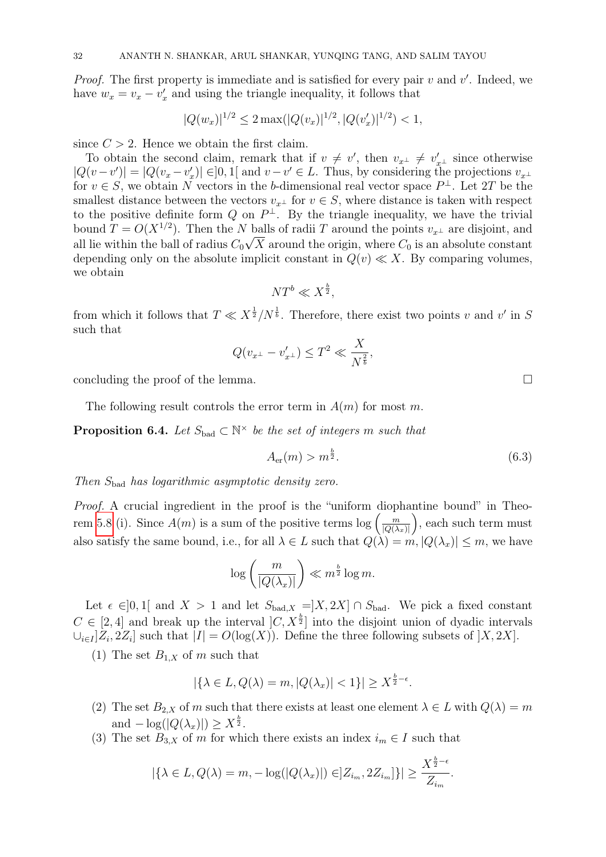*Proof.* The first property is immediate and is satisfied for every pair  $v$  and  $v'$ . Indeed, we have  $w_x = v_x - v'_x$  and using the triangle inequality, it follows that

$$
|Q(w_x)|^{1/2} \le 2 \max(|Q(v_x)|^{1/2}, |Q(v'_x)|^{1/2}) < 1,
$$

since  $C > 2$ . Hence we obtain the first claim.

To obtain the second claim, remark that if  $v \neq v'$ , then  $v_{x^{\perp}} \neq v'_{x^{\perp}}$  since otherwise  $|Q(v-v')| = |Q(v_x-v'_x)| \in ]0,1[$  and  $v-v' \in L$ . Thus, by considering the projections  $v_{x^{\perp}}$ for  $v \in S$ , we obtain N vectors in the b-dimensional real vector space  $P^{\perp}$ . Let 2T be the smallest distance between the vectors  $v_{x^{\perp}}$  for  $v \in S$ , where distance is taken with respect to the positive definite form Q on  $P^{\perp}$ . By the triangle inequality, we have the trivial bound  $T = O(X^{1/2})$ . Then the N balls of radii T around the points  $v_{x^{\perp}}$  are disjoint, and all lie within the ball of radius  $C_0\sqrt{X}$  around the origin, where  $C_0$  is an absolute constant depending only on the absolute implicit constant in  $Q(v) \ll X$ . By comparing volumes, we obtain

$$
NT^b \ll X^{\frac{b}{2}},
$$

from which it follows that  $T \ll X^{\frac{1}{2}}/N^{\frac{1}{b}}$ . Therefore, there exist two points v and v' in S such that

$$
Q(v_{x^{\perp}} - v'_{x^{\perp}}) \leq T^2 \ll \frac{X}{N^{\frac{2}{b}}},
$$

concluding the proof of the lemma.

The following result controls the error term in  $A(m)$  for most m.

<span id="page-31-0"></span>**Proposition 6.4.** Let  $S_{bad} \subset \mathbb{N}^{\times}$  be the set of integers m such that

$$
A_{\text{er}}(m) > m^{\frac{b}{2}}.\tag{6.3}
$$

Then  $S_{bad}$  has logarithmic asymptotic density zero.

Proof. A crucial ingredient in the proof is the "uniform diophantine bound" in Theo-rem [5.8](#page-28-0) (i). Since  $A(m)$  is a sum of the positive terms  $\log \left( \frac{m}{\log N} \right)$  $|Q(\lambda_x)|$  , each such term must also satisfy the same bound, i.e., for all  $\lambda \in L$  such that  $Q(\lambda) = m$ ,  $|Q(\lambda_x)| \le m$ , we have

$$
\log\left(\frac{m}{|Q(\lambda_x)|}\right)\ll m^{\frac{b}{2}}\log m.
$$

Let  $\epsilon \in ]0,1[$  and  $X > 1$  and let  $S_{bad,X} = ]X,2X] \cap S_{bad}$ . We pick a fixed constant  $C \in [2, 4]$  and break up the interval  $|C, X^{\frac{b}{2}}|$  into the disjoint union of dyadic intervals  $\bigcup_{i\in I}Z_i, 2Z_i\big]$  such that  $|I| = O(\log(X))$ . Define the three following subsets of  $[X, 2X]$ .

(1) The set  $B_{1,X}$  of m such that

$$
|\{\lambda \in L, Q(\lambda) = m, |Q(\lambda_x)| < 1\}| \ge X^{\frac{b}{2} - \epsilon}.
$$

- (2) The set  $B_{2,X}$  of m such that there exists at least one element  $\lambda \in L$  with  $Q(\lambda) = m$ and  $-\log(|Q(\lambda_x)|) \ge X^{\frac{b}{2}}$ .
- (3) The set  $B_{3,X}$  of m for which there exists an index  $i_m \in I$  such that

$$
|\{\lambda \in L, Q(\lambda) = m, -\log(|Q(\lambda_x)|) \in ]Z_{i_m}, 2Z_{i_m}]\}| \ge \frac{X^{\frac{b}{2}-\epsilon}}{Z_{i_m}}.
$$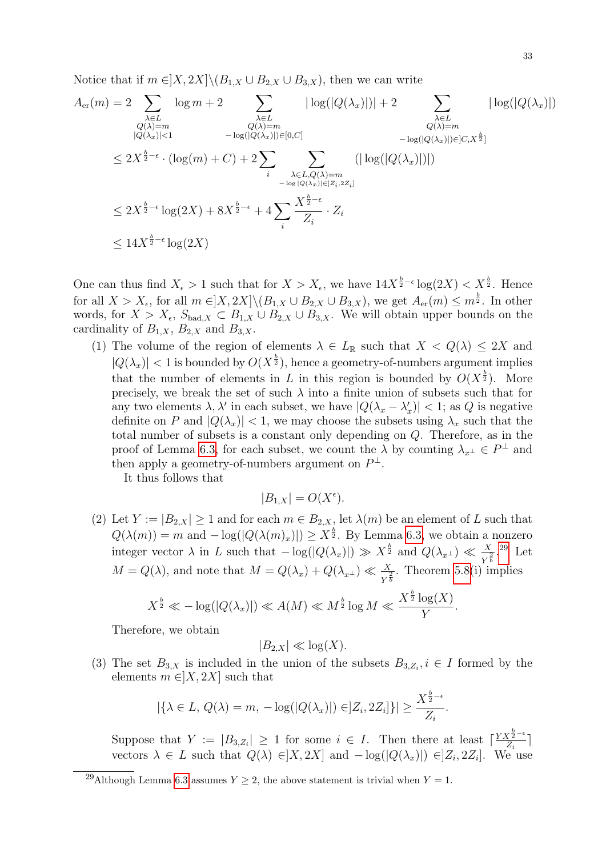Notice that if  $m \in ]X, 2X] \setminus (B_{1,X} \cup B_{2,X} \cup B_{3,X}),$  then we can write

$$
A_{\text{er}}(m) = 2 \sum_{\substack{\lambda \in L \\ Q(\lambda) = m \\ |Q(\lambda_x)| < 1}} \log m + 2 \sum_{\substack{\lambda \in L \\ Q(\lambda) = m \\ -\log(|Q(\lambda_x)|) \in [0, C]}} |\log(|Q(\lambda_x)|)| + 2 \sum_{\substack{\lambda \in L \\ Q(\lambda) = m \\ -\log(|Q(\lambda_x)|) \in [C, X^{\frac{b}{2}}]}} |\log(|Q(\lambda_x)|)|
$$
\n
$$
\leq 2X^{\frac{b}{2} - \epsilon} \cdot (\log(m) + C) + 2 \sum_{i} \sum_{\substack{\lambda \in L, Q(\lambda) = m \\ -\log|Q(\lambda_x)| \in [Z_i, 2Z_i]}} (|\log(|Q(\lambda_x)|)|)
$$
\n
$$
\leq 2X^{\frac{b}{2} - \epsilon} \log(2X) + 8X^{\frac{b}{2} - \epsilon} + 4 \sum_{i} \frac{X^{\frac{b}{2} - \epsilon}}{Z_i} \cdot Z_i
$$
\n
$$
\leq 14X^{\frac{b}{2} - \epsilon} \log(2X)
$$

One can thus find  $X_{\epsilon} > 1$  such that for  $X > X_{\epsilon}$ , we have  $14X^{\frac{b}{2}-\epsilon}\log(2X) < X^{\frac{b}{2}}$ . Hence for all  $X > X_{\epsilon}$ , for all  $m \in ]X, 2X] \setminus (B_{1,X} \cup B_{2,X} \cup B_{3,X})$ , we get  $A_{er}(m) \le m^{\frac{b}{2}}$ . In other words, for  $X > X_{\epsilon}$ ,  $S_{bad,X} \subset B_{1,X} \cup B_{2,X} \cup B_{3,X}$ . We will obtain upper bounds on the cardinality of  $B_{1,X}$ ,  $B_{2,X}$  and  $B_{3,X}$ .

(1) The volume of the region of elements  $\lambda \in L_{\mathbb{R}}$  such that  $X < Q(\lambda) \leq 2X$  and  $|Q(\lambda_x)| < 1$  is bounded by  $O(X^{\frac{b}{2}})$ , hence a geometry-of-numbers argument implies that the number of elements in L in this region is bounded by  $O(X^{\frac{b}{2}})$ . More precisely, we break the set of such  $\lambda$  into a finite union of subsets such that for any two elements  $\lambda, \lambda'$  in each subset, we have  $|Q(\lambda_x - \lambda'_x)| < 1$ ; as Q is negative definite on P and  $|Q(\lambda_x)| < 1$ , we may choose the subsets using  $\lambda_x$  such that the total number of subsets is a constant only depending on Q. Therefore, as in the proof of Lemma [6.3,](#page-30-5) for each subset, we count the  $\lambda$  by counting  $\lambda_{x^{\perp}} \in P^{\perp}$  and then apply a geometry-of-numbers argument on  $P^{\perp}$ .

It thus follows that

$$
|B_{1,X}| = O(X^{\epsilon}).
$$

(2) Let  $Y := |B_{2,X}| \ge 1$  and for each  $m \in B_{2,X}$ , let  $\lambda(m)$  be an element of L such that  $Q(\lambda(m)) = m$  and  $-\log(|Q(\lambda(m)_x)|) \ge X^{\frac{b}{2}}$ . By Lemma [6.3,](#page-30-5) we obtain a nonzero integer vector  $\lambda$  in L such that  $-\log(|Q(\lambda_x)|) \gg X^{\frac{b}{2}}$  and  $Q(\lambda_{x^{\perp}}) \ll \frac{X}{Y^{\frac{2}{b}}}$ . Let  $M = Q(\lambda)$ , and note that  $M = Q(\lambda_x) + Q(\lambda_{x^{\perp}}) \ll \frac{X}{Y^{\frac{2}{b}}}$ . Theorem [5.8\(](#page-28-0)i) implies

$$
X^{\frac{b}{2}} \ll -\log(|Q(\lambda_x)|) \ll A(M) \ll M^{\frac{b}{2}} \log M \ll \frac{X^{\frac{b}{2}} \log(X)}{Y}.
$$

Therefore, we obtain

$$
|B_{2,X}| \ll \log(X).
$$

(3) The set  $B_{3,X}$  is included in the union of the subsets  $B_{3,Z_i}$ ,  $i \in I$  formed by the elements  $m \in ]X, 2X]$  such that

$$
|\{\lambda \in L, Q(\lambda) = m, -\log(|Q(\lambda_x)|) \in ]Z_i, 2Z_i]\}| \ge \frac{X^{\frac{b}{2}-\epsilon}}{Z_i}.
$$

Suppose that  $Y := |B_{3,Z_i}| \geq 1$  for some  $i \in I$ . Then there at least  $\lceil \frac{Y \chi^{\frac{b}{2}-\epsilon}}{Z_i} \rceil$  $\frac{X \, 2^{-\epsilon}}{Z_i}$ vectors  $\lambda \in L$  such that  $Q(\lambda) \in ]X, 2X]$  and  $-\log(|Q(\lambda_x)|) \in ]Z_i, 2Z_i]$ . We use

<span id="page-32-0"></span><sup>&</sup>lt;sup>29</sup>Although Lemma [6.3](#page-30-5) assumes  $Y \geq 2$ , the above statement is trivial when  $Y = 1$ .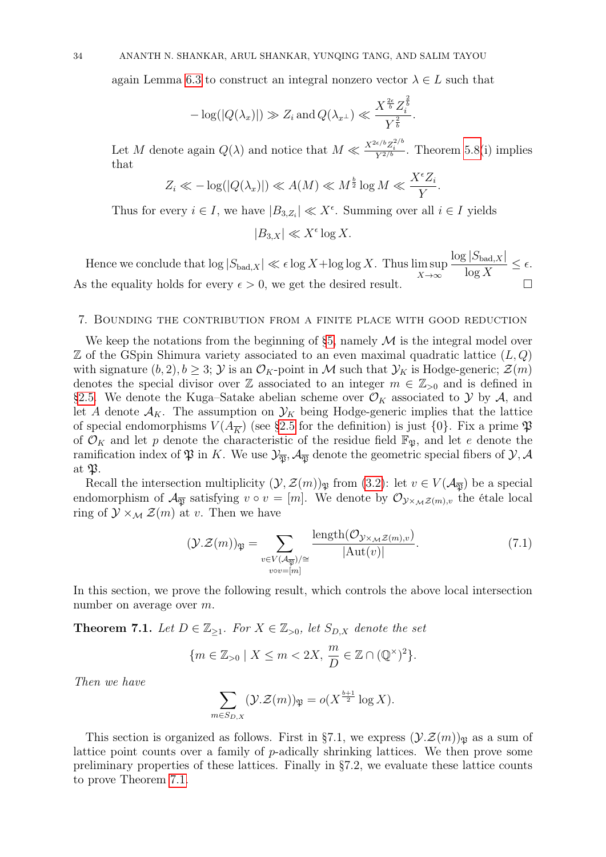again Lemma [6.3](#page-30-5) to construct an integral nonzero vector  $\lambda \in L$  such that

$$
-\log(|Q(\lambda_x)|) \gg Z_i
$$
 and  $Q(\lambda_{x^{\perp}}) \ll \frac{X^{\frac{2\epsilon}{b}} Z_i^{\frac{2}{b}}}{Y^{\frac{2}{b}}}$ 

Let M denote again  $Q(\lambda)$  and notice that  $M \ll \frac{X^{2\epsilon/b}Z_i^{2/b}}{Y^{2/b}}$ . Theorem [5.8\(](#page-28-0)i) implies that

.

$$
Z_i \ll -\log(|Q(\lambda_x)|) \ll A(M) \ll M^{\frac{b}{2}} \log M \ll \frac{X^{\epsilon} Z_i}{Y}.
$$

Thus for every  $i \in I$ , we have  $|B_{3,Z_i}| \ll X^{\epsilon}$ . Summing over all  $i \in I$  yields

$$
|B_{3,X}| \ll X^{\epsilon} \log X.
$$

Hence we conclude that  $\log |S_{\text{bad},X}| \ll \epsilon \log X + \log \log X$ . Thus  $\limsup_{X \to \infty}$  $\log |S_{\text{bad},X}|$  $\log X$  $\leq \epsilon$ . As the equality holds for every  $\epsilon > 0$ , we get the desired result.

### <span id="page-33-0"></span>7. Bounding the contribution from a finite place with good reduction

We keep the notations from the beginning of [§5,](#page-22-0) namely  $\mathcal M$  is the integral model over  $\mathbb Z$  of the GSpin Shimura variety associated to an even maximal quadratic lattice  $(L, Q)$ with signature  $(b, 2), b \geq 3$ ;  $\mathcal{Y}$  is an  $\mathcal{O}_K$ -point in M such that  $\mathcal{Y}_K$  is Hodge-generic;  $\mathcal{Z}(m)$ denotes the special divisor over Z associated to an integer  $m \in \mathbb{Z}_{>0}$  and is defined in [§2.5.](#page-9-0) We denote the Kuga–Satake abelian scheme over  $\mathcal{O}_K$  associated to  $\mathcal{Y}$  by  $\mathcal{A}$ , and let A denote  $\mathcal{A}_K$ . The assumption on  $\mathcal{Y}_K$  being Hodge-generic implies that the lattice of special endomorphisms  $V(A_{\overline{K}})$  (see [§2.5](#page-9-0) for the definition) is just {0}. Fix a prime  $\mathfrak{P}$ of  $\mathcal{O}_K$  and let p denote the characteristic of the residue field  $\mathbb{F}_{\mathfrak{B}}$ , and let e denote the ramification index of  $\mathfrak P$  in K. We use  $\mathcal Y_{\overline{n}}, \mathcal A_{\overline{n}}$  denote the geometric special fibers of  $\mathcal Y, \mathcal A$ at P.

Recall the intersection multiplicity  $(\mathcal{Y}, \mathcal{Z}(m))_{\mathfrak{P}}$  from  $(3.2)$ : let  $v \in V(\mathcal{A}_{\overline{\mathfrak{P}}})$  be a special endomorphism of  $\mathcal{A}_{\overline{\mathfrak{P}}}$  satisfying  $v \circ v = [m]$ . We denote by  $\mathcal{O}_{\mathcal{Y} \times_{\mathcal{M}} \mathcal{Z}(m), v}$  the étale local ring of  $\mathcal{Y} \times_{\mathcal{M}} \mathcal{Z}(m)$  at v. Then we have

<span id="page-33-2"></span>
$$
(\mathcal{Y}.\mathcal{Z}(m))_{\mathfrak{P}} = \sum_{\substack{v \in V(\mathcal{A}_{\overline{\mathfrak{P}}})/\cong \\ v \circ v = [m]}} \frac{\text{length}(\mathcal{O}_{\mathcal{Y} \times_{\mathcal{M}} \mathcal{Z}(m), v})}{|\text{Aut}(v)|}.
$$
(7.1)

In this section, we prove the following result, which controls the above local intersection number on average over m.

<span id="page-33-1"></span>**Theorem 7.1.** Let  $D \in \mathbb{Z}_{\geq 1}$ . For  $X \in \mathbb{Z}_{\geq 0}$ , let  $S_{D,X}$  denote the set

$$
\{m \in \mathbb{Z}_{>0} \mid X \le m < 2X, \, \frac{m}{D} \in \mathbb{Z} \cap (\mathbb{Q}^{\times})^2\}.
$$

Then we have

$$
\sum_{m \in S_{D,X}} (\mathcal{Y}.\mathcal{Z}(m))_{\mathfrak{P}} = o(X^{\frac{b+1}{2}} \log X).
$$

This section is organized as follows. First in §7.1, we express  $(\mathcal{Y}, \mathcal{Z}(m))_{\mathfrak{P}}$  as a sum of lattice point counts over a family of p-adically shrinking lattices. We then prove some preliminary properties of these lattices. Finally in §7.2, we evaluate these lattice counts to prove Theorem [7.1.](#page-33-1)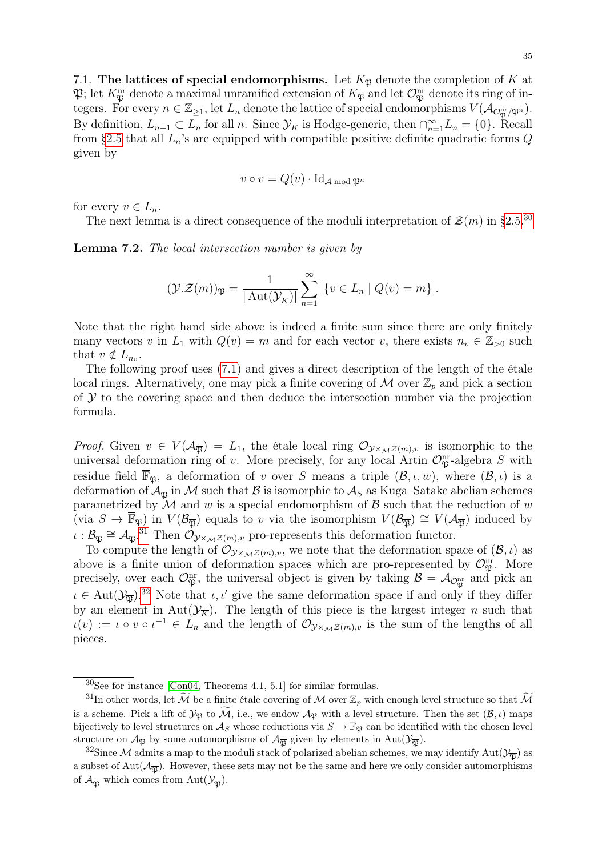7.1. The lattices of special endomorphisms. Let  $K_{\mathfrak{P}}$  denote the completion of K at  $\mathfrak{P};$  let  $K^{\text{nr}}_{\mathfrak{P}}$  denote a maximal unramified extension of  $K_{\mathfrak{P}}$  and let  $\mathcal{O}_{\mathfrak{P}}^{\text{nr}}$  denote its ring of integers. For every  $n \in \mathbb{Z}_{\geq 1}$ , let  $L_n$  denote the lattice of special endomorphisms  $V(\mathcal{A}_{\mathcal{O}_\mathfrak{P}^{nr}/\mathfrak{P}^n})$ . By definition,  $L_{n+1} \subset L_n$  for all n. Since  $\mathcal{Y}_K$  is Hodge-generic, then  $\bigcap_{n=1}^{\infty} L_n = \{0\}$ . Recall from [§2.5](#page-9-0) that all  $L_n$ 's are equipped with compatible positive definite quadratic forms  $Q$ given by

$$
v\circ v=Q(v)\cdot \operatorname{Id}_{\mathcal{A} \bmod \mathfrak{P}^n}
$$

for every  $v \in L_n$ .

The next lemma is a direct consequence of the moduli interpretation of  $\mathcal{Z}(m)$  in [§2.5.](#page-9-0)<sup>[30](#page-34-1)</sup>

<span id="page-34-0"></span>Lemma 7.2. The local intersection number is given by

$$
(\mathcal{Y}.\mathcal{Z}(m))_{\mathfrak{P}} = \frac{1}{|\operatorname{Aut}(\mathcal{Y}_{\overline{K}})|} \sum_{n=1}^{\infty} |\{v \in L_n \mid Q(v) = m\}|.
$$

Note that the right hand side above is indeed a finite sum since there are only finitely many vectors v in  $L_1$  with  $Q(v) = m$  and for each vector v, there exists  $n_v \in \mathbb{Z}_{>0}$  such that  $v \notin L_{n_v}$ .

The following proof uses [\(7.1\)](#page-33-2) and gives a direct description of the length of the étale local rings. Alternatively, one may pick a finite covering of  $\mathcal M$  over  $\mathbb Z_p$  and pick a section of  $Y$  to the covering space and then deduce the intersection number via the projection formula.

*Proof.* Given  $v \in V(\mathcal{A}_{\overline{\mathfrak{P}}}) = L_1$ , the étale local ring  $\mathcal{O}_{\mathcal{Y}\times_{\mathcal{M}}\mathcal{Z}(m),v}$  is isomorphic to the universal deformation ring of v. More precisely, for any local Artin  $\mathcal{O}_{\mathfrak{P}}^{\text{nr}}$ -algebra S with residue field  $\overline{\mathbb{F}}_{\mathfrak{P}}$ , a deformation of v over S means a triple  $(\mathcal{B}, \iota, w)$ , where  $(\mathcal{B}, \iota)$  is a deformation of  $\mathcal{A}_{\overline{n}}$  in M such that B is isomorphic to  $\mathcal{A}_S$  as Kuga–Satake abelian schemes parametrized by  $\mathcal M$  and  $w$  is a special endomorphism of  $\mathcal B$  such that the reduction of  $w$ (via  $S \to \mathbb{F}_{\mathfrak{P}}$ ) in  $V(\mathcal{B}_{\overline{\mathfrak{P}}})$  equals to v via the isomorphism  $V(\mathcal{B}_{\overline{\mathfrak{P}}}) \cong V(\mathcal{A}_{\overline{\mathfrak{P}}})$  induced by  $\iota : \mathcal{B}_{\overline{\mathfrak{P}}} \cong \mathcal{A}_{\overline{\mathfrak{P}}}^{\quad 31}$  $\iota : \mathcal{B}_{\overline{\mathfrak{P}}} \cong \mathcal{A}_{\overline{\mathfrak{P}}}^{\quad 31}$  $\iota : \mathcal{B}_{\overline{\mathfrak{P}}} \cong \mathcal{A}_{\overline{\mathfrak{P}}}^{\quad 31}$  Then  $\mathcal{O}_{\mathcal{Y} \times_{\mathcal{M}} \mathcal{Z}(m), v}$  pro-represents this deformation functor.

To compute the length of  $\mathcal{O}_{\mathcal{Y}\times_{\mathcal{M}}\mathcal{Z}(m),v}$ , we note that the deformation space of  $(\mathcal{B},\iota)$  as above is a finite union of deformation spaces which are pro-represented by  $\mathcal{O}_{\mathfrak{P}}^{\rm nr}$ . More precisely, over each  $\mathcal{O}_{\mathfrak{P}}^{\rm nr}$ , the universal object is given by taking  $\mathcal{B} = \mathcal{A}_{\mathcal{O}_{\mathfrak{P}}^{\rm nr}}$  and pick an  $\iota \in \text{Aut}(\mathcal{Y}_{\overline{\mathfrak{P}}})$ .<sup>[32](#page-34-3)</sup> Note that  $\iota, \iota'$  give the same deformation space if and only if they differ by an element in Aut $(\mathcal{Y}_{\overline{K}})$ . The length of this piece is the largest integer n such that  $u(v) := \iota \circ v \circ \iota^{-1} \in L_n$  and the length of  $\mathcal{O}_{\mathcal{Y} \times_{\mathcal{M}} \mathcal{Z}(m), v}$  is the sum of the lengths of all pieces.

<span id="page-34-2"></span><span id="page-34-1"></span><sup>30</sup>See for instance [\[Con04,](#page-45-23) Theorems 4.1, 5.1] for similar formulas.

<sup>&</sup>lt;sup>31</sup>In other words, let  $\widetilde{M}$  be a finite étale covering of M over  $\mathbb{Z}_p$  with enough level structure so that  $\widetilde{M}$ is a scheme. Pick a lift of  $\mathcal{Y}_{\mathfrak{P}}$  to M, i.e., we endow  $\mathcal{A}_{\mathfrak{P}}$  with a level structure. Then the set  $(\mathcal{B}, \iota)$  maps bijectively to level structures on  $\mathcal{A}_S$  whose reductions via  $S \to \overline{\mathbb{F}}_{\mathfrak{P}}$  can be identified with the chosen level structure on  $\mathcal{A}_{\mathfrak{P}}$  by some automorphisms of  $\mathcal{A}_{\overline{\mathfrak{P}}}$  given by elements in Aut $(\mathcal{Y}_{\overline{\mathfrak{P}}})$ .

<span id="page-34-3"></span><sup>&</sup>lt;sup>32</sup>Since M admits a map to the moduli stack of polarized abelian schemes, we may identify Aut $(\mathcal{Y}_{\overline{N}})$  as a subset of Aut $(\mathcal{A}_{\overline{\mathfrak{A}}})$ . However, these sets may not be the same and here we only consider automorphisms of  $\mathcal{A}_{\overline{\mathfrak{N}}}$  which comes from  $\text{Aut}(\mathcal{Y}_{\overline{\mathfrak{N}}})$ .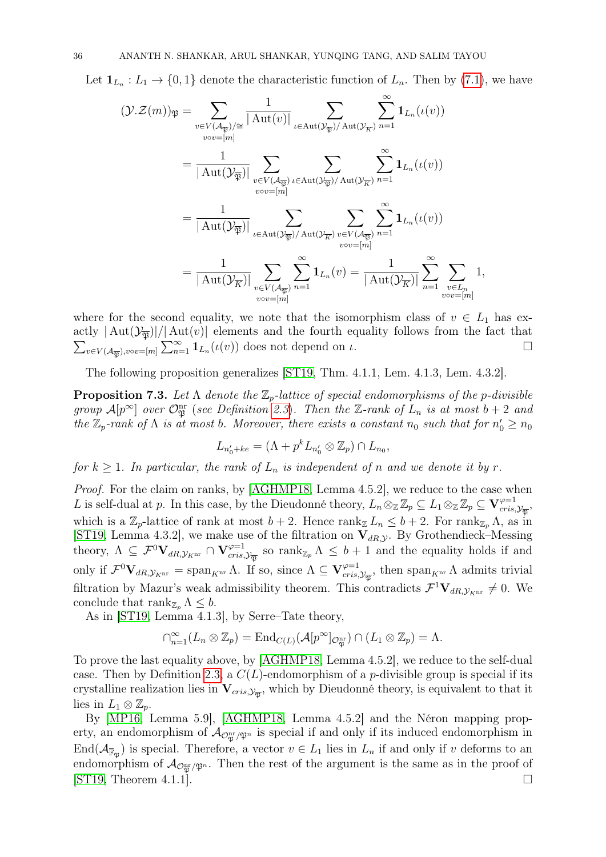Let  $\mathbf{1}_{L_n}: L_1 \to \{0,1\}$  denote the characteristic function of  $L_n$ . Then by [\(7.1\)](#page-33-2), we have

$$
(\mathcal{Y}.\mathcal{Z}(m))_{\mathfrak{P}} = \sum_{\substack{v \in V(\mathcal{A}_{\overline{\mathfrak{P}}})/\cong \\ v \text{ over} = [m]}} \frac{1}{|\operatorname{Aut}(\mathcal{Y}_{\overline{\mathfrak{P}}})|} \sum_{\iota \in \operatorname{Aut}(\mathcal{Y}_{\overline{\mathfrak{P}}})/\operatorname{Aut}(\mathcal{Y}_{\overline{K}}) \atop \iota \circ \iota \in \operatorname{Aut}(\mathcal{Y}_{\overline{\mathfrak{P}}})} \sum_{\iota \in \operatorname{Aut}(\mathcal{Y}_{\overline{\mathfrak{P}}})/\operatorname{Aut}(\mathcal{Y}_{\overline{K}}) \atop \iota \circ \iota \circ \iota = [m]} \sum_{\substack{v \text{ over} = [m] \\ v \text{ over} = [m]}} \sum_{\substack{v \in V(\mathcal{A}_{\overline{\mathfrak{P}}}) \cup \operatorname{Aut}(\mathcal{Y}_{\overline{\mathfrak{P}}}) \atop \iota \circ \iota \circ \iota = [m]}} \sum_{\substack{v \in V(\mathcal{A}_{\overline{\mathfrak{P}}}) \cup \operatorname{Aut}(\mathcal{Y}_{\overline{K}}) \atop \iota \circ \iota \circ \iota = [m]}} \sum_{\substack{v \in V(\mathcal{A}_{\overline{\mathfrak{P}}}) \atop \iota \circ \iota \circ \iota = [m]}} \sum_{\substack{v \in V(\mathcal{A}_{\overline{\mathfrak{P}}) \atop \iota \circ \iota \circ \iota = [m]}} \sum_{\substack{v \in V(\mathcal{A}_{\overline{\mathfrak{P}}) \atop \iota \circ \iota \circ \iota = [m]}} \mathbf{1}_{L_n}(v) = \frac{1}{|\operatorname{Aut}(\mathcal{Y}_{\overline{K}})|} \sum_{\substack{n=1} \in \mathcal{X} \atop \iota \circ \iota \circ \iota = [m]} 1,
$$

where for the second equality, we note that the isomorphism class of  $v \in L_1$  has exactly  $|\text{Aut}(\mathcal{Y}_{\overline{\mathfrak{P}}})|/|\text{Aut}(v)|$  elements and the fourth equality follows from the fact that  $\sum_{v \in V(\mathcal{A}_{\overline{\mathfrak{P}}})$ ,  $v \circ v = [m]} \sum_{n=1}^{\infty} \mathbf{1}_{L_n}(\iota(v))$  does not depend on  $\iota$ .

The following proposition generalizes [\[ST19,](#page-46-7) Thm. 4.1.1, Lem. 4.1.3, Lem. 4.3.2].

<span id="page-35-0"></span>**Proposition 7.3.** Let  $\Lambda$  denote the  $\mathbb{Z}_p$ -lattice of special endomorphisms of the p-divisible group  $\mathcal{A}[p^{\infty}]$  over  $\mathcal{O}_{\mathfrak{P}}^{\text{nr}}$  (see Definition [2.3](#page-9-6)). Then the Z-rank of  $L_n$  is at most  $b+2$  and the  $\mathbb{Z}_p$ -rank of  $\Lambda$  is at most b. Moreover, there exists a constant  $n_0$  such that for  $n'_0 \ge n_0$ 

$$
L_{n'_0+ke} = (\Lambda + p^k L_{n'_0} \otimes \mathbb{Z}_p) \cap L_{n_0},
$$

for  $k \geq 1$ . In particular, the rank of  $L_n$  is independent of n and we denote it by r.

Proof. For the claim on ranks, by [\[AGHMP18,](#page-44-1) Lemma 4.5.2], we reduce to the case when L is self-dual at p. In this case, by the Dieudonné theory,  $L_n \otimes_{\mathbb{Z}} \mathbb{Z}_p \subseteq L_1 \otimes_{\mathbb{Z}} \mathbb{Z}_p \subseteq \mathbf{V}_{cris}^{\varphi=1}$  $\frac{\varphi=1}{cris,\mathcal{Y}_{\overline{\mathfrak{P}}}},$ which is a  $\mathbb{Z}_p$ -lattice of rank at most  $b+2$ . Hence rank $\mathbb{Z} L_n \leq b+2$ . For rank $\mathbb{Z}_p \Lambda$ , as in [\[ST19,](#page-46-7) Lemma 4.3.2], we make use of the filtration on  $V_{dR,Y}$ . By Grothendieck–Messing theory,  $\Lambda \subseteq \mathcal{F}^0 \mathbf{V}_{dR,\mathcal{Y}_{K^{\text{nr}}}} \cap \mathbf{V}_{cris}^{\varphi=1}$  $\sum_{\text{cris},\mathcal{Y}_{\overline{\mathfrak{P}}}}$  so rank $_{\mathbb{Z}_p} \Lambda \leq b+1$  and the equality holds if and only if  $\mathcal{F}^0 \mathbf{V}_{dR, \mathcal{Y}_{K^{\text{nr}}}} = \text{span}_{K^{\text{nr}}} \Lambda$ . If so, since  $\Lambda \subseteq \mathbf{V}_{cris, \mathcal{Y}}^{\varphi=1}$  $\varphi=1$ <sub>cris,</sub> $y_{\overline{x}}$ , then span<sub>Knr</sub>  $\Lambda$  admits trivial filtration by Mazur's weak admissibility theorem. This contradicts  $\mathcal{F}^1 \mathbf{V}_{dR, y_{K^{\text{nr}}}} \neq 0$ . We conclude that rank $_{\mathbb{Z}_p} \Lambda \leq b$ .

As in [\[ST19,](#page-46-7) Lemma 4.1.3], by Serre–Tate theory,

$$
\cap_{n=1}^{\infty} (L_n \otimes \mathbb{Z}_p) = \mathrm{End}_{C(L)}(\mathcal{A}[p^{\infty}]_{\mathcal{O}_{\mathfrak{P}}^{\mathrm{nr}}}) \cap (L_1 \otimes \mathbb{Z}_p) = \Lambda.
$$

To prove the last equality above, by [\[AGHMP18,](#page-44-1) Lemma 4.5.2], we reduce to the self-dual case. Then by Definition [2.3,](#page-9-6) a  $C(L)$ -endomorphism of a *p*-divisible group is special if its crystalline realization lies in  $V_{cris, y_{\overline{x}}}$ , which by Dieudonné theory, is equivalent to that it lies in  $L_1 \otimes \mathbb{Z}_p$ .

By [\[MP16,](#page-46-12) Lemma 5.9], [\[AGHMP18,](#page-44-1) Lemma 4.5.2] and the Néron mapping property, an endomorphism of  $\mathcal{A}_{\mathcal{O}_W^{\mathrm{nr}}/\mathfrak{P}^n}$  is special if and only if its induced endomorphism in End $(\mathcal{A}_{\overline{\mathbb{F}}_{\mathfrak{P}}})$  is special. Therefore, a vector  $v \in L_1$  lies in  $L_n$  if and only if v deforms to an endomorphism of  $\mathcal{A}_{\mathcal{O}_\mathfrak{P}^n/\mathfrak{P}^n}$ . Then the rest of the argument is the same as in the proof of  $[\text{ST19}, \text{Theorem 4.1.1}].$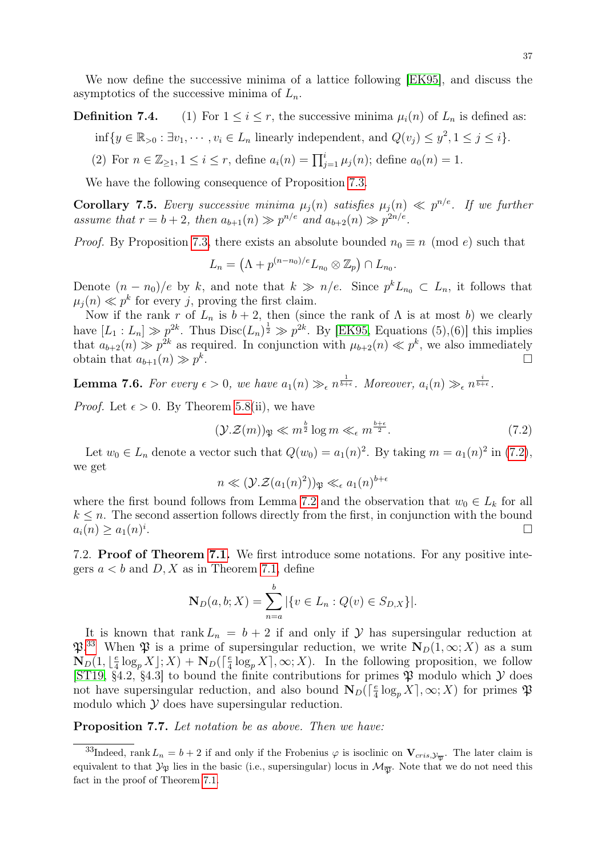We now define the successive minima of a lattice following [\[EK95\]](#page-45-24), and discuss the asymptotics of the successive minima of  $L_n$ .

**Definition 7.4.** (1) For  $1 \leq i \leq r$ , the successive minima  $\mu_i(n)$  of  $L_n$  is defined as:

- $\inf\{y \in \mathbb{R}_{>0} : \exists v_1, \dots, v_i \in L_n \text{ linearly independent, and } Q(v_j) \leq y^2, 1 \leq j \leq i\}.$
- (2) For  $n \in \mathbb{Z}_{\geq 1}, 1 \leq i \leq r$ , define  $a_i(n) = \prod_{j=1}^i \mu_j(n)$ ; define  $a_0(n) = 1$ .

We have the following consequence of Proposition [7.3.](#page-35-0)

<span id="page-36-3"></span>**Corollary 7.5.** Every successive minima  $\mu_j(n)$  satisfies  $\mu_j(n) \ll p^{n/e}$ . If we further assume that  $r = b + 2$ , then  $a_{b+1}(n) \gg p^{n/e}$  and  $a_{b+2}(n) \gg p^{2n/e}$ .

*Proof.* By Proposition [7.3,](#page-35-0) there exists an absolute bounded  $n_0 \equiv n \pmod{e}$  such that

$$
L_n = \left(\Lambda + p^{(n-n_0)/e} L_{n_0} \otimes \mathbb{Z}_p\right) \cap L_{n_0}.
$$

Denote  $(n - n_0)/e$  by k, and note that  $k \gg n/e$ . Since  $p^k L_{n_0} \subset L_n$ , it follows that  $\mu_j(n) \ll p^k$  for every j, proving the first claim.

Now if the rank r of  $L_n$  is  $b + 2$ , then (since the rank of  $\Lambda$  is at most b) we clearly have  $[L_1: L_n] \gg p^{2k}$ . Thus  $Disc(L_n)^{\frac{1}{2}} \gg p^{2k}$ . By [\[EK95,](#page-45-24) Equations (5),(6)] this implies that  $a_{b+2}(n) \gg p^{2k}$  as required. In conjunction with  $\mu_{b+2}(n) \ll p^k$ , we also immediately obtain that  $a_{b+1}(n) \gg p^k$ .

<span id="page-36-2"></span>**Lemma 7.6.** For every  $\epsilon > 0$ , we have  $a_1(n) \gg_{\epsilon} n^{\frac{1}{b+\epsilon}}$ . Moreover,  $a_i(n) \gg_{\epsilon} n^{\frac{i}{b+\epsilon}}$ .

*Proof.* Let  $\epsilon > 0$ . By Theorem [5.8\(](#page-28-0)ii), we have

<span id="page-36-0"></span>
$$
(\mathcal{Y}.\mathcal{Z}(m))_{\mathfrak{P}} \ll m^{\frac{b}{2}} \log m \ll_{\epsilon} m^{\frac{b+\epsilon}{2}}.
$$
\n
$$
(7.2)
$$

Let  $w_0 \in L_n$  denote a vector such that  $Q(w_0) = a_1(n)^2$ . By taking  $m = a_1(n)^2$  in [\(7.2\)](#page-36-0), we get

$$
n \ll (\mathcal{Y}.\mathcal{Z}(a_1(n)^2))_{\mathfrak{P}} \ll_{\epsilon} a_1(n)^{b+\epsilon}
$$

where the first bound follows from Lemma [7.2](#page-34-0) and the observation that  $w_0 \in L_k$  for all  $k \leq n$ . The second assertion follows directly from the first, in conjunction with the bound  $a_i(n) \geq a_1(n)^i$ .

7.2. Proof of Theorem [7.1.](#page-33-1) We first introduce some notations. For any positive integers  $a < b$  and  $D, X$  as in Theorem [7.1,](#page-33-1) define

$$
\mathbf{N}_D(a,b;X) = \sum_{n=a}^{b} |\{v \in L_n : Q(v) \in S_{D,X}\}|.
$$

It is known that rank  $L_n = b + 2$  if and only if Y has supersingular reduction at  $\mathfrak{P}.$ <sup>[33](#page-36-1)</sup> When  $\mathfrak{P}$  is a prime of supersingular reduction, we write  $N_D(1,\infty;X)$  as a sum  $\mathbf{N}_D(1, \lfloor \frac{e}{4} \rfloor$  $\frac{e}{4} \log_p X \rfloor$ ; X) +  $\mathbf{N}_D$ ( $\lceil \frac{e}{4} \rceil$  $\frac{e}{4} \log_p X$ ,  $\infty$ ; X). In the following proposition, we follow [\[ST19,](#page-46-7) §4.2, §4.3] to bound the finite contributions for primes  $\mathfrak P$  modulo which  $\mathcal Y$  does not have supersingular reduction, and also bound  $N_D(f_4^e)$  $\frac{e}{4} \log_p X$ ,  $\infty$ ; X) for primes  $\mathfrak{P}$ modulo which  $\mathcal Y$  does have supersingular reduction.

<span id="page-36-4"></span>Proposition 7.7. Let notation be as above. Then we have:

<span id="page-36-1"></span><sup>&</sup>lt;sup>33</sup>Indeed, rank  $L_n = b + 2$  if and only if the Frobenius  $\varphi$  is isoclinic on  $\mathbf{V}_{cris, y_{\overline{\mathfrak{P}}}}$ . The later claim is equivalent to that  $\mathcal{Y}_{\mathfrak{P}}$  lies in the basic (i.e., supersingular) locus in  $\mathcal{M}_{\overline{\mathfrak{P}}}$ . Note that we do not need this fact in the proof of Theorem [7.1.](#page-33-1)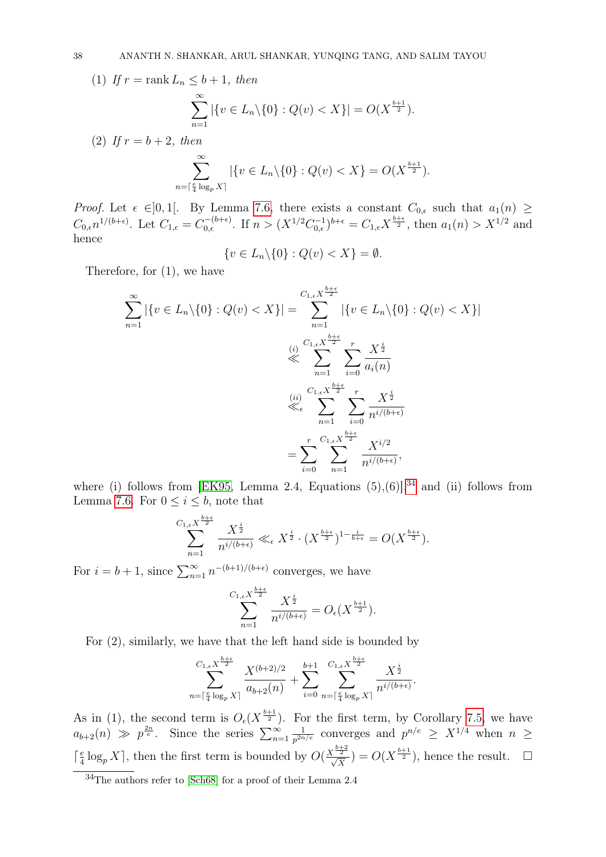(1) If 
$$
r = \text{rank } L_n \leq b + 1
$$
, then  
\n
$$
\sum_{n=1}^{\infty} |\{v \in L_n \setminus \{0\} : Q(v) < X\}| = O(X^{\frac{b+1}{2}}).
$$
\n(2) If  $r = b + 2$ , then  
\n
$$
\sum_{n=\lceil \frac{e}{4} \log_p X \rceil}^{\infty} |\{v \in L_n \setminus \{0\} : Q(v) < X\} = O(X^{\frac{b+1}{2}}).
$$

*Proof.* Let  $\epsilon \in ]0,1[$ . By Lemma [7.6,](#page-36-2) there exists a constant  $C_{0,\epsilon}$  such that  $a_1(n) \geq$  $C_{0,\epsilon} n^{1/(b+\epsilon)}$ . Let  $C_{1,\epsilon} = C_{0,\epsilon}^{-(b+\epsilon)}$ . If  $n > (X^{1/2} C_{0,\epsilon}^{-1})^{b+\epsilon} = C_{1,\epsilon} X^{\frac{b+\epsilon}{2}}$ , then  $a_1(n) > X^{1/2}$  and hence

$$
\{v \in L_n \backslash \{0\} : Q(v) < X\} = \emptyset.
$$

Therefore, for (1), we have

$$
\sum_{n=1}^{\infty} |\{v \in L_n \setminus \{0\} : Q(v) < X\}| = \sum_{n=1}^{C_{1,\epsilon} X^{\frac{b+\epsilon}{2}}} |\{v \in L_n \setminus \{0\} : Q(v) < X\}|
$$
\n
$$
\overset{(i)}{\leq} \sum_{n=1}^{C_{1,\epsilon} X^{\frac{b+\epsilon}{2}}} \sum_{i=0}^r \frac{X^{\frac{i}{2}}}{a_i(n)}
$$
\n
$$
\overset{(ii)}{\leq} \sum_{n=1}^{C_{1,\epsilon} X^{\frac{b+\epsilon}{2}}} \sum_{i=0}^r \frac{X^{\frac{i}{2}}}{n^{i/(b+\epsilon)}}
$$
\n
$$
= \sum_{i=0}^r \sum_{n=1}^{C_{1,\epsilon} X^{\frac{b+\epsilon}{2}}} \frac{X^{i/2}}{n^{i/(b+\epsilon)}},
$$

where (i) follows from [\[EK95,](#page-45-24) Lemma 2.4, Equations  $(5),(6)$ ],<sup>[34](#page-37-0)</sup> and (ii) follows from Lemma [7.6.](#page-36-2) For  $0 \leq i \leq b$ , note that

$$
\sum_{n=1}^{C_{1,\epsilon}X^{\frac{b+\epsilon}{2}}}\frac{X^{\frac{i}{2}}}{n^{i/(b+\epsilon)}}\ll_{\epsilon} X^{\frac{i}{2}}\cdot (X^{\frac{b+\epsilon}{2}})^{1-\frac{i}{b+\epsilon}}=O(X^{\frac{b+\epsilon}{2}}).
$$

For  $i = b + 1$ , since  $\sum_{n=1}^{\infty} n^{-(b+1)/(b+\epsilon)}$  converges, we have

$$
\sum_{n=1}^{C_{1,\epsilon}X^{\frac{b+\epsilon}{2}}}\frac{X^{\frac{i}{2}}}{n^{i/(b+\epsilon)}}=O_{\epsilon}(X^{\frac{b+1}{2}}).
$$

For (2), similarly, we have that the left hand side is bounded by

$$
\sum_{n=\lceil\frac{e}{4}\log_pX\rceil}^{C_{1,\epsilon}X^{\frac{b+\epsilon}{2}}}\frac{X^{(b+2)/2}}{a_{b+2}(n)}+\sum_{i=0}^{b+1}\sum_{n=\lceil\frac{e}{4}\log_pX\rceil}^{C_{1,\epsilon}X^{\frac{b+\epsilon}{2}}}\frac{X^{\frac{i}{2}}}{n^{i/(b+\epsilon)}}.
$$

 $\mathbf{b}$ 

As in (1), the second term is  $O_e(X^{\frac{b+1}{2}})$ . For the first term, by Corollary [7.5,](#page-36-3) we have  $a_{b+2}(n) \gg p^{\frac{2n}{e}}$ . Since the series  $\sum_{n=1}^{\infty}$ 1  $\frac{1}{p^{2n/e}}$  converges and  $p^{n/e} \geq X^{1/4}$  when  $n \geq$  $\lceil \frac{e}{4} \rceil$  $\frac{e}{4} \log_p X$ , then the first term is bounded by  $O(\frac{X^{\frac{b+2}{2}}}{\sqrt{X}}) = O(X^{\frac{b+1}{2}})$ , hence the result.  $\Box$ 

<span id="page-37-0"></span><sup>34</sup>The authors refer to [\[Sch68\]](#page-46-23) for a proof of their Lemma 2.4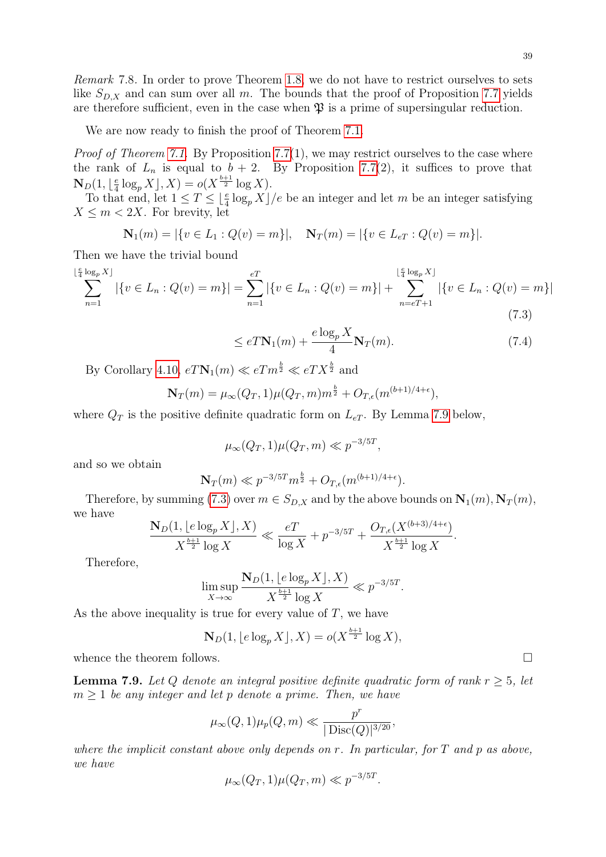Remark 7.8. In order to prove Theorem [1.8,](#page-2-3) we do not have to restrict ourselves to sets like  $S_{D,X}$  and can sum over all m. The bounds that the proof of Proposition [7.7](#page-36-4) yields are therefore sufficient, even in the case when  $\mathfrak P$  is a prime of supersingular reduction.

We are now ready to finish the proof of Theorem [7.1.](#page-33-1)

*Proof of Theorem [7.1.](#page-33-1)* By Proposition [7.7\(](#page-36-4)1), we may restrict ourselves to the case where the rank of  $L_n$  is equal to  $b + 2$ . By Proposition [7.7\(](#page-36-4)2), it suffices to prove that  $\mathbf{N}_D(1, \lfloor \frac{e}{4} \rfloor$  $\frac{e}{4} \log_p X \rfloor, X) = o(X^{\frac{b+1}{2}} \log X).$ 

To that end, let  $1 \leq T \leq \lfloor \frac{e}{4} \log_p X \rfloor/e$  be an integer and let m be an integer satisfying  $X \leq m < 2X$ . For brevity, let

$$
\mathbf{N}_1(m) = |\{v \in L_1 : Q(v) = m\}|, \quad \mathbf{N}_T(m) = |\{v \in L_{eT} : Q(v) = m\}|.
$$

Then we have the trivial bound

$$
\sum_{n=1}^{\lfloor \frac{e}{4} \log_p X \rfloor} |\{v \in L_n : Q(v) = m\}| = \sum_{n=1}^{eT} |\{v \in L_n : Q(v) = m\}| + \sum_{n=eT+1}^{\lfloor \frac{e}{4} \log_p X \rfloor} |\{v \in L_n : Q(v) = m\}|
$$
\n(7.3)

<span id="page-38-1"></span>
$$
\leq eT\mathbf{N}_1(m) + \frac{e\log_p X}{4}\mathbf{N}_T(m). \tag{7.4}
$$

By Corollary [4.10,](#page-19-4)  $eT\mathbf{N}_1(m) \ll eTm^{\frac{b}{2}} \ll eTX^{\frac{b}{2}}$  and

$$
\mathbf{N}_{T}(m) = \mu_{\infty}(Q_{T}, 1)\mu(Q_{T}, m)m^{\frac{b}{2}} + O_{T,\epsilon}(m^{(b+1)/4+\epsilon}),
$$

where  $Q_T$  is the positive definite quadratic form on  $L_{eT}$ . By Lemma [7.9](#page-38-0) below,

$$
\mu_{\infty}(Q_T, 1)\mu(Q_T, m) \ll p^{-3/5T},
$$

and so we obtain

$$
\mathbf{N}_T(m) \ll p^{-3/5T} m^{\frac{b}{2}} + O_{T,\epsilon}(m^{(b+1)/4+\epsilon}).
$$

Therefore, by summing [\(7.3\)](#page-38-1) over  $m \in S_{D,X}$  and by the above bounds on  $N_1(m), N_T(m)$ , we have

$$
\frac{\mathbf{N}_D(1, \lfloor e \log_p X \rfloor, X)}{X^{\frac{b+1}{2}} \log X} \ll \frac{eT}{\log X} + p^{-3/5T} + \frac{O_{T,\epsilon}(X^{(b+3)/4+\epsilon})}{X^{\frac{b+1}{2}} \log X}.
$$

Therefore,

$$
\limsup_{X \to \infty} \frac{\mathbf{N}_D(1, \lfloor e \log_p X \rfloor, X)}{X^{\frac{b+1}{2}} \log X} \ll p^{-3/5T}.
$$

As the above inequality is true for every value of  $T$ , we have

$$
\mathbf{N}_D(1, \lfloor e \log_p X \rfloor, X) = o(X^{\frac{b+1}{2}} \log X),
$$

whence the theorem follows.  $\Box$ 

<span id="page-38-0"></span>**Lemma 7.9.** Let Q denote an integral positive definite quadratic form of rank  $r \geq 5$ , let  $m \geq 1$  be any integer and let p denote a prime. Then, we have

$$
\mu_{\infty}(Q, 1)\mu_p(Q, m) \ll \frac{p^r}{|\text{Disc}(Q)|^{3/20}},
$$

where the implicit constant above only depends on  $r$ . In particular, for  $T$  and  $p$  as above, we have

$$
\mu_{\infty}(Q_T, 1)\mu(Q_T, m) \ll p^{-3/5T}.
$$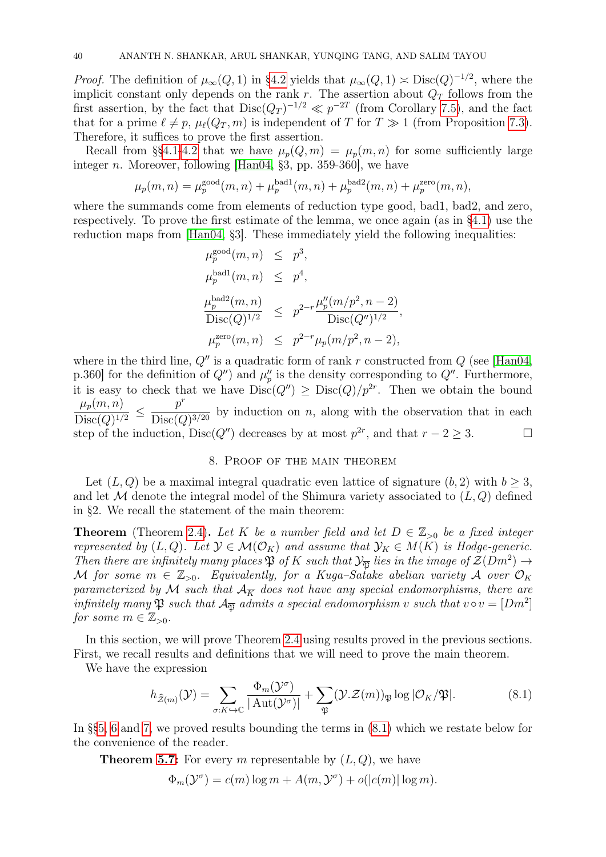*Proof.* The definition of  $\mu_{\infty}(Q, 1)$  in [§4.2](#page-18-0) yields that  $\mu_{\infty}(Q, 1) \approx \text{Disc}(Q)^{-1/2}$ , where the implicit constant only depends on the rank r. The assertion about  $Q_T$  follows from the first assertion, by the fact that  $Disc(Q_T)^{-1/2} \ll p^{-2T}$  (from Corollary [7.5\)](#page-36-3), and the fact that for a prime  $\ell \neq p$ ,  $\mu_{\ell}(Q_T, m)$  is independent of T for  $T \gg 1$  (from Proposition [7.3\)](#page-35-0). Therefore, it suffices to prove the first assertion.

Recall from §[§4.1-](#page-13-1)[4.2](#page-18-0) that we have  $\mu_p(Q, m) = \mu_p(m, n)$  for some sufficiently large integer n. Moreover, following [\[Han04,](#page-45-20) §3, pp. 359-360], we have

$$
\mu_p(m,n) = \mu_p^{\text{good}}(m,n) + \mu_p^{\text{bad1}}(m,n) + \mu_p^{\text{bad2}}(m,n) + \mu_p^{\text{zero}}(m,n),
$$

where the summands come from elements of reduction type good, bad1, bad2, and zero, respectively. To prove the first estimate of the lemma, we once again (as in [§4.1\)](#page-13-1) use the reduction maps from [\[Han04,](#page-45-20) §3]. These immediately yield the following inequalities:

$$
\mu_p^{\text{good}}(m, n) \leq p^3,
$$
  
\n
$$
\mu_p^{\text{bad1}}(m, n) \leq p^4,
$$
  
\n
$$
\frac{\mu_p^{\text{bad2}}(m, n)}{\text{Disc}(Q)^{1/2}} \leq p^{2-r} \frac{\mu_p''(m/p^2, n-2)}{\text{Disc}(Q'')^{1/2}},
$$
  
\n
$$
\mu_p^{\text{zero}}(m, n) \leq p^{2-r} \mu_p(m/p^2, n-2),
$$

where in the third line,  $Q''$  is a quadratic form of rank r constructed from  $Q$  (see [\[Han04,](#page-45-20) p.360] for the definition of  $Q''$  and  $\mu_p''$  is the density corresponding to  $Q''$ . Furthermore, it is easy to check that we have  $\text{Disc}(Q'') \geq \text{Disc}(Q)/p^{2r}$ . Then we obtain the bound  $\mu_p(m,n)$  $\frac{\mu_p(m,n)}{\text{Disc}(Q)^{1/2}} \leq \frac{p^r}{\text{Disc}(\overline{Q})}$  $\frac{P}{\text{Disc}(Q)^{3/20}}$  by induction on *n*, along with the observation that in each step of the induction,  $Disc(Q'')$  decreases by at most  $p^{2r}$ , and that  $r - 2 \geq 3$ .

## 8. Proof of the main theorem

<span id="page-39-0"></span>Let  $(L, Q)$  be a maximal integral quadratic even lattice of signature  $(b, 2)$  with  $b \geq 3$ , and let M denote the integral model of the Shimura variety associated to  $(L, Q)$  defined in §2. We recall the statement of the main theorem:

**Theorem** (Theorem [2.4\)](#page-10-1). Let K be a number field and let  $D \in \mathbb{Z}_{>0}$  be a fixed integer represented by  $(L, Q)$ . Let  $\mathcal{Y} \in \mathcal{M}(\mathcal{O}_K)$  and assume that  $\mathcal{Y}_K \in M(K)$  is Hodge-generic. Then there are infinitely many places  $\mathfrak{P}$  of K such that  $\mathcal{Y}_{\overline{\mathfrak{P}}}$  lies in the image of  $\mathcal{Z}(Dm^2) \to$ M for some  $m \in \mathbb{Z}_{>0}$ . Equivalently, for a Kuga–Satake abelian variety A over  $\mathcal{O}_K$ parameterized by M such that  $A_{\overline{K}}$  does not have any special endomorphisms, there are infinitely many  $\mathfrak P$  such that  $\mathcal A_{\overline{\mathfrak P}}$  admits a special endomorphism v such that  $v \circ v = [Dm^2]$ for some  $m \in \mathbb{Z}_{>0}$ .

In this section, we will prove Theorem [2.4](#page-10-1) using results proved in the previous sections. First, we recall results and definitions that we will need to prove the main theorem.

We have the expression

<span id="page-39-1"></span>
$$
h_{\widehat{\mathcal{Z}}(m)}(\mathcal{Y}) = \sum_{\sigma: K \hookrightarrow \mathbb{C}} \frac{\Phi_m(\mathcal{Y}^{\sigma})}{|\operatorname{Aut}(\mathcal{Y}^{\sigma})|} + \sum_{\mathfrak{P}} (\mathcal{Y}.\mathcal{Z}(m))_{\mathfrak{P}} \log |\mathcal{O}_K/\mathfrak{P}|.
$$
(8.1)

In §[§5,](#page-22-0) [6](#page-29-0) and [7,](#page-33-0) we proved results bounding the terms in [\(8.1\)](#page-39-1) which we restate below for the convenience of the reader.

**Theorem [5.7:](#page-28-1)** For every m representable by  $(L, Q)$ , we have

$$
\Phi_m(\mathcal{Y}^\sigma) = c(m) \log m + A(m, \mathcal{Y}^\sigma) + o(|c(m)| \log m).
$$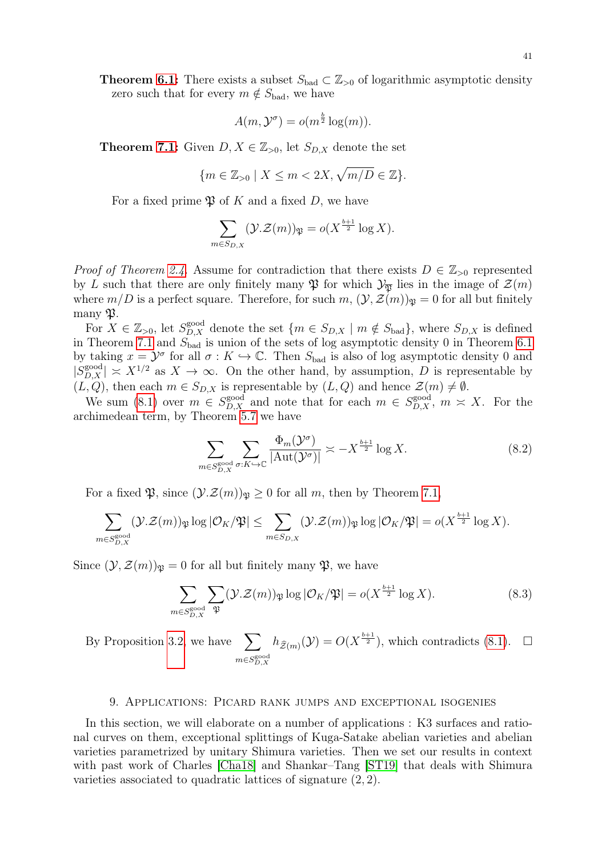**Theorem [6.1:](#page-29-1)** There exists a subset  $S_{bad} \subset \mathbb{Z}_{>0}$  of logarithmic asymptotic density zero such that for every  $m \notin S_{bad}$ , we have

$$
A(m, \mathcal{Y}^{\sigma}) = o(m^{\frac{b}{2}} \log(m)).
$$

**Theorem [7.1:](#page-33-1)** Given  $D, X \in \mathbb{Z}_{>0}$ , let  $S_{D,X}$  denote the set

$$
\{m\in\mathbb{Z}_{>0}\mid X\leq m<2X, \sqrt{m/D}\in\mathbb{Z}\}.
$$

For a fixed prime  $\mathfrak P$  of K and a fixed D, we have

$$
\sum_{m \in S_{D,X}} (\mathcal{Y}.\mathcal{Z}(m))_{\mathfrak{P}} = o(X^{\frac{b+1}{2}} \log X).
$$

*Proof of Theorem [2.4.](#page-10-1)* Assume for contradiction that there exists  $D \in \mathbb{Z}_{>0}$  represented by L such that there are only finitely many  $\mathfrak P$  for which  $\mathcal Y_{\overline{\mathfrak P}}$  lies in the image of  $\mathcal Z(m)$ where  $m/D$  is a perfect square. Therefore, for such  $m$ ,  $(\mathcal{Y}, \mathcal{Z}(m))_{\mathfrak{P}} = 0$  for all but finitely many  $\mathfrak{P}.$ 

For  $X \in \mathbb{Z}_{>0}$ , let  $S_{D,X}^{\text{good}}$  denote the set  $\{m \in S_{D,X} \mid m \notin S_{bad}\}$ , where  $S_{D,X}$  is defined in Theorem [7.1](#page-33-1) and  $S_{bad}$  is union of the sets of log asymptotic density 0 in Theorem [6.1](#page-29-1) by taking  $x = \mathcal{Y}^{\sigma}$  for all  $\sigma : K \hookrightarrow \mathbb{C}$ . Then  $S_{bad}$  is also of log asymptotic density 0 and  $|S_{D,X}^{\text{good}}| \times X^{1/2}$  as  $X \to \infty$ . On the other hand, by assumption, D is representable by  $(L, Q)$ , then each  $m \in S_{D,X}$  is representable by  $(L, Q)$  and hence  $\mathcal{Z}(m) \neq \emptyset$ .

We sum [\(8.1\)](#page-39-1) over  $m \in S_{D,X}^{\text{good}}$  and note that for each  $m \in S_{D,X}^{\text{good}}, m \asymp X$ . For the archimedean term, by Theorem [5.7](#page-28-1) we have

$$
\sum_{m \in S_{D,X}^{\text{good}}} \sum_{\sigma: K \hookrightarrow \mathbb{C}} \frac{\Phi_m(\mathcal{Y}^{\sigma})}{|\text{Aut}(\mathcal{Y}^{\sigma})|} \asymp -X^{\frac{b+1}{2}} \log X. \tag{8.2}
$$

For a fixed  $\mathfrak{P}$ , since  $(\mathcal{Y}.\mathcal{Z}(m))_{\mathfrak{P}} \geq 0$  for all m, then by Theorem [7.1,](#page-33-1)

$$
\sum_{m\in S_{D,X}^{\text{good}}} (\mathcal{Y}.\mathcal{Z}(m))_{\mathfrak{P}} \log |\mathcal{O}_K/\mathfrak{P}| \leq \sum_{m\in S_{D,X}} (\mathcal{Y}.\mathcal{Z}(m))_{\mathfrak{P}} \log |\mathcal{O}_K/\mathfrak{P}| = o(X^{\frac{b+1}{2}} \log X).
$$

Since  $(\mathcal{Y}, \mathcal{Z}(m))_{\mathfrak{P}} = 0$  for all but finitely many  $\mathfrak{P}$ , we have

$$
\sum_{m \in S_{D,X}^{\text{good}}} \sum_{\mathfrak{P}} (\mathcal{Y}.\mathcal{Z}(m))_{\mathfrak{P}} \log |\mathcal{O}_K/\mathfrak{P}| = o(X^{\frac{b+1}{2}} \log X). \tag{8.3}
$$

By Proposition [3.2,](#page-12-2) we have  $\sum$  $m \in S_{D,X}^{\rm good}$  $h_{\hat{\mathcal{Z}}(m)}(\mathcal{Y}) = O(X^{\frac{b+1}{2}})$ , which contradicts [\(8.1\)](#page-39-1).  $\Box$ 

#### 9. Applications: Picard rank jumps and exceptional isogenies

<span id="page-40-0"></span>In this section, we will elaborate on a number of applications : K3 surfaces and rational curves on them, exceptional splittings of Kuga-Satake abelian varieties and abelian varieties parametrized by unitary Shimura varieties. Then we set our results in context with past work of Charles [\[Cha18\]](#page-45-8) and Shankar–Tang [\[ST19\]](#page-46-7) that deals with Shimura varieties associated to quadratic lattices of signature (2, 2).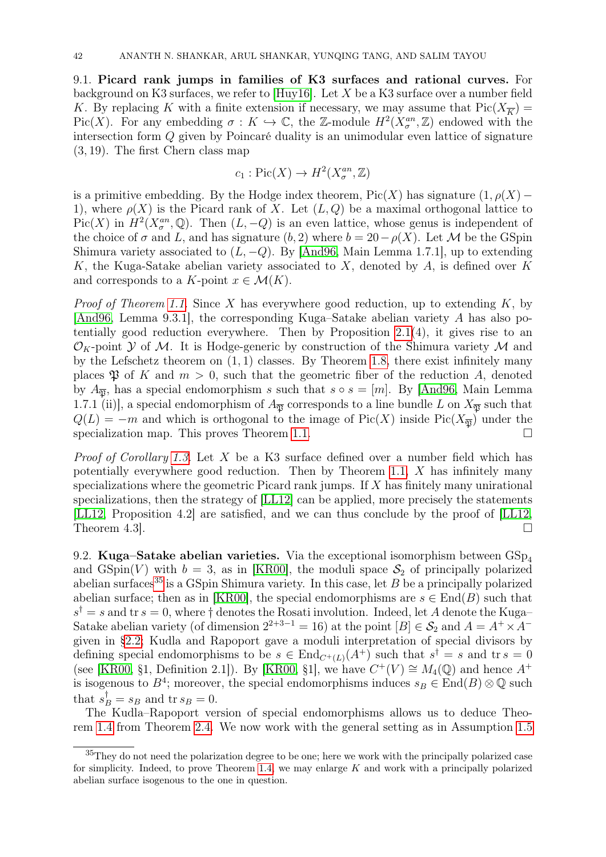<span id="page-41-1"></span>9.1. Picard rank jumps in families of K3 surfaces and rational curves. For background on K3 surfaces, we refer to [\[Huy16\]](#page-46-0). Let  $X$  be a K3 surface over a number field K. By replacing K with a finite extension if necessary, we may assume that  $Pic(X_{\overline{K}})$  = Pic(X). For any embedding  $\sigma: K \hookrightarrow \mathbb{C}$ , the Z-module  $H^2(X_{\sigma}^{an}, \mathbb{Z})$  endowed with the intersection form Q given by Poincaré duality is an unimodular even lattice of signature (3, 19). The first Chern class map

$$
c_1: Pic(X) \to H^2(X^{an}_{\sigma}, \mathbb{Z})
$$

is a primitive embedding. By the Hodge index theorem,  $Pic(X)$  has signature  $(1, \rho(X) -$ 1), where  $\rho(X)$  is the Picard rank of X. Let  $(L, Q)$  be a maximal orthogonal lattice to  $Pic(X)$  in  $H^2(X_{\sigma}^{an},\mathbb{Q})$ . Then  $(L,-Q)$  is an even lattice, whose genus is independent of the choice of  $\sigma$  and L, and has signature (b, 2) where  $b = 20 - \rho(X)$ . Let M be the GSpin Shimura variety associated to  $(L, -Q)$ . By [\[And96,](#page-44-4) Main Lemma 1.7.1], up to extending K, the Kuga-Satake abelian variety associated to X, denoted by A, is defined over K and corresponds to a K-point  $x \in \mathcal{M}(K)$ .

*Proof of Theorem [1.1.](#page-0-1)* Since X has everywhere good reduction, up to extending  $K$ , by [\[And96,](#page-44-4) Lemma 9.3.1], the corresponding Kuga–Satake abelian variety A has also potentially good reduction everywhere. Then by Proposition [2.1\(](#page-8-3)4), it gives rise to an  $\mathcal{O}_K$ -point Y of M. It is Hodge-generic by construction of the Shimura variety M and by the Lefschetz theorem on  $(1, 1)$  classes. By Theorem [1.8,](#page-2-3) there exist infinitely many places  $\mathfrak P$  of K and  $m > 0$ , such that the geometric fiber of the reduction A, denoted by  $A_{\overline{x}}$ , has a special endomorphism s such that  $s \circ s = [m]$ . By [\[And96,](#page-44-4) Main Lemma 1.7.1 (ii)], a special endomorphism of  $A_{\overline{\mathfrak{N}}}$  corresponds to a line bundle L on  $X_{\overline{\mathfrak{N}}}$  such that  $Q(L) = -m$  and which is orthogonal to the image of Pic(X) inside Pic(X<sub>T</sub>) under the specialization map. This proves Theorem [1.1.](#page-0-1)

Proof of Corollary [1.3.](#page-1-0) Let X be a K3 surface defined over a number field which has potentially everywhere good reduction. Then by Theorem [1.1,](#page-0-1)  $X$  has infinitely many specializations where the geometric Picard rank jumps. If X has finitely many unirational specializations, then the strategy of [\[LL12\]](#page-46-1) can be applied, more precisely the statements [\[LL12,](#page-46-1) Proposition 4.2] are satisfied, and we can thus conclude by the proof of [\[LL12,](#page-46-1) Theorem 4.3.

<span id="page-41-0"></span>9.2. Kuga–Satake abelian varieties. Via the exceptional isomorphism between  $GSp<sub>4</sub>$ and GSpin(V) with  $b = 3$ , as in [\[KR00\]](#page-46-24), the moduli space  $S_2$  of principally polarized abelian surfaces<sup>[35](#page-41-2)</sup> is a GSpin Shimura variety. In this case, let  $B$  be a principally polarized abelian surface; then as in [\[KR00\]](#page-46-24), the special endomorphisms are  $s \in End(B)$  such that  $s^{\dagger} = s$  and tr  $s = 0$ , where  $\dagger$  denotes the Rosati involution. Indeed, let A denote the Kuga– Satake abelian variety (of dimension  $2^{2+3-1} = 16$ ) at the point  $[B] \in \mathcal{S}_2$  and  $A = A^+ \times A^$ given in [§2.2;](#page-6-0) Kudla and Rapoport gave a moduli interpretation of special divisors by defining special endomorphisms to be  $s \in \text{End}_{C^+(L)}(A^+)$  such that  $s^{\dagger} = s$  and  $\text{tr } s = 0$ (see [\[KR00,](#page-46-24) §1, Definition 2.1]). By [KR00, §1], we have  $C^+(V) \cong M_4(\mathbb{Q})$  and hence  $A^+$ is isogenous to  $B^4$ ; moreover, the special endomorphisms induces  $s_B \in \text{End}(B) \otimes \mathbb{Q}$  such that  $s_B^{\dagger} = s_B$  and tr  $s_B = 0$ .

The Kudla–Rapoport version of special endomorphisms allows us to deduce Theorem [1.4](#page-1-1) from Theorem [2.4.](#page-10-1) We now work with the general setting as in Assumption [1.5](#page-1-2)

<span id="page-41-2"></span><sup>&</sup>lt;sup>35</sup>They do not need the polarization degree to be one; here we work with the principally polarized case for simplicity. Indeed, to prove Theorem [1.4,](#page-1-1) we may enlarge  $K$  and work with a principally polarized abelian surface isogenous to the one in question.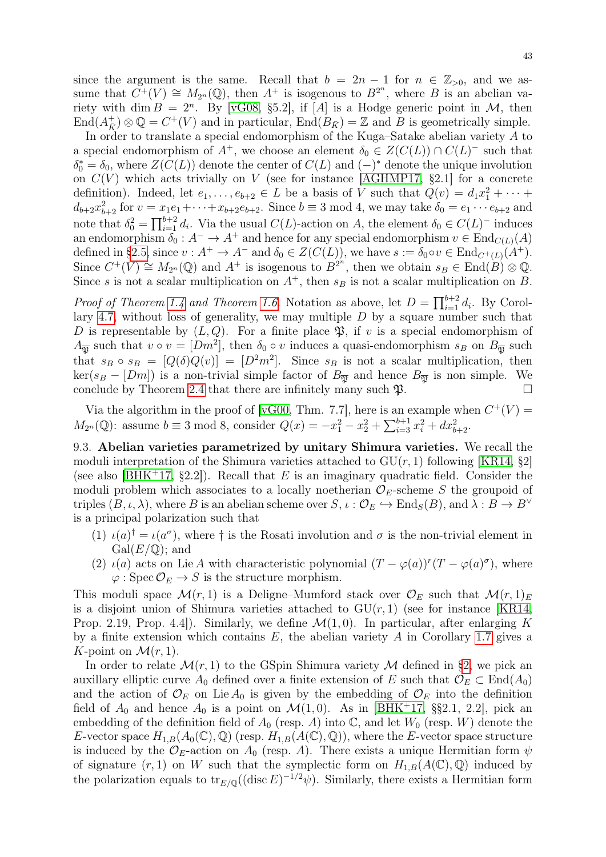since the argument is the same. Recall that  $b = 2n - 1$  for  $n \in \mathbb{Z}_{>0}$ , and we assume that  $C^+(V) \cong M_{2^n}(\mathbb{Q})$ , then  $A^+$  is isogenous to  $B^{2^n}$ , where B is an abelian variety with dim  $B = 2^n$ . By [\[vG08,](#page-47-2) §5.2], if [A] is a Hodge generic point in M, then  $\text{End}(A^+_{\overline{K}}) \otimes \mathbb{Q} = C^+(V)$  and in particular,  $\text{End}(B_{\overline{K}}) = \mathbb{Z}$  and  $B$  is geometrically simple.

In order to translate a special endomorphism of the Kuga–Satake abelian variety A to a special endomorphism of  $A^+$ , we choose an element  $\delta_0 \in Z(C(L)) \cap C(L)^-$  such that  $\delta_0^* = \delta_0$ , where  $Z(C(L))$  denote the center of  $C(L)$  and  $(-)^*$  denote the unique involution on  $C(V)$  which acts trivially on V (see for instance [\[AGHMP17,](#page-44-2) §2.1] for a concrete definition). Indeed, let  $e_1, \ldots, e_{b+2} \in L$  be a basis of V such that  $Q(v) = d_1 x_1^2 + \cdots$  $d_{b+2}x_{b+2}^2$  for  $v = x_1e_1 + \cdots + x_{b+2}e_{b+2}$ . Since  $b \equiv 3 \mod 4$ , we may take  $\delta_0 = e_1 \cdots e_{b+2}$  and note that  $\delta_0^2 = \prod_{i=1}^{b+2} d_i$ . Via the usual  $C(L)$ -action on A, the element  $\delta_0 \in C(L)$ <sup>-</sup> induces an endomorphism  $\delta_0 : A^- \to A^+$  and hence for any special endomorphism  $v \in \text{End}_{C(L)}(A)$ defined in [§2.5,](#page-9-0) since  $v : A^+ \to A^-$  and  $\delta_0 \in Z(C(L))$ , we have  $s := \delta_0 \circ v \in \text{End}_{C^+(L)}(A^+).$ Since  $C^+(V) \cong M_{2^n}(\mathbb{Q})$  and  $A^+$  is isogenous to  $B^{2^n}$ , then we obtain  $s_B \in \text{End}(B) \otimes \mathbb{Q}$ . Since s is not a scalar multiplication on  $A^+$ , then  $s_B$  is not a scalar multiplication on B.

*Proof of Theorem [1.4](#page-1-1) and Theorem [1.6.](#page-2-4)* Notation as above, let  $D = \prod_{i=1}^{b+2} d_i$ . By Corol-lary [4.7,](#page-17-3) without loss of generality, we may multiple  $D$  by a square number such that D is representable by  $(L, Q)$ . For a finite place  $\mathfrak{P}$ , if v is a special endomorphism of  $A_{\overline{\mathfrak{P}}}$  such that  $v \circ v = [Dm^2]$ , then  $\delta_0 \circ v$  induces a quasi-endomorphism  $s_B$  on  $B_{\overline{\mathfrak{P}}}$  such that  $s_B \circ s_B = [Q(\delta)Q(v)] = [D^2m^2]$ . Since  $s_B$  is not a scalar multiplication, then ker(s<sub>B</sub> − [Dm]) is a non-trivial simple factor of  $B_{\overline{p}}$  and hence  $B_{\overline{p}}$  is non simple. We conclude by Theorem 2.4 that there are infinitely many such  $\mathfrak{P}$ . conclude by Theorem [2.4](#page-10-1) that there are infinitely many such  $\mathfrak{P}$ .

Via the algorithm in the proof of [\[vG00,](#page-47-3) Thm. 7.7], here is an example when  $C^+(V)$  =  $M_{2^n}(\mathbb{Q})$ : assume  $b \equiv 3 \mod 8$ , consider  $Q(x) = -x_1^2 - x_2^2 + \sum_{i=3}^{b+1} x_i^2 + dx_{b+2}^2$ .

<span id="page-42-0"></span>9.3. Abelian varieties parametrized by unitary Shimura varieties. We recall the moduli interpretation of the Shimura varieties attached to  $GU(r, 1)$  following [\[KR14,](#page-46-25) §2] (see also [\[BHK](#page-45-25)<sup>+</sup>17, §2.2]). Recall that E is an imaginary quadratic field. Consider the moduli problem which associates to a locally noetherian  $\mathcal{O}_E$ -scheme S the groupoid of triples  $(B, \iota, \lambda)$ , where B is an abelian scheme over  $S, \iota : \mathcal{O}_E \hookrightarrow \text{End}_S(B)$ , and  $\lambda : B \to B^{\vee}$ is a principal polarization such that

- (1)  $\iota(a)^\dagger = \iota(a^\sigma)$ , where  $\dagger$  is the Rosati involution and  $\sigma$  is the non-trivial element in  $Gal(E/\mathbb{Q})$ ; and
- (2)  $\iota(a)$  acts on Lie A with characteristic polynomial  $(T \varphi(a))^r (T \varphi(a)^\sigma)$ , where  $\varphi: \operatorname{Spec} \mathcal{O}_E \to S$  is the structure morphism.

This moduli space  $\mathcal{M}(r, 1)$  is a Deligne–Mumford stack over  $\mathcal{O}_E$  such that  $\mathcal{M}(r, 1)_E$ is a disjoint union of Shimura varieties attached to  $GU(r, 1)$  (see for instance [\[KR14,](#page-46-25) Prop. 2.19, Prop. 4.4.). Similarly, we define  $\mathcal{M}(1,0)$ . In particular, after enlarging K by a finite extension which contains  $E$ , the abelian variety  $A$  in Corollary [1.7](#page-2-5) gives a K-point on  $\mathcal{M}(r, 1)$ .

In order to relate  $\mathcal{M}(r, 1)$  to the GSpin Shimura variety  $\mathcal M$  defined in [§2,](#page-5-0) we pick an auxillary elliptic curve  $A_0$  defined over a finite extension of E such that  $\mathcal{O}_E \subset \text{End}(A_0)$ and the action of  $\mathcal{O}_E$  on Lie  $A_0$  is given by the embedding of  $\mathcal{O}_E$  into the definition field of  $A_0$  and hence  $A_0$  is a point on  $\mathcal{M}(1, 0)$ . As in [\[BHK](#page-45-25)<sup>+</sup>17, §§2.1, 2.2], pick an embedding of the definition field of  $A_0$  (resp. A) into  $\mathbb{C}$ , and let  $W_0$  (resp. W) denote the E-vector space  $H_{1,B}(A_0(\mathbb{C}), \mathbb{Q})$  (resp.  $H_{1,B}(A(\mathbb{C}), \mathbb{Q})$ ), where the E-vector space structure is induced by the  $\mathcal{O}_E$ -action on  $A_0$  (resp. A). There exists a unique Hermitian form  $\psi$ of signature  $(r, 1)$  on W such that the symplectic form on  $H_{1,B}(A(\mathbb{C}), \mathbb{Q})$  induced by the polarization equals to  ${\rm tr}_{E/\mathbb{Q}}((\text{disc }E)^{-1/2}\psi)$ . Similarly, there exists a Hermitian form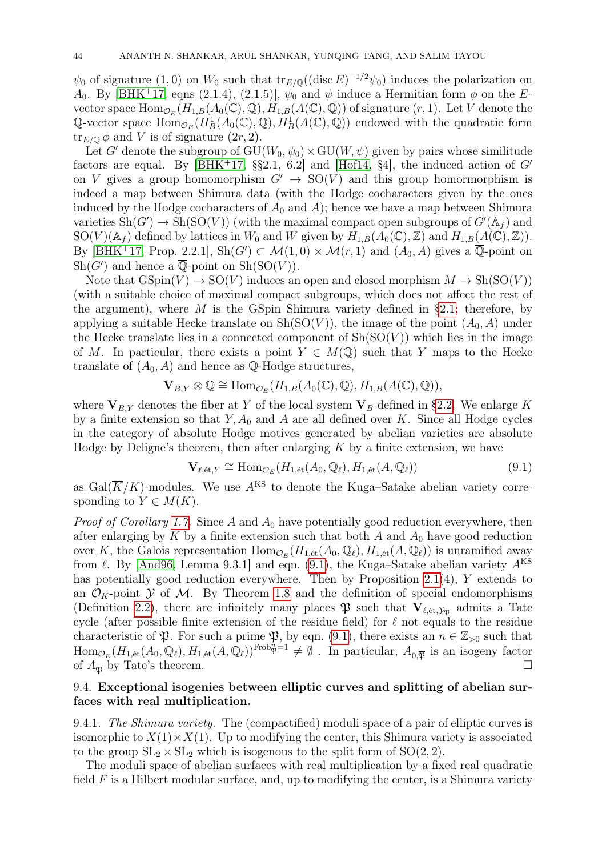$\psi_0$  of signature (1,0) on  $W_0$  such that  ${\rm tr}_{E/\mathbb{Q}}((\text{disc }E)^{-1/2}\psi_0)$  induces the polarization on A<sub>0</sub>. By [\[BHK](#page-45-25)<sup>+</sup>17, eqns (2.1.4), (2.1.5)],  $\psi_0$  and  $\psi$  induce a Hermitian form  $\phi$  on the Evector space  $\text{Hom}_{\mathcal{O}_E}(H_{1,B}(A_0(\mathbb{C}),\mathbb{Q}),H_{1,B}(A(\mathbb{C}),\mathbb{Q}))$  of signature  $(r,1)$ . Let V denote the Q-vector space  $\text{Hom}_{\mathcal{O}_E}(H^1_B(A_0(\mathbb{C}), \mathbb{Q}), H^1_B(A(\mathbb{C}), \mathbb{Q}))$  endowed with the quadratic form  $\text{tr}_{E/\mathbb{Q}} \phi$  and V is of signature  $(2r, 2)$ .

Let G' denote the subgroup of  $GU(W_0, \psi_0) \times GU(W, \psi)$  given by pairs whose similitude factors are equal. By  $[BHK+17, \S\$  $[BHK+17, \S\$ 2.1, 6.2 and  $[Hof14, \S4],$  $[Hof14, \S4],$  the induced action of G' on V gives a group homomorphism  $G' \rightarrow SO(V)$  and this group homormorphism is indeed a map between Shimura data (with the Hodge cocharacters given by the ones induced by the Hodge cocharacters of  $A_0$  and  $A$ ); hence we have a map between Shimura varieties  $\mathrm{Sh}(G') \to \mathrm{Sh}(\mathrm{SO}(V))$  (with the maximal compact open subgroups of  $G'(\mathbb{A}_f)$  and  $SO(V)(\mathbb{A}_f)$  defined by lattices in  $W_0$  and W given by  $H_{1,B}(A_0(\mathbb{C}), \mathbb{Z})$  and  $H_{1,B}(A(\mathbb{C}), \mathbb{Z})$ . By [\[BHK](#page-45-25)<sup>+</sup>17, Prop. 2.2.1], Sh(G')  $\subset \mathcal{M}(1,0) \times \mathcal{M}(r,1)$  and  $(A_0, A)$  gives a  $\overline{\mathbb{Q}}$ -point on  $\mathrm{Sh}(G')$  and hence a  $\overline{\mathbb{Q}}$ -point on  $\mathrm{Sh}(\mathrm{SO}(V))$ .

Note that  $GSpin(V) \to SO(V)$  induces an open and closed morphism  $M \to Sh(SO(V))$ (with a suitable choice of maximal compact subgroups, which does not affect the rest of the argument), where M is the GSpin Shimura variety defined in [§2.1;](#page-5-1) therefore, by applying a suitable Hecke translate on  $\mathrm{Sh}(\mathrm{SO}(V))$ , the image of the point  $(A_0, A)$  under the Hecke translate lies in a connected component of  $\mathrm{Sh}(\mathrm{SO}(V))$  which lies in the image of M. In particular, there exists a point  $Y \in M(\overline{\mathbb{Q}})$  such that Y maps to the Hecke translate of  $(A_0, A)$  and hence as Q-Hodge structures,

$$
\mathbf{V}_{B,Y} \otimes \mathbb{Q} \cong \text{Hom}_{\mathcal{O}_E}(H_{1,B}(A_0(\mathbb{C}),\mathbb{Q}), H_{1,B}(A(\mathbb{C}),\mathbb{Q})),
$$

where  $V_{B,Y}$  denotes the fiber at Y of the local system  $V_B$  defined in [§2.2.](#page-6-0) We enlarge K by a finite extension so that  $Y, A_0$  and A are all defined over K. Since all Hodge cycles in the category of absolute Hodge motives generated by abelian varieties are absolute Hodge by Deligne's theorem, then after enlarging  $K$  by a finite extension, we have

<span id="page-43-1"></span>
$$
\mathbf{V}_{\ell, \text{\'et}, Y} \cong \text{Hom}_{\mathcal{O}_E}(H_{1, \text{\'et}}(A_0, \mathbb{Q}_\ell), H_{1, \text{\'et}}(A, \mathbb{Q}_\ell))
$$
\n(9.1)

as  $Gal(\overline{K}/K)$ -modules. We use  $A^{KS}$  to denote the Kuga–Satake abelian variety corresponding to  $Y \in M(K)$ .

*Proof of Corollary [1.7.](#page-2-5)* Since A and  $A_0$  have potentially good reduction everywhere, then after enlarging by K by a finite extension such that both A and  $A_0$  have good reduction over K, the Galois representation  $\text{Hom}_{\mathcal{O}_E}(H_{1,\text{\'et}}(A_0,\mathbb{Q}_\ell), H_{1,\text{\'et}}(A,\mathbb{Q}_\ell))$  is unramified away from  $\ell$ . By [\[And96,](#page-44-4) Lemma 9.3.1] and eqn. [\(9.1\)](#page-43-1), the Kuga–Satake abelian variety  $A^{KS}$ has potentially good reduction everywhere. Then by Proposition [2.1\(](#page-8-3)4), Y extends to an  $\mathcal{O}_K$ -point  $\mathcal Y$  of M. By Theorem [1.8](#page-2-3) and the definition of special endomorphisms (Definition [2.2\)](#page-9-7), there are infinitely many places  $\mathfrak P$  such that  $V_{\ell, \text{\rm et}, \mathcal{Y}_{\mathfrak P}}$  admits a Tate cycle (after possible finite extension of the residue field) for  $\ell$  not equals to the residue characteristic of  $\mathfrak{P}$ . For such a prime  $\mathfrak{P}$ , by eqn. [\(9.1\)](#page-43-1), there exists an  $n \in \mathbb{Z}_{>0}$  such that  $\text{Hom}_{\mathcal{O}_E}(H_{1,\text{\'et}}(A_0,\mathbb{Q}_\ell),H_{1,\text{\'et}}(A,\mathbb{Q}_\ell))^{\text{Frob}_\mathfrak{P}^{*}=1}\neq\emptyset$ . In particular,  $A_{0,\overline{\mathfrak{P}}}$  is an isogeny factor of  $A_{\overline{n}}$  by Tate's theorem.

# <span id="page-43-0"></span>9.4. Exceptional isogenies between elliptic curves and splitting of abelian surfaces with real multiplication.

9.4.1. The Shimura variety. The (compactified) moduli space of a pair of elliptic curves is isomorphic to  $X(1) \times X(1)$ . Up to modifying the center, this Shimura variety is associated to the group  $SL_2 \times SL_2$  which is isogenous to the split form of  $SO(2, 2)$ .

The moduli space of abelian surfaces with real multiplication by a fixed real quadratic field  $F$  is a Hilbert modular surface, and, up to modifying the center, is a Shimura variety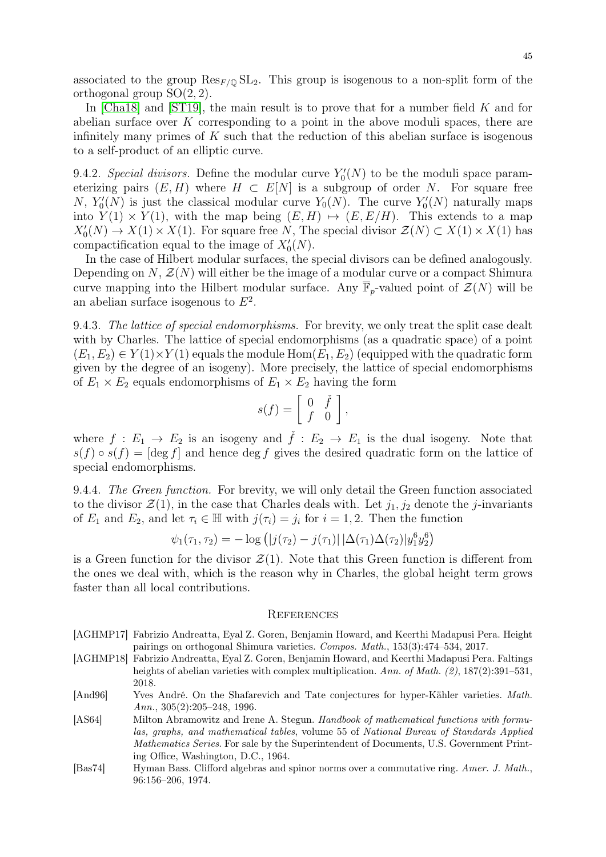associated to the group  $\text{Res}_{F/\mathbb{Q}} SL_2$ . This group is isogenous to a non-split form of the orthogonal group  $SO(2, 2)$ .

In  $[Cha18]$  and  $[ST19]$ , the main result is to prove that for a number field  $K$  and for abelian surface over K corresponding to a point in the above moduli spaces, there are infinitely many primes of  $K$  such that the reduction of this abelian surface is isogenous to a self-product of an elliptic curve.

9.4.2. Special divisors. Define the modular curve  $Y_0'(N)$  to be the moduli space parameterizing pairs  $(E, H)$  where  $H \subset E[N]$  is a subgroup of order N. For square free N,  $Y_0'(N)$  is just the classical modular curve  $Y_0(N)$ . The curve  $Y_0'(N)$  naturally maps into  $Y(1) \times Y(1)$ , with the map being  $(E, H) \mapsto (E, E/H)$ . This extends to a map  $X'_0(N) \to X(1) \times X(1)$ . For square free N, The special divisor  $\mathcal{Z}(N) \subset X(1) \times X(1)$  has compactification equal to the image of  $X'_0(N)$ .

In the case of Hilbert modular surfaces, the special divisors can be defined analogously. Depending on  $N, \mathcal{Z}(N)$  will either be the image of a modular curve or a compact Shimura curve mapping into the Hilbert modular surface. Any  $\overline{\mathbb{F}}_p$ -valued point of  $\mathcal{Z}(N)$  will be an abelian surface isogenous to  $E^2$ .

9.4.3. The lattice of special endomorphisms. For brevity, we only treat the split case dealt with by Charles. The lattice of special endomorphisms (as a quadratic space) of a point  $(E_1, E_2) \in Y(1) \times Y(1)$  equals the module  $\text{Hom}(E_1, E_2)$  (equipped with the quadratic form given by the degree of an isogeny). More precisely, the lattice of special endomorphisms of  $E_1 \times E_2$  equals endomorphisms of  $E_1 \times E_2$  having the form

$$
s(f) = \left[ \begin{array}{cc} 0 & \check{f} \\ f & 0 \end{array} \right],
$$

where  $f: E_1 \to E_2$  is an isogeny and  $\check{f}: E_2 \to E_1$  is the dual isogeny. Note that  $s(f) \circ s(f) = [\text{deg } f]$  and hence deg f gives the desired quadratic form on the lattice of special endomorphisms.

9.4.4. The Green function. For brevity, we will only detail the Green function associated to the divisor  $\mathcal{Z}(1)$ , in the case that Charles deals with. Let  $j_1, j_2$  denote the j-invariants of  $E_1$  and  $E_2$ , and let  $\tau_i \in \mathbb{H}$  with  $j(\tau_i) = j_i$  for  $i = 1, 2$ . Then the function

$$
\psi_1(\tau_1, \tau_2) = -\log (|j(\tau_2) - j(\tau_1)| |\Delta(\tau_1)\Delta(\tau_2)| y_1^6 y_2^6)
$$

is a Green function for the divisor  $\mathcal{Z}(1)$ . Note that this Green function is different from the ones we deal with, which is the reason why in Charles, the global height term grows faster than all local contributions.

#### <span id="page-44-0"></span>**REFERENCES**

- <span id="page-44-2"></span>[AGHMP17] Fabrizio Andreatta, Eyal Z. Goren, Benjamin Howard, and Keerthi Madapusi Pera. Height pairings on orthogonal Shimura varieties. Compos. Math., 153(3):474–534, 2017.
- <span id="page-44-1"></span>[AGHMP18] Fabrizio Andreatta, Eyal Z. Goren, Benjamin Howard, and Keerthi Madapusi Pera. Faltings heights of abelian varieties with complex multiplication. Ann. of Math.  $(2)$ ,  $187(2):391-531$ , 2018.
- <span id="page-44-4"></span>[And96] Yves André. On the Shafarevich and Tate conjectures for hyper-Kähler varieties. Math. Ann., 305(2):205–248, 1996.
- <span id="page-44-5"></span>[AS64] Milton Abramowitz and Irene A. Stegun. Handbook of mathematical functions with formulas, graphs, and mathematical tables, volume 55 of National Bureau of Standards Applied Mathematics Series. For sale by the Superintendent of Documents, U.S. Government Printing Office, Washington, D.C., 1964.
- <span id="page-44-3"></span>[Bas74] Hyman Bass. Clifford algebras and spinor norms over a commutative ring. Amer. J. Math., 96:156–206, 1974.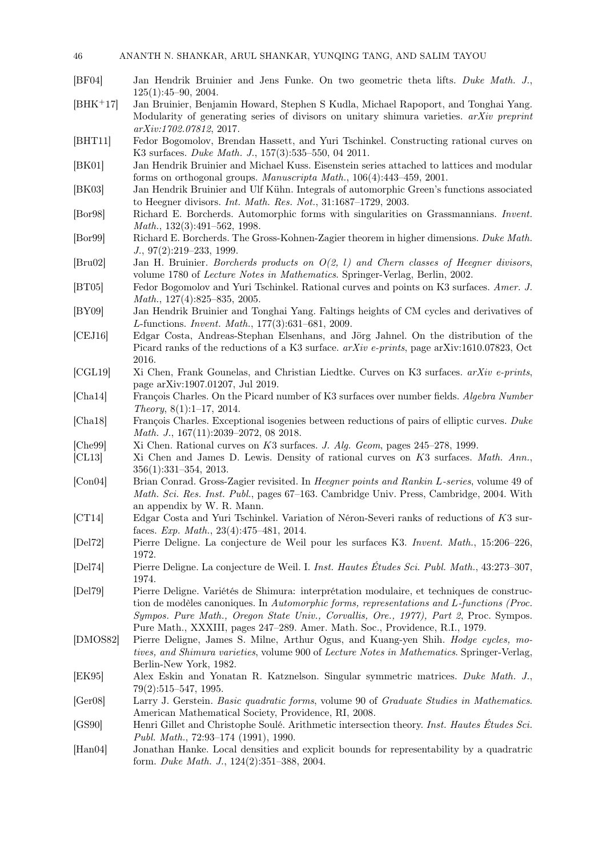46 ANANTH N. SHANKAR, ARUL SHANKAR, YUNQING TANG, AND SALIM TAYOU

- <span id="page-45-16"></span>[BF04] Jan Hendrik Bruinier and Jens Funke. On two geometric theta lifts. Duke Math. J., 125(1):45–90, 2004.
- <span id="page-45-25"></span>[BHK+17] Jan Bruinier, Benjamin Howard, Stephen S Kudla, Michael Rapoport, and Tonghai Yang. Modularity of generating series of divisors on unitary shimura varieties.  $arXiv$  preprint arXiv:1702.07812, 2017.
- <span id="page-45-1"></span>[BHT11] Fedor Bogomolov, Brendan Hassett, and Yuri Tschinkel. Constructing rational curves on K3 surfaces. Duke Math. J., 157(3):535–550, 04 2011.
- <span id="page-45-19"></span>[BK01] Jan Hendrik Bruinier and Michael Kuss. Eisenstein series attached to lattices and modular forms on orthogonal groups. Manuscripta Math., 106(4):443–459, 2001.
- <span id="page-45-15"></span>[BK03] Jan Hendrik Bruinier and Ulf Kühn. Integrals of automorphic Green's functions associated to Heegner divisors. Int. Math. Res. Not., 31:1687–1729, 2003.
- <span id="page-45-14"></span>[Bor98] Richard E. Borcherds. Automorphic forms with singularities on Grassmannians. Invent. Math., 132(3):491–562, 1998.
- <span id="page-45-10"></span>[Bor99] Richard E. Borcherds. The Gross-Kohnen-Zagier theorem in higher dimensions. Duke Math. J., 97(2):219–233, 1999.
- <span id="page-45-9"></span>[Bru02] Jan H. Bruinier. Borcherds products on O(2, l) and Chern classes of Heegner divisors, volume 1780 of Lecture Notes in Mathematics. Springer-Verlag, Berlin, 2002.
- <span id="page-45-4"></span>[BT05] Fedor Bogomolov and Yuri Tschinkel. Rational curves and points on K3 surfaces. Amer. J. Math., 127(4):825–835, 2005.
- <span id="page-45-17"></span>[BY09] Jan Hendrik Bruinier and Tonghai Yang. Faltings heights of CM cycles and derivatives of L-functions. Invent. Math., 177(3):631–681, 2009.
- <span id="page-45-3"></span>[CEJ16] Edgar Costa, Andreas-Stephan Elsenhans, and Jörg Jahnel. On the distribution of the Picard ranks of the reductions of a K3 surface.  $arXiv$  e-prints, page arXiv:1610.07823, Oct 2016.
- <span id="page-45-7"></span>[CGL19] Xi Chen, Frank Gounelas, and Christian Liedtke. Curves on K3 surfaces. arXiv e-prints, page arXiv:1907.01207, Jul 2019.
- <span id="page-45-0"></span>[Cha14] Francois Charles. On the Picard number of K3 surfaces over number fields. Algebra Number Theory, 8(1):1–17, 2014.
- <span id="page-45-8"></span>[Cha18] François Charles. Exceptional isogenies between reductions of pairs of elliptic curves. Duke Math. J., 167(11):2039-2072, 08 2018.
- <span id="page-45-5"></span>[Che99] Xi Chen. Rational curves on K3 surfaces. J. Alg. Geom, pages 245–278, 1999.
- <span id="page-45-6"></span>[CL13] Xi Chen and James D. Lewis. Density of rational curves on K3 surfaces. Math. Ann., 356(1):331–354, 2013.
- <span id="page-45-23"></span>[Con04] Brian Conrad. Gross-Zagier revisited. In Heegner points and Rankin L-series, volume 49 of Math. Sci. Res. Inst. Publ., pages 67–163. Cambridge Univ. Press, Cambridge, 2004. With an appendix by W. R. Mann.
- <span id="page-45-2"></span>[CT14] Edgar Costa and Yuri Tschinkel. Variation of Néron-Severi ranks of reductions of K3 surfaces. Exp. Math., 23(4):475–481, 2014.
- <span id="page-45-11"></span>[Del72] Pierre Deligne. La conjecture de Weil pour les surfaces K3. Invent. Math., 15:206–226, 1972.
- <span id="page-45-21"></span>[Del74] Pierre Deligne. La conjecture de Weil. I. Inst. Hautes Études Sci. Publ. Math., 43:273–307, 1974.
- <span id="page-45-12"></span>[Del79] Pierre Deligne. Variétés de Shimura: interprétation modulaire, et techniques de construction de modèles canoniques. In Automorphic forms, representations and L-functions (Proc. Sympos. Pure Math., Oregon State Univ., Corvallis, Ore., 1977), Part 2, Proc. Sympos. Pure Math., XXXIII, pages 247–289. Amer. Math. Soc., Providence, R.I., 1979.
- <span id="page-45-13"></span>[DMOS82] Pierre Deligne, James S. Milne, Arthur Ogus, and Kuang-yen Shih. Hodge cycles, motives, and Shimura varieties, volume 900 of Lecture Notes in Mathematics. Springer-Verlag, Berlin-New York, 1982.
- <span id="page-45-24"></span>[EK95] Alex Eskin and Yonatan R. Katznelson. Singular symmetric matrices. Duke Math. J., 79(2):515–547, 1995.
- <span id="page-45-22"></span>[Ger08] Larry J. Gerstein. Basic quadratic forms, volume 90 of Graduate Studies in Mathematics. American Mathematical Society, Providence, RI, 2008.
- <span id="page-45-18"></span>[GS90] Henri Gillet and Christophe Soulé. Arithmetic intersection theory. Inst. Hautes Études Sci. Publ. Math., 72:93–174 (1991), 1990.
- <span id="page-45-20"></span>[Han04] Jonathan Hanke. Local densities and explicit bounds for representability by a quadratric form. Duke Math. J., 124(2):351–388, 2004.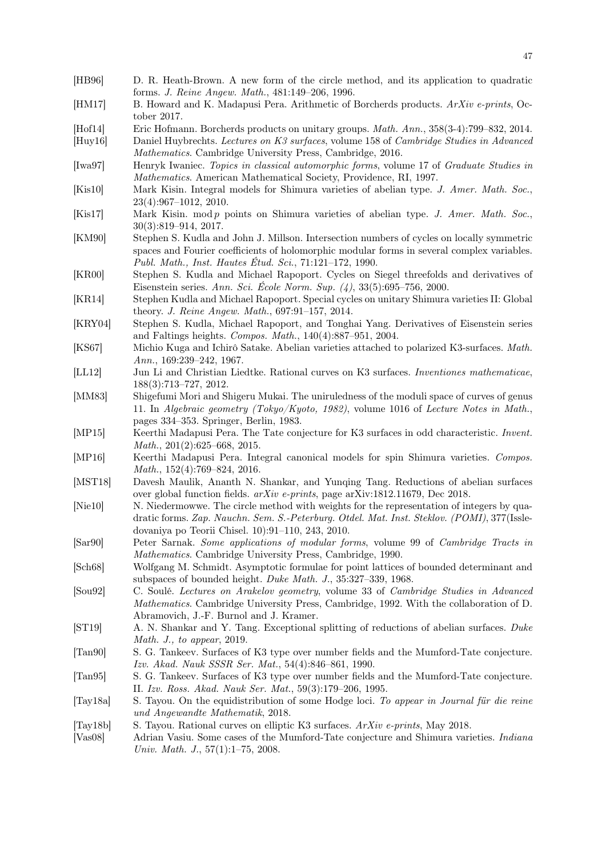- <span id="page-46-20"></span>[HB96] D. R. Heath-Brown. A new form of the circle method, and its application to quadratic forms. J. Reine Angew. Math., 481:149–206, 1996.
- <span id="page-46-10"></span>[HM17] B. Howard and K. Madapusi Pera. Arithmetic of Borcherds products. ArXiv e-prints, October 2017.
- <span id="page-46-26"></span>[Hof14] Eric Hofmann. Borcherds products on unitary groups. Math. Ann., 358(3-4):799–832, 2014.
- <span id="page-46-0"></span>[Huy16] Daniel Huybrechts. Lectures on K3 surfaces, volume 158 of Cambridge Studies in Advanced Mathematics. Cambridge University Press, Cambridge, 2016.
- <span id="page-46-21"></span>[Iwa97] Henryk Iwaniec. Topics in classical automorphic forms, volume 17 of Graduate Studies in Mathematics. American Mathematical Society, Providence, RI, 1997.
- <span id="page-46-14"></span>[Kis10] Mark Kisin. Integral models for Shimura varieties of abelian type. J. Amer. Math. Soc., 23(4):967–1012, 2010.
- <span id="page-46-17"></span>[Kis17] Mark Kisin. mod p points on Shimura varieties of abelian type. J. Amer. Math. Soc., 30(3):819–914, 2017.
- <span id="page-46-11"></span>[KM90] Stephen S. Kudla and John J. Millson. Intersection numbers of cycles on locally symmetric spaces and Fourier coefficients of holomorphic modular forms in several complex variables. Publ. Math., Inst. Hautes Étud. Sci., 71:121–172, 1990.
- <span id="page-46-24"></span>[KR00] Stephen S. Kudla and Michael Rapoport. Cycles on Siegel threefolds and derivatives of Eisenstein series. Ann. Sci. École Norm. Sup. (4), 33(5):695–756, 2000.
- <span id="page-46-25"></span>[KR14] Stephen Kudla and Michael Rapoport. Special cycles on unitary Shimura varieties II: Global theory. J. Reine Angew. Math., 697:91–157, 2014.
- <span id="page-46-15"></span>[KRY04] Stephen S. Kudla, Michael Rapoport, and Tonghai Yang. Derivatives of Eisenstein series and Faltings heights. Compos. Math., 140(4):887–951, 2004.
- <span id="page-46-13"></span>[KS67] Michio Kuga and Ichirô Satake. Abelian varieties attached to polarized K3-surfaces. Math. Ann., 169:239–242, 1967.
- <span id="page-46-1"></span>[LL12] Jun Li and Christian Liedtke. Rational curves on K3 surfaces. Inventiones mathematicae, 188(3):713–727, 2012.
- <span id="page-46-2"></span>[MM83] Shigefumi Mori and Shigeru Mukai. The uniruledness of the moduli space of curves of genus 11. In Algebraic geometry (Tokyo/Kyoto, 1982), volume 1016 of Lecture Notes in Math., pages 334–353. Springer, Berlin, 1983.
- <span id="page-46-16"></span>[MP15] Keerthi Madapusi Pera. The Tate conjecture for K3 surfaces in odd characteristic. Invent. Math., 201(2):625–668, 2015.
- <span id="page-46-12"></span>[MP16] Keerthi Madapusi Pera. Integral canonical models for spin Shimura varieties. Compos. Math., 152(4):769–824, 2016.
- <span id="page-46-9"></span>[MST18] Davesh Maulik, Ananth N. Shankar, and Yunqing Tang. Reductions of abelian surfaces over global function fields. arXiv e-prints, page arXiv:1812.11679, Dec 2018.
- <span id="page-46-22"></span>[Nie10] N. Niedermowwe. The circle method with weights for the representation of integers by quadratic forms. Zap. Nauchn. Sem. S.-Peterburg. Otdel. Mat. Inst. Steklov. (POMI), 377(Issledovaniya po Teorii Chisel. 10):91–110, 243, 2010.
- <span id="page-46-19"></span>[Sar90] Peter Sarnak. Some applications of modular forms, volume 99 of Cambridge Tracts in Mathematics. Cambridge University Press, Cambridge, 1990.
- <span id="page-46-23"></span>[Sch68] Wolfgang M. Schmidt. Asymptotic formulae for point lattices of bounded determinant and subspaces of bounded height. Duke Math. J., 35:327–339, 1968.
- <span id="page-46-18"></span>[Sou92] C. Soulé. Lectures on Arakelov geometry, volume 33 of Cambridge Studies in Advanced Mathematics. Cambridge University Press, Cambridge, 1992. With the collaboration of D. Abramovich, J.-F. Burnol and J. Kramer.
- <span id="page-46-7"></span>[ST19] A. N. Shankar and Y. Tang. Exceptional splitting of reductions of abelian surfaces. Duke Math. J., to appear, 2019.
- <span id="page-46-4"></span>[Tan90] S. G. Tankeev. Surfaces of K3 type over number fields and the Mumford-Tate conjecture. Izv. Akad. Nauk SSSR Ser. Mat., 54(4):846–861, 1990.
- <span id="page-46-5"></span>[Tan95] S. G. Tankeev. Surfaces of K3 type over number fields and the Mumford-Tate conjecture. II. Izv. Ross. Akad. Nauk Ser. Mat., 59(3):179–206, 1995.
- <span id="page-46-8"></span>[Tay18a] S. Tayou. On the equidistribution of some Hodge loci. To appear in Journal für die reine und Angewandte Mathematik, 2018.
- <span id="page-46-3"></span>[Tay18b] S. Tayou. Rational curves on elliptic K3 surfaces. ArXiv e-prints, May 2018.
- <span id="page-46-6"></span>[Vas08] Adrian Vasiu. Some cases of the Mumford-Tate conjecture and Shimura varieties. Indiana Univ. Math. J., 57(1):1–75, 2008.